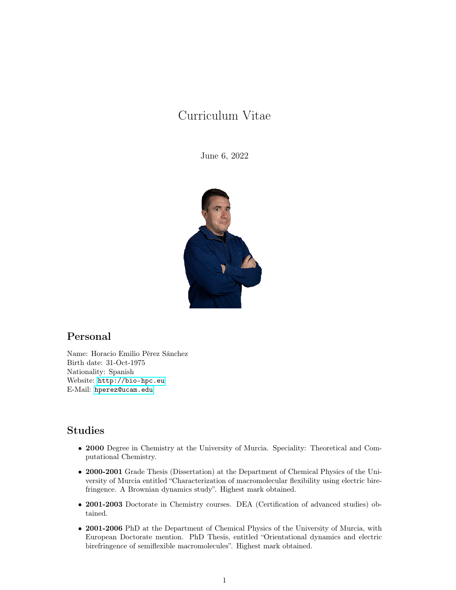# Curriculum Vitae

June 6, 2022



## Personal

Name: Horacio Emilio Pérez Sánchez Birth date: 31-Oct-1975 Nationality: Spanish Website: <http://bio-hpc.eu> E-Mail: <hperez@ucam.edu>

## Studies

- 2000 Degree in Chemistry at the University of Murcia. Speciality: Theoretical and Computational Chemistry.
- 2000-2001 Grade Thesis (Dissertation) at the Department of Chemical Physics of the University of Murcia entitled "Characterization of macromolecular flexibility using electric birefringence. A Brownian dynamics study". Highest mark obtained.
- 2001-2003 Doctorate in Chemistry courses. DEA (Certification of advanced studies) obtained.
- 2001-2006 PhD at the Department of Chemical Physics of the University of Murcia, with European Doctorate mention. PhD Thesis, entitled "Orientational dynamics and electric birefringence of semiflexible macromolecules". Highest mark obtained.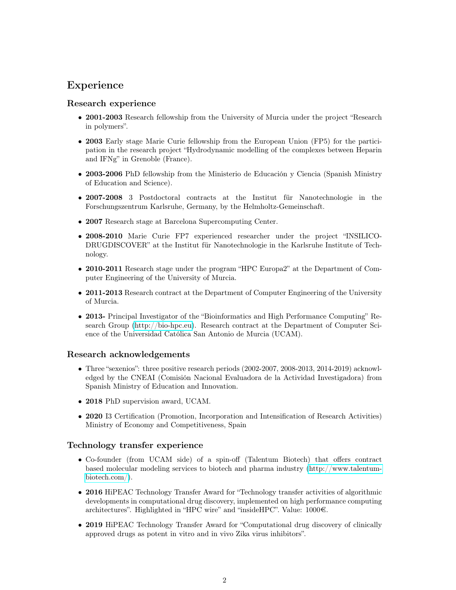## Experience

## Research experience

- 2001-2003 Research fellowship from the University of Murcia under the project "Research" in polymers".
- 2003 Early stage Marie Curie fellowship from the European Union (FP5) for the participation in the research project "Hydrodynamic modelling of the complexes between Heparin and IFNg" in Grenoble (France).
- 2003-2006 PhD fellowship from the Ministerio de Educación y Ciencia (Spanish Ministry of Education and Science).
- 2007-2008 3 Postdoctoral contracts at the Institut für Nanotechnologie in the Forschungszentrum Karlsruhe, Germany, by the Helmholtz-Gemeinschaft.
- 2007 Research stage at Barcelona Supercomputing Center.
- 2008-2010 Marie Curie FP7 experienced researcher under the project "INSILICO-DRUGDISCOVER" at the Institut für Nanotechnologie in the Karlsruhe Institute of Technology.
- 2010-2011 Research stage under the program "HPC Europa2" at the Department of Computer Engineering of the University of Murcia.
- 2011-2013 Research contract at the Department of Computer Engineering of the University of Murcia.
- 2013- Principal Investigator of the "Bioinformatics and High Performance Computing" Research Group [\(http://bio-hpc.eu\)](http://bio-hpc.eu). Research contract at the Department of Computer Science of the Universidad Católica San Antonio de Murcia (UCAM).

## Research acknowledgements

- Three "sexenios": three positive research periods (2002-2007, 2008-2013, 2014-2019) acknowledged by the CNEAI (Comisión Nacional Evaluadora de la Actividad Investigadora) from Spanish Ministry of Education and Innovation.
- 2018 PhD supervision award, UCAM.
- 2020 I3 Certification (Promotion, Incorporation and Intensification of Research Activities) Ministry of Economy and Competitiveness, Spain

## Technology transfer experience

- Co-founder (from UCAM side) of a spin-off (Talentum Biotech) that offers contract based molecular modeling services to biotech and pharma industry [\(http://www.talentum](http://www.talentum-biotech.com/)[biotech.com/\)](http://www.talentum-biotech.com/).
- 2016 HiPEAC Technology Transfer Award for "Technology transfer activities of algorithmic developments in computational drug discovery, implemented on high performance computing architectures". Highlighted in "HPC wire" and "insideHPC". Value: 1000€.
- 2019 HiPEAC Technology Transfer Award for "Computational drug discovery of clinically approved drugs as potent in vitro and in vivo Zika virus inhibitors".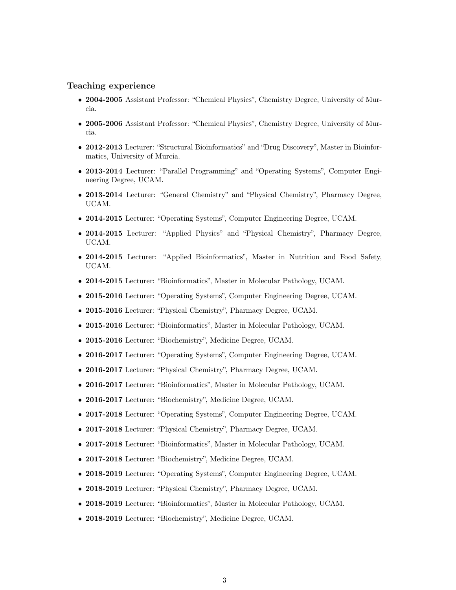## Teaching experience

- 2004-2005 Assistant Professor: "Chemical Physics", Chemistry Degree, University of Murcia.
- 2005-2006 Assistant Professor: "Chemical Physics", Chemistry Degree, University of Murcia.
- 2012-2013 Lecturer: "Structural Bioinformatics" and "Drug Discovery", Master in Bioinformatics, University of Murcia.
- 2013-2014 Lecturer: "Parallel Programming" and "Operating Systems", Computer Engineering Degree, UCAM.
- 2013-2014 Lecturer: "General Chemistry" and "Physical Chemistry", Pharmacy Degree, UCAM.
- 2014-2015 Lecturer: "Operating Systems", Computer Engineering Degree, UCAM.
- 2014-2015 Lecturer: "Applied Physics" and "Physical Chemistry", Pharmacy Degree, UCAM.
- 2014-2015 Lecturer: "Applied Bioinformatics", Master in Nutrition and Food Safety, UCAM.
- 2014-2015 Lecturer: "Bioinformatics", Master in Molecular Pathology, UCAM.
- 2015-2016 Lecturer: "Operating Systems", Computer Engineering Degree, UCAM.
- 2015-2016 Lecturer: "Physical Chemistry", Pharmacy Degree, UCAM.
- 2015-2016 Lecturer: "Bioinformatics", Master in Molecular Pathology, UCAM.
- 2015-2016 Lecturer: "Biochemistry", Medicine Degree, UCAM.
- 2016-2017 Lecturer: "Operating Systems", Computer Engineering Degree, UCAM.
- 2016-2017 Lecturer: "Physical Chemistry", Pharmacy Degree, UCAM.
- 2016-2017 Lecturer: "Bioinformatics", Master in Molecular Pathology, UCAM.
- 2016-2017 Lecturer: "Biochemistry", Medicine Degree, UCAM.
- 2017-2018 Lecturer: "Operating Systems", Computer Engineering Degree, UCAM.
- 2017-2018 Lecturer: "Physical Chemistry", Pharmacy Degree, UCAM.
- 2017-2018 Lecturer: "Bioinformatics", Master in Molecular Pathology, UCAM.
- 2017-2018 Lecturer: "Biochemistry", Medicine Degree, UCAM.
- 2018-2019 Lecturer: "Operating Systems", Computer Engineering Degree, UCAM.
- 2018-2019 Lecturer: "Physical Chemistry", Pharmacy Degree, UCAM.
- 2018-2019 Lecturer: "Bioinformatics", Master in Molecular Pathology, UCAM.
- 2018-2019 Lecturer: "Biochemistry", Medicine Degree, UCAM.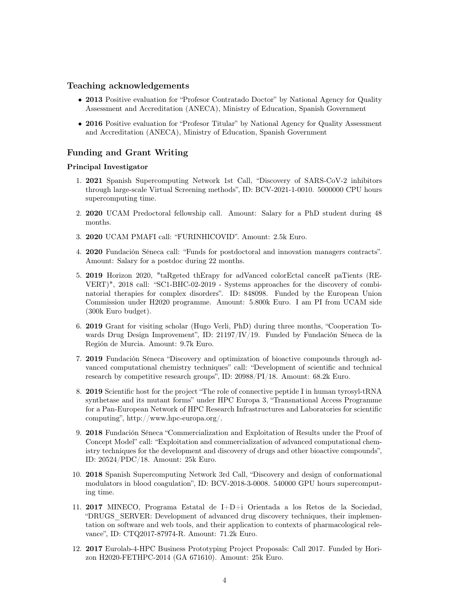### Teaching acknowledgements

- 2013 Positive evaluation for "Profesor Contratado Doctor" by National Agency for Quality Assessment and Accreditation (ANECA), Ministry of Education, Spanish Government
- 2016 Positive evaluation for "Profesor Titular" by National Agency for Quality Assessment and Accreditation (ANECA), Ministry of Education, Spanish Government

## Funding and Grant Writing

#### Principal Investigator

- 1. 2021 Spanish Supercomputing Network 1st Call, "Discovery of SARS-CoV-2 inhibitors through large-scale Virtual Screening methods", ID: BCV-2021-1-0010. 5000000 CPU hours supercomputing time.
- 2. 2020 UCAM Predoctoral fellowship call. Amount: Salary for a PhD student during 48 months.
- 3. 2020 UCAM PMAFI call: "FURINHICOVID". Amount: 2.5k Euro.
- 4. 2020 Fundación Séneca call: "Funds for postdoctoral and innovation managers contracts". Amount: Salary for a postdoc during 22 months.
- 5. 2019 Horizon 2020, "taRgeted thErapy for adVanced colorEctal canceR paTients (RE-VERT)", 2018 call: "SC1-BHC-02-2019 - Systems approaches for the discovery of combinatorial therapies for complex disorders". ID: 848098. Funded by the European Union Commission under H2020 programme. Amount: 5.800k Euro. I am PI from UCAM side (300k Euro budget).
- 6. 2019 Grant for visiting scholar (Hugo Verli, PhD) during three months, "Cooperation Towards Drug Design Improvement", ID: 21197/IV/19. Funded by Fundación Séneca de la Región de Murcia. Amount: 9.7k Euro.
- 7. 2019 Fundación Séneca "Discovery and optimization of bioactive compounds through advanced computational chemistry techniques" call: "Development of scientific and technical research by competitive research groups", ID: 20988/PI/18. Amount: 68.2k Euro.
- 8. 2019 Scientific host for the project "The role of connective peptide I in human tyrosyl-tRNA synthetase and its mutant forms" under HPC Europa 3, "Transnational Access Programme for a Pan-European Network of HPC Research Infrastructures and Laboratories for scientific computing", http://www.hpc-europa.org/.
- 9. 2018 Fundación Séneca "Commercialization and Exploitation of Results under the Proof of Concept Model" call: "Exploitation and commercialization of advanced computational chemistry techniques for the development and discovery of drugs and other bioactive compounds", ID: 20524/PDC/18. Amount: 25k Euro.
- 10. 2018 Spanish Supercomputing Network 3rd Call, "Discovery and design of conformational modulators in blood coagulation", ID: BCV-2018-3-0008. 540000 GPU hours supercomputing time.
- 11. 2017 MINECO, Programa Estatal de I+D+i Orientada a los Retos de la Sociedad, "DRUGS\_SERVER: Development of advanced drug discovery techniques, their implementation on software and web tools, and their application to contexts of pharmacological relevance", ID: CTQ2017-87974-R. Amount: 71.2k Euro.
- 12. 2017 Eurolab-4-HPC Business Prototyping Project Proposals: Call 2017. Funded by Horizon H2020-FETHPC-2014 (GA 671610). Amount: 25k Euro.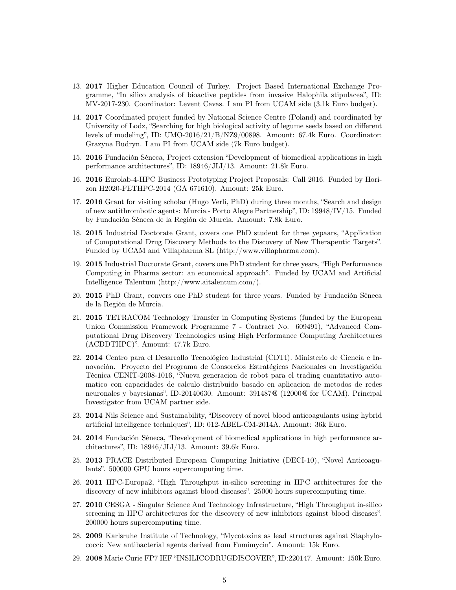- 13. 2017 Higher Education Council of Turkey. Project Based International Exchange Programme, "In silico analysis of bioactive peptides from invasive Halophila stipulacea", ID: MV-2017-230. Coordinator: Levent Cavas. I am PI from UCAM side (3.1k Euro budget).
- 14. 2017 Coordinated project funded by National Science Centre (Poland) and coordinated by University of Lodz, "Searching for high biological activity of legume seeds based on different levels of modeling", ID: UMO-2016/21/B/NZ9/00898. Amount: 67.4k Euro. Coordinator: Grazyna Budryn. I am PI from UCAM side (7k Euro budget).
- 15. 2016 Fundación Séneca, Project extension "Development of biomedical applications in high performance architectures", ID: 18946/JLI/13. Amount: 21.8k Euro.
- 16. 2016 Eurolab-4-HPC Business Prototyping Project Proposals: Call 2016. Funded by Horizon H2020-FETHPC-2014 (GA 671610). Amount: 25k Euro.
- 17. 2016 Grant for visiting scholar (Hugo Verli, PhD) during three months, "Search and design of new antithrombotic agents: Murcia - Porto Alegre Partnership", ID: 19948/IV/15. Funded by Fundación Séneca de la Región de Murcia. Amount: 7.8k Euro.
- 18. 2015 Industrial Doctorate Grant, covers one PhD student for three yepaars, "Application of Computational Drug Discovery Methods to the Discovery of New Therapeutic Targets". Funded by UCAM and Villapharma SL (http://www.villapharma.com).
- 19. 2015 Industrial Doctorate Grant, covers one PhD student for three years, "High Performance Computing in Pharma sector: an economical approach". Funded by UCAM and Artificial Intelligence Talentum (http://www.aitalentum.com/).
- 20. 2015 PhD Grant, convers one PhD student for three years. Funded by Fundación Séneca de la Región de Murcia.
- 21. 2015 TETRACOM Technology Transfer in Computing Systems (funded by the European Union Commission Framework Programme 7 - Contract No. 609491), "Advanced Computational Drug Discovery Technologies using High Performance Computing Architectures (ACDDTHPC)". Amount: 47.7k Euro.
- 22. 2014 Centro para el Desarrollo Tecnológico Industrial (CDTI). Ministerio de Ciencia e Innovación. Proyecto del Programa de Consorcios Estratégicos Nacionales en Investigación Técnica CENIT-2008-1016, "Nueva generacion de robot para el trading cuantitativo automatico con capacidades de calculo distribuido basado en aplicacion de metodos de redes neuronales y bayesianas", ID-20140630. Amount: 391487€ (12000€ for UCAM). Principal Investigator from UCAM partner side.
- 23. 2014 Nils Science and Sustainability, "Discovery of novel blood anticoagulants using hybrid artificial intelligence techniques", ID: 012-ABEL-CM-2014A. Amount: 36k Euro.
- 24. 2014 Fundación Séneca, "Development of biomedical applications in high performance architectures", ID: 18946/JLI/13. Amount: 39.6k Euro.
- 25. 2013 PRACE Distributed European Computing Initiative (DECI-10), "Novel Anticoagulants". 500000 GPU hours supercomputing time.
- 26. 2011 HPC-Europa2, "High Throughput in-silico screening in HPC architectures for the discovery of new inhibitors against blood diseases". 25000 hours supercomputing time.
- 27. 2010 CESGA Singular Science And Technology Infrastructure, "High Throughput in-silico screening in HPC architectures for the discovery of new inhibitors against blood diseases". 200000 hours supercomputing time.
- 28. 2009 Karlsruhe Institute of Technology, "Mycotoxins as lead structures against Staphylococci: New antibacterial agents derived from Fumimycin". Amount: 15k Euro.
- 29. 2008 Marie Curie FP7 IEF "INSILICODRUGDISCOVER", ID:220147. Amount: 150k Euro.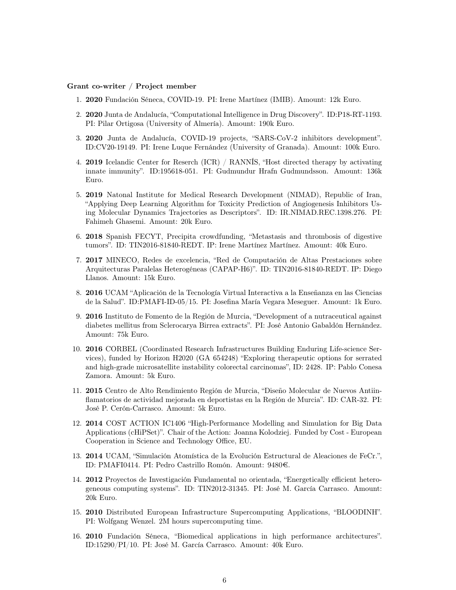#### Grant co-writer / Project member

- 1. 2020 Fundación Séneca, COVID-19. PI: Irene Martínez (IMIB). Amount: 12k Euro.
- 2. 2020 Junta de Andalucía, "Computational Intelligence in Drug Discovery". ID:P18-RT-1193. PI: Pilar Ortigosa (University of Almería). Amount: 190k Euro.
- 3. 2020 Junta de Andalucía, COVID-19 projects, "SARS-CoV-2 inhibitors development". ID:CV20-19149. PI: Irene Luque Fernández (University of Granada). Amount: 100k Euro.
- 4. 2019 Icelandic Center for Reserch (ICR) / RANNÍS, "Host directed therapy by activating innate immunity". ID:195618-051. PI: Gudmundur Hrafn Gudmundsson. Amount: 136k Euro.
- 5. 2019 Natonal Institute for Medical Research Development (NIMAD), Republic of Iran, "Applying Deep Learning Algorithm for Toxicity Prediction of Angiogenesis Inhibitors Using Molecular Dynamics Trajectories as Descriptors". ID: IR.NIMAD.REC.1398.276. PI: Fahimeh Ghasemi. Amount: 20k Euro.
- 6. 2018 Spanish FECYT, Precipita crowdfunding, "Metastasis and thrombosis of digestive tumors". ID: TIN2016-81840-REDT. IP: Irene Martínez Martínez. Amount: 40k Euro.
- 7. 2017 MINECO, Redes de excelencia, "Red de Computación de Altas Prestaciones sobre Arquitecturas Paralelas Heterogéneas (CAPAP-H6)". ID: TIN2016-81840-REDT. IP: Diego Llanos. Amount: 15k Euro.
- 8. 2016 UCAM "Aplicación de la Tecnología Virtual Interactiva a la Enseñanza en las Ciencias de la Salud". ID:PMAFI-ID-05/15. PI: Josefina María Vegara Meseguer. Amount: 1k Euro.
- 9. 2016 Instituto de Fomento de la Región de Murcia, "Development of a nutraceutical against diabetes mellitus from Sclerocarya Birrea extracts". PI: José Antonio Gabaldón Hernández. Amount: 75k Euro.
- 10. 2016 CORBEL (Coordinated Research Infrastructures Building Enduring Life-science Services), funded by Horizon H2020 (GA 654248) "Exploring therapeutic options for serrated and high-grade microsatellite instability colorectal carcinomas", ID: 2428. IP: Pablo Conesa Zamora. Amount: 5k Euro.
- 11. 2015 Centro de Alto Rendimiento Región de Murcia, "Diseño Molecular de Nuevos Antiinflamatorios de actividad mejorada en deportistas en la Región de Murcia". ID: CAR-32. PI: José P. Cerón-Carrasco. Amount: 5k Euro.
- 12. 2014 COST ACTION IC1406 "High-Performance Modelling and Simulation for Big Data Applications (cHiPSet)". Chair of the Action: Joanna Kolodziej. Funded by Cost - European Cooperation in Science and Technology Office, EU.
- 13. 2014 UCAM, "Simulación Atomística de la Evolución Estructural de Aleaciones de FeCr.", ID: PMAFI0414. PI: Pedro Castrillo Romón. Amount: 9480€.
- 14. 2012 Proyectos de Investigación Fundamental no orientada, "Energetically efficient heterogeneous computing systems". ID: TIN2012-31345. PI: José M. García Carrasco. Amount: 20k Euro.
- 15. 2010 Distributed European Infrastructure Supercomputing Applications, "BLOODINH". PI: Wolfgang Wenzel. 2M hours supercomputing time.
- 16. 2010 Fundación Séneca, "Biomedical applications in high performance architectures". ID:15290/PI/10. PI: José M. García Carrasco. Amount: 40k Euro.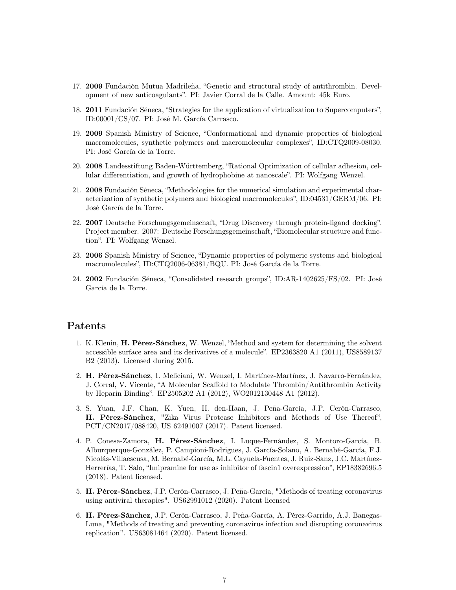- 17. 2009 Fundación Mutua Madrileña, "Genetic and structural study of antithrombin. Development of new anticoagulants". PI: Javier Corral de la Calle. Amount: 45k Euro.
- 18. 2011 Fundación Séneca, "Strategies for the application of virtualization to Supercomputers", ID:00001/CS/07. PI: José M. García Carrasco.
- 19. 2009 Spanish Ministry of Science, "Conformational and dynamic properties of biological macromolecules, synthetic polymers and macromolecular complexes", ID:CTQ2009-08030. PI: José García de la Torre.
- 20. 2008 Landesstiftung Baden-Württemberg, "Rational Optimization of cellular adhesion, cellular differentiation, and growth of hydrophobine at nanoscale". PI: Wolfgang Wenzel.
- 21. 2008 Fundación Séneca, "Methodologies for the numerical simulation and experimental characterization of synthetic polymers and biological macromolecules", ID:04531/GERM/06. PI: José García de la Torre.
- 22. 2007 Deutsche Forschungsgemeinschaft, "Drug Discovery through protein-ligand docking". Project member. 2007: Deutsche Forschungsgemeinschaft, "Biomolecular structure and function". PI: Wolfgang Wenzel.
- 23. 2006 Spanish Ministry of Science, "Dynamic properties of polymeric systems and biological macromolecules", ID:CTQ2006-06381/BQU. PI: José García de la Torre.
- 24. 2002 Fundación Séneca, "Consolidated research groups", ID:AR-1402625/FS/02. PI: José García de la Torre.

## Patents

- 1. K. Klenin, H. Pérez-Sánchez, W. Wenzel, "Method and system for determining the solvent accessible surface area and its derivatives of a molecule". EP2363820 A1 (2011), US8589137 B2 (2013). Licensed during 2015.
- 2. H. Pérez-Sánchez, I. Meliciani, W. Wenzel, I. Martínez-Martínez, J. Navarro-Fernández, J. Corral, V. Vicente, "A Molecular Scaffold to Modulate Thrombin/Antithrombin Activity by Heparin Binding". EP2505202 A1 (2012), WO2012130448 A1 (2012).
- 3. S. Yuan, J.F. Chan, K. Yuen, H. den-Haan, J. Peña-García, J.P. Cerón-Carrasco, H. Pérez-Sánchez, "Zika Virus Protease Inhibitors and Methods of Use Thereof", PCT/CN2017/088420, US 62491007 (2017). Patent licensed.
- 4. P. Conesa-Zamora, H. Pérez-Sánchez, I. Luque-Fernández, S. Montoro-García, B. Alburquerque-González, P. Campioni-Rodrigues, J. García-Solano, A. Bernabé-García, F.J. Nicolás-Villaescusa, M. Bernabé-García, M.L. Cayuela-Fuentes, J. Ruiz-Sanz, J.C. Martínez-Herrerías, T. Salo, "Imipramine for use as inhibitor of fascin1 overexpression", EP18382696.5 (2018). Patent licensed.
- 5. H. Pérez-Sánchez, J.P. Cerón-Carrasco, J. Peña-García, "Methods of treating coronavirus using antiviral therapies". US62991012 (2020). Patent licensed
- 6. H. Pérez-Sánchez, J.P. Cerón-Carrasco, J. Peña-García, A. Pérez-Garrido, A.J. Banegas-Luna, "Methods of treating and preventing coronavirus infection and disrupting coronavirus replication". US63081464 (2020). Patent licensed.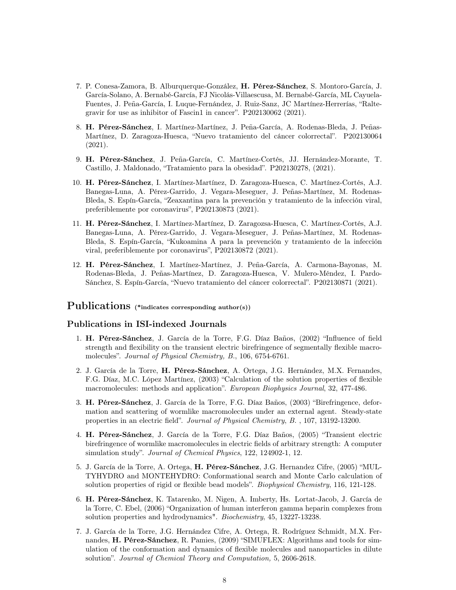- 7. P. Conesa-Zamora, B. Alburquerque-González, H. Pérez-Sánchez, S. Montoro-García, J. García-Solano, A. Bernabé-García, FJ Nicolás-Villaescusa, M. Bernabé-García, ML Cayuela-Fuentes, J. Peña-García, I. Luque-Fernández, J. Ruiz-Sanz, JC Martínez-Herrerías, "Raltegravir for use as inhibitor of Fascin1 in cancer". P202130062 (2021).
- 8. H. Pérez-Sánchez, I. Martínez-Martínez, J. Peña-García, A. Rodenas-Bleda, J. Peñas-Martínez, D. Zaragoza-Huesca, "Nuevo tratamiento del cáncer colorrectal". P202130064 (2021).
- 9. H. Pérez-Sánchez, J. Peña-García, C. Martínez-Cortés, JJ. Hernández-Morante, T. Castillo, J. Maldonado, "Tratamiento para la obesidad". P202130278, (2021).
- 10. H. Pérez-Sánchez, I. Martínez-Martínez, D. Zaragoza-Huesca, C. Martínez-Cortés, A.J. Banegas-Luna, A. Pérez-Garrido, J. Vegara-Meseguer, J. Peñas-Martínez, M. Rodenas-Bleda, S. Espín-García, "Zeaxantina para la prevención y tratamiento de la infección viral, preferiblemente por coronavirus", P202130873 (2021).
- 11. H. Pérez-Sánchez, I. Martínez-Martínez, D. Zaragozsa-Huesca, C. Martínez-Cortés, A.J. Banegas-Luna, A. Pérez-Garrido, J. Vegara-Meseguer, J. Peñas-Martínez, M. Rodenas-Bleda, S. Espín-García, "Kukoamina A para la prevención y tratamiento de la infección viral, preferiblemente por coronavirus", P202130872 (2021).
- 12. H. Pérez-Sánchez, I. Martínez-Martínez, J. Peña-García, A. Carmona-Bayonas, M. Rodenas-Bleda, J. Peñas-Martínez, D. Zaragoza-Huesca, V. Mulero-Méndez, I. Pardo-Sánchez, S. Espín-García, "Nuevo tratamiento del cáncer colorrectal". P202130871 (2021).

## Publications (\*indicates corresponding author(s))

### Publications in ISI-indexed Journals

- 1. H. Pérez-Sánchez, J. García de la Torre, F.G. Díaz Baños, (2002) "Influence of field strength and flexibility on the transient electric birefringence of segmentally flexible macromolecules". Journal of Physical Chemistry, B., 106, 6754-6761.
- 2. J. García de la Torre, H. Pérez-Sánchez, A. Ortega, J.G. Hernández, M.X. Fernandes, F.G. Díaz, M.C. López Martínez, (2003) "Calculation of the solution properties of flexible macromolecules: methods and application". European Biophysics Journal, 32, 477-486.
- 3. H. Pérez-Sánchez, J. García de la Torre, F.G. Díaz Baños, (2003) "Birefringence, deformation and scattering of wormlike macromolecules under an external agent. Steady-state properties in an electric field". Journal of Physical Chemistry, B. , 107, 13192-13200.
- 4. H. Pérez-Sánchez, J. García de la Torre, F.G. Díaz Baños, (2005) "Transient electric birefringence of wormlike macromolecules in electric fields of arbitrary strength: A computer simulation study". Journal of Chemical Physics, 122, 124902-1, 12.
- 5. J. García de la Torre, A. Ortega, H. Pérez-Sánchez, J.G. Hernandez Cifre, (2005) "MUL-TYHYDRO and MONTEHYDRO: Conformational search and Monte Carlo calculation of solution properties of rigid or flexible bead models". *Biophysical Chemistry*, 116, 121-128.
- 6. H. Pérez-Sánchez, K. Tatarenko, M. Nigen, A. Imberty, Hs. Lortat-Jacob, J. García de la Torre, C. Ebel, (2006) "Organization of human interferon gamma heparin complexes from solution properties and hydrodynamics". Biochemistry, 45, 13227-13238.
- 7. J. García de la Torre, J.G. Hernández Cifre, A. Ortega, R. Rodríguez Schmidt, M.X. Fernandes, H. Pérez-Sánchez, R. Pamies, (2009) "SIMUFLEX: Algorithms and tools for simulation of the conformation and dynamics of flexible molecules and nanoparticles in dilute solution". Journal of Chemical Theory and Computation, 5, 2606-2618.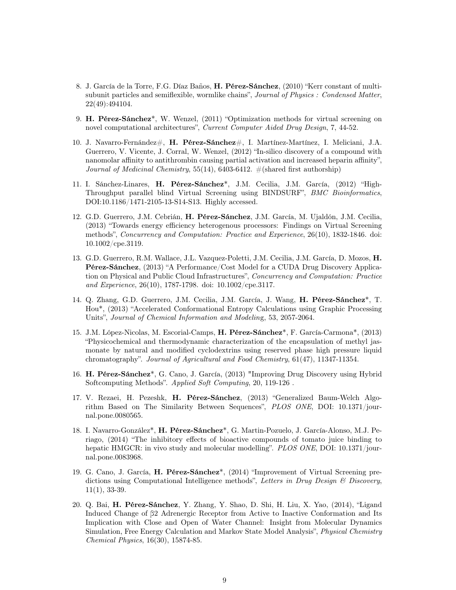- 8. J. García de la Torre, F.G. Díaz Baños, H. Pérez-Sánchez, (2010) "Kerr constant of multisubunit particles and semiflexible, wormlike chains", Journal of Physics : Condensed Matter, 22(49):494104.
- 9. H. Pérez-Sánchez\*, W. Wenzel, (2011) "Optimization methods for virtual screening on novel computational architectures", Current Computer Aided Drug Design, 7, 44-52.
- 10. J. Navarro-Fernández $\#$ , **H. Pérez-Sánchez** $\#$ , I. Martínez-Martínez, I. Meliciani, J.A. Guerrero, V. Vicente, J. Corral, W. Wenzel, (2012) "In-silico discovery of a compound with nanomolar affinity to antithrombin causing partial activation and increased heparin affinity", Journal of Medicinal Chemistry, 55(14), 6403-6412.  $\#(\text{shared first authorship})$
- 11. I. Sánchez-Linares, H. Pérez-Sánchez\*, J.M. Cecilia, J.M. García, (2012) "High-Throughput parallel blind Virtual Screening using BINDSURF", BMC Bioinformatics, DOI:10.1186/1471-2105-13-S14-S13. Highly accessed.
- 12. G.D. Guerrero, J.M. Cebrián, H. Pérez-Sánchez, J.M. García, M. Ujaldón, J.M. Cecilia, (2013) "Towards energy efficiency heterogenous processors: Findings on Virtual Screening methods", Concurrency and Computation: Practice and Experience, 26(10), 1832-1846. doi: 10.1002/cpe.3119.
- 13. G.D. Guerrero, R.M. Wallace, J.L. Vazquez-Poletti, J.M. Cecilia, J.M. García, D. Mozos, H. Pérez-Sánchez, (2013) "A Performance/Cost Model for a CUDA Drug Discovery Application on Physical and Public Cloud Infrastructures", Concurrency and Computation: Practice and Experience, 26(10), 1787-1798. doi: 10.1002/cpe.3117.
- 14. Q. Zhang, G.D. Guerrero, J.M. Cecilia, J.M. García, J. Wang, H. Pérez-Sánchez\*, T. Hou\*, (2013) "Accelerated Conformational Entropy Calculations using Graphic Processing Units", Journal of Chemical Information and Modeling, 53, 2057-2064.
- 15. J.M. López-Nicolas, M. Escorial-Camps, H. Pérez-Sánchez\*, F. García-Carmona\*, (2013) "Physicochemical and thermodynamic characterization of the encapsulation of methyl jasmonate by natural and modified cyclodextrins using reserved phase high pressure liquid chromatography". Journal of Agricultural and Food Chemistry, 61(47), 11347-11354.
- 16. H. Pérez-Sánchez\*, G. Cano, J. García, (2013) "Improving Drug Discovery using Hybrid Softcomputing Methods". Applied Soft Computing, 20, 119-126 .
- 17. V. Rezaei, H. Pezeshk, H. Pérez-Sánchez, (2013) "Generalized Baum-Welch Algorithm Based on The Similarity Between Sequences", PLOS ONE, DOI: 10.1371/journal.pone.0080565.
- 18. I. Navarro-González\*, H. Pérez-Sánchez\*, G. Martin-Pozuelo, J. García-Alonso, M.J. Periago, (2014) "The inhibitory effects of bioactive compounds of tomato juice binding to hepatic HMGCR: in vivo study and molecular modelling". PLOS ONE, DOI: 10.1371/journal.pone.0083968.
- 19. G. Cano, J. García, H. Pérez-Sánchez\*, (2014) "Improvement of Virtual Screening predictions using Computational Intelligence methods", Letters in Drug Design  $\mathcal B$  Discovery, 11(1), 33-39.
- 20. Q. Bai, H. Pérez-Sánchez, Y. Zhang, Y. Shao, D. Shi, H. Liu, X. Yao, (2014), "Ligand Induced Change of β2 Adrenergic Receptor from Active to Inactive Conformation and Its Implication with Close and Open of Water Channel: Insight from Molecular Dynamics Simulation, Free Energy Calculation and Markov State Model Analysis", Physical Chemistry Chemical Physics, 16(30), 15874-85.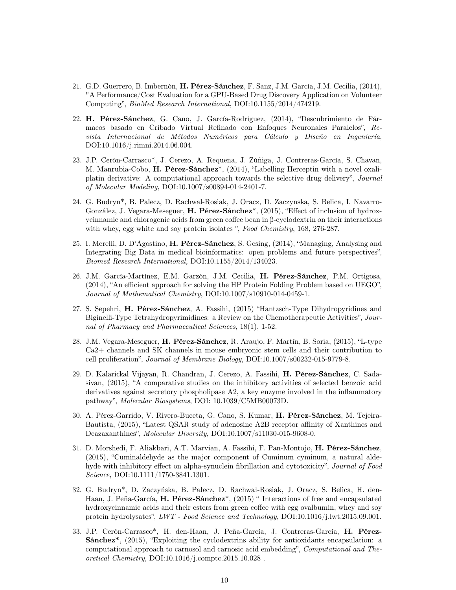- 21. G.D. Guerrero, B. Imbernón, H. Pérez-Sánchez, F. Sanz, J.M. García, J.M. Cecilia, (2014), "A Performance/Cost Evaluation for a GPU-Based Drug Discovery Application on Volunteer Computing", BioMed Research International, DOI:10.1155/2014/474219.
- 22. H. Pérez-Sánchez, G. Cano, J. García-Rodríguez, (2014), "Descubrimiento de Fármacos basado en Cribado Virtual Refinado con Enfoques Neuronales Paralelos", Revista Internacional de Métodos Numéricos para Cálculo y Diseño en Ingeniería, DOI:10.1016/j.rimni.2014.06.004.
- 23. J.P. Cerón-Carrasco\*, J. Cerezo, A. Requena, J. Zúñiga, J. Contreras-García, S. Chavan, M. Manrubia-Cobo, H. Pérez-Sánchez\*, (2014), "Labelling Herceptin with a novel oxaliplatin derivative: A computational approach towards the selective drug delivery", Journal of Molecular Modeling, DOI:10.1007/s00894-014-2401-7.
- 24. G. Budryn\*, B. Palecz, D. Rachwal-Rosiak, J. Oracz, D. Zaczynska, S. Belica, I. Navarro-González, J. Vegara-Meseguer, H. Pérez-Sánchez\*, (2015), "Effect of inclusion of hydroxycinnamic and chlorogenic acids from green coffee bean in β-cyclodextrin on their interactions with whey, egg white and soy protein isolates ", Food Chemistry, 168, 276-287.
- 25. I. Merelli, D. D'Agostino, H. Pérez-Sánchez, S. Gesing, (2014), "Managing, Analysing and Integrating Big Data in medical bioinformatics: open problems and future perspectives", Biomed Research International, DOI:10.1155/2014/134023.
- 26. J.M. García-Martínez, E.M. Garzón, J.M. Cecilia, H. Pérez-Sánchez, P.M. Ortigosa, (2014), "An efficient approach for solving the HP Protein Folding Problem based on UEGO", Journal of Mathematical Chemistry, DOI:10.1007/s10910-014-0459-1.
- 27. S. Sepehri, H. Pérez-Sánchez, A. Fassihi, (2015) "Hantzsch-Type Dihydropyridines and Biginelli-Type Tetrahydropyrimidines: a Review on the Chemotherapeutic Activities", Journal of Pharmacy and Pharmaceutical Sciences, 18(1), 1-52.
- 28. J.M. Vegara-Meseguer, H. Pérez-Sánchez, R. Araujo, F. Martín, B. Soria, (2015), "L-type Ca2+ channels and SK channels in mouse embryonic stem cells and their contribution to cell proliferation", Journal of Membrane Biology, DOI:10.1007/s00232-015-9779-8.
- 29. D. Kalarickal Vijayan, R. Chandran, J. Cerezo, A. Fassihi, H. Pérez-Sánchez, C. Sadasivan, (2015), "A comparative studies on the inhibitory activities of selected benzoic acid derivatives against secretory phospholipase A2, a key enzyme involved in the inflammatory pathway", Molecular Biosystems, DOI: 10.1039/C5MB00073D.
- 30. A. Pérez-Garrido, V. Rivero-Buceta, G. Cano, S. Kumar, H. Pérez-Sánchez, M. Tejeira-Bautista, (2015), "Latest QSAR study of adenosine A2B receptor affinity of Xanthines and Deazaxanthines", Molecular Diversity, DOI:10.1007/s11030-015-9608-0.
- 31. D. Morshedi, F. Aliakbari, A.T. Marvian, A. Fassihi, F. Pan-Montojo, H. Pérez-Sánchez, (2015), "Cuminaldehyde as the major component of Cuminum cyminum, a natural aldehyde with inhibitory effect on alpha-synuclein fibrillation and cytotoxicity", *Journal of Food* Science, DOI:10.1111/1750-3841.1301.
- 32. G. Budryn\*, D. Zaczyńska, B. Pałecz, D. Rachwał-Rosiak, J. Oracz, S. Belica, H. den-Haan, J. Peña-García, H. Pérez-Sánchez\*, (2015) " Interactions of free and encapsulated hydroxycinnamic acids and their esters from green coffee with egg ovalbumin, whey and soy protein hydrolysates", LWT - Food Science and Technology, DOI:10.1016/j.lwt.2015.09.001.
- 33. J.P. Cerón-Carrasco\*, H. den-Haan, J. Peña-García, J. Contreras-García, H. Pérez-Sánchez\*, (2015), "Exploiting the cyclodextrins ability for antioxidants encapsulation: a computational approach to carnosol and carnosic acid embedding", Computational and Theoretical Chemistry, DOI:10.1016/j.comptc.2015.10.028 .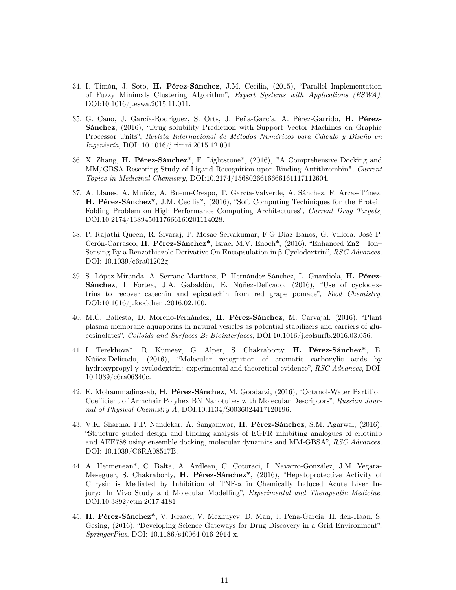- 34. I. Timón, J. Soto, H. Pérez-Sánchez, J.M. Cecilia, (2015), "Parallel Implementation of Fuzzy Minimals Clustering Algorithm", Expert Systems with Applications (ESWA), DOI:10.1016/j.eswa.2015.11.011.
- 35. G. Cano, J. García-Rodríguez, S. Orts, J. Peña-García, A. Pérez-Garrido, H. Pérez-Sánchez, (2016), "Drug solubility Prediction with Support Vector Machines on Graphic Processor Units", Revista Internacional de Métodos Numéricos para Cálculo y Diseño en Ingeniería, DOI: 10.1016/j.rimni.2015.12.001.
- 36. X. Zhang, H. Pérez-Sánchez\*, F. Lightstone\*, (2016), "A Comprehensive Docking and MM/GBSA Rescoring Study of Ligand Recognition upon Binding Antithrombin", Current Topics in Medicinal Chemistry, DOI:10.2174/1568026616666161117112604.
- 37. A. Llanes, A. Muñóz, A. Bueno-Crespo, T. García-Valverde, A. Sánchez, F. Arcas-Túnez, H. Pérez-Sánchez\*, J.M. Cecilia\*, (2016), "Soft Computing Techiniques for the Protein Folding Problem on High Performance Computing Architectures", Current Drug Targets, DOI:10.2174/1389450117666160201114028.
- 38. P. Rajathi Queen, R. Sivaraj, P. Mosae Selvakumar, F.G Díaz Baños, G. Villora, José P. Cerón-Carrasco, H. Pérez-Sánchez\*, Israel M.V. Enoch\*, (2016), "Enhanced Zn2+ Ion– Sensing By a Benzothiazole Derivative On Encapsulation in β-Cyclodextrin", RSC Advances, DOI: 10.1039/c6ra01202g.
- 39. S. López-Miranda, A. Serrano-Martínez, P. Hernández-Sánchez, L. Guardiola, H. Pérez-Sánchez, I. Fortea, J.A. Gabaldón, E. Núñez-Delicado, (2016), "Use of cyclodextrins to recover catechin and epicatechin from red grape pomace", Food Chemistry, DOI:10.1016/j.foodchem.2016.02.100.
- 40. M.C. Ballesta, D. Moreno-Fernández, H. Pérez-Sánchez, M. Carvajal, (2016), "Plant plasma membrane aquaporins in natural vesicles as potential stabilizers and carriers of glucosinolates", Colloids and Surfaces B: Biointerfaces, DOI:10.1016/j.colsurfb.2016.03.056.
- 41. I. Terekhova\*, R. Kumeev, G. Alper, S. Chakraborty, H. Pérez-Sánchez\*, E. Núñez-Delicado, (2016), "Molecular recognition of aromatic carboxylic acids by hydroxypropyl-γ-cyclodextrin: experimental and theoretical evidence", RSC Advances, DOI: 10.1039/c6ra06340c.
- 42. E. Mohammadinasab, H. Pérez-Sánchez, M. Goodarzi, (2016), "Octanol-Water Partition Coefficient of Armchair Polyhex BN Nanotubes with Molecular Descriptors", Russian Journal of Physical Chemistry A, DOI:10.1134/S0036024417120196.
- 43. V.K. Sharma, P.P. Nandekar, A. Sangamwar, H. Pérez-Sánchez, S.M. Agarwal, (2016), "Structure guided design and binding analysis of EGFR inhibiting analogues of erlotinib and AEE788 using ensemble docking, molecular dynamics and MM-GBSA", RSC Advances, DOI: 10.1039/C6RA08517B.
- 44. A. Hermenean\*, C. Balta, A. Ardlean, C. Cotoraci, I. Navarro-González, J.M. Vegara-Meseguer, S. Chakraborty, H. Pérez-Sánchez\*, (2016), "Hepatoprotective Activity of Chrysin is Mediated by Inhibition of TNF-α in Chemically Induced Acute Liver Injury: In Vivo Study and Molecular Modelling", Experimental and Therapeutic Medicine, DOI:10.3892/etm.2017.4181.
- 45. H. Pérez-Sánchez\*, V. Rezaei, V. Mezhuyev, D. Man, J. Peña-García, H. den-Haan, S. Gesing, (2016), "Developing Science Gateways for Drug Discovery in a Grid Environment", SpringerPlus, DOI: 10.1186/s40064-016-2914-x.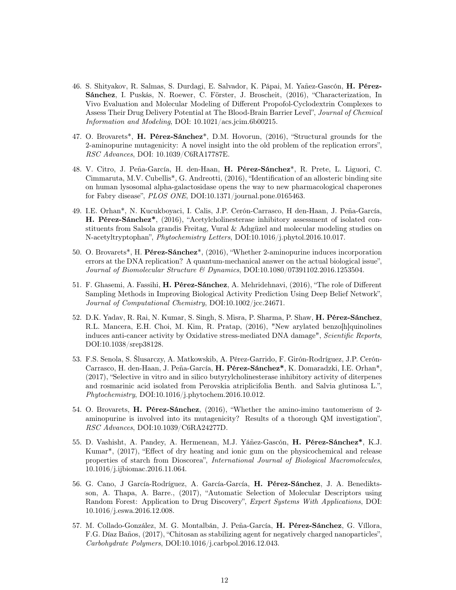- 46. S. Shityakov, R. Salmas, S. Durdagi, E. Salvador, K. Pápai, M. Yañez-Gascón, H. Pérez-Sánchez, I. Puskás, N. Roewer, C. Förster, J. Broscheit, (2016), "Characterization, In Vivo Evaluation and Molecular Modeling of Different Propofol-Cyclodextrin Complexes to Assess Their Drug Delivery Potential at The Blood-Brain Barrier Level", Journal of Chemical Information and Modeling, DOI: 10.1021/acs.jcim.6b00215.
- 47. O. Brovarets\*, H. Pérez-Sánchez\*, D.M. Hovorun, (2016), "Structural grounds for the 2-aminopurine mutagenicity: A novel insight into the old problem of the replication errors", RSC Advances, DOI: 10.1039/C6RA17787E.
- 48. V. Citro, J. Peña-García, H. den-Haan, H. Pérez-Sánchez\*, R. Prete, L. Liguori, C. Cimmaruta, M.V. Cubellis\*, G. Andreotti, (2016), "Identification of an allosteric binding site on human lysosomal alpha-galactosidase opens the way to new pharmacological chaperones for Fabry disease", PLOS ONE, DOI:10.1371/journal.pone.0165463.
- 49. I.E. Orhan\*, N. Kucukboyaci, I. Calis, J.P. Cerón-Carrasco, H den-Haan, J. Peña-García, H. Pérez-Sánchez\*, (2016), "Acetylcholinesterase inhibitory assessment of isolated constituents from Salsola grandis Freitag, Vural & Adıgüzel and molecular modeling studies on N-acetyltryptophan", Phytochemistry Letters, DOI:10.1016/j.phytol.2016.10.017.
- 50. O. Brovarets\*, H. Pérez-Sánchez\*, (2016), "Whether 2-aminopurine induces incorporation errors at the DNA replication? A quantum-mechanical answer on the actual biological issue", Journal of Biomolecular Structure & Dynamics, DOI:10.1080/07391102.2016.1253504.
- 51. F. Ghasemi, A. Fassihi, H. Pérez-Sánchez, A. Mehridehnavi, (2016), "The role of Different Sampling Methods in Improving Biological Activity Prediction Using Deep Belief Network", Journal of Computational Chemistry, DOI:10.1002/jcc.24671.
- 52. D.K. Yadav, R. Rai, N. Kumar, S. Singh, S. Misra, P. Sharma, P. Shaw, H. Pérez-Sánchez, R.L. Mancera, E.H. Choi, M. Kim, R. Pratap, (2016), "New arylated benzo[h]quinolines induces anti-cancer activity by Oxidative stress-mediated DNA damage", Scientific Reports, DOI:10.1038/srep38128.
- 53. F.S. Senola, S. Ślusarczy, A. Matkowskib, A. Pérez-Garrido, F. Girón-Rodríguez, J.P. Cerón-Carrasco, H. den-Haan, J. Peña-García, H. Pérez-Sánchez\*, K. Domaradzki, I.E. Orhan\*, (2017), "Selective in vitro and in silico butyrylcholinesterase inhibitory activity of diterpenes and rosmarinic acid isolated from Perovskia atriplicifolia Benth. and Salvia glutinosa L.", Phytochemistry, DOI:10.1016/j.phytochem.2016.10.012.
- 54. O. Brovarets, H. Pérez-Sánchez, (2016), "Whether the amino-imino tautomerism of 2 aminopurine is involved into its mutagenicity? Results of a thorough QM investigation", RSC Advances, DOI:10.1039/C6RA24277D.
- 55. D. Vashisht, A. Pandey, A. Hermenean, M.J. Yáñez-Gascón, H. Pérez-Sánchez\*, K.J. Kumar\*, (2017), "Effect of dry heating and ionic gum on the physicochemical and release properties of starch from Dioscorea", International Journal of Biological Macromolecules, 10.1016/j.ijbiomac.2016.11.064.
- 56. G. Cano, J García-Rodríguez, A. García-García, H. Pérez-Sánchez, J. A. Benediktsson, A. Thapa, A. Barre., (2017), "Automatic Selection of Molecular Descriptors using Random Forest: Application to Drug Discovery", Expert Systems With Applications, DOI: 10.1016/j.eswa.2016.12.008.
- 57. M. Collado-González, M. G. Montalbán, J. Peña-García, H. Pérez-Sánchez, G. Víllora, F.G. Díaz Baños, (2017), "Chitosan as stabilizing agent for negatively charged nanoparticles", Carbohydrate Polymers, DOI:10.1016/j.carbpol.2016.12.043.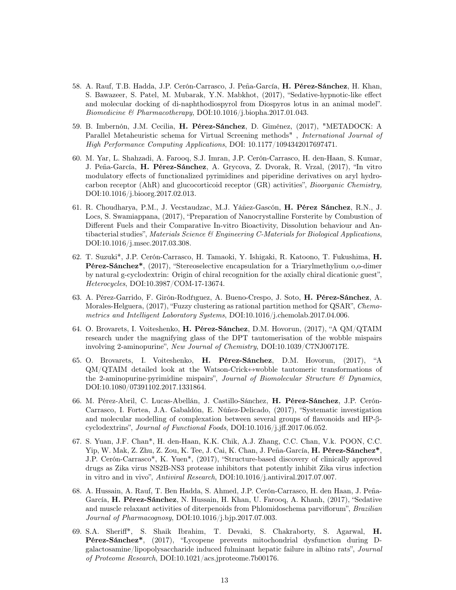- 58. A. Rauf, T.B. Hadda, J.P. Cerón-Carrasco, J. Peña-García, H. Pérez-Sánchez, H. Khan, S. Bawazeer, S. Patel, M. Mubarak, Y.N. Mabkhot, (2017), "Sedative-hypnotic-like effect and molecular docking of di-naphthodiospyrol from Diospyros lotus in an animal model". Biomedicine & Pharmacotherapy, DOI:10.1016/j.biopha.2017.01.043.
- 59. B. Imbernón, J.M. Cecilia, H. Pérez-Sánchez, D. Giménez, (2017), "METADOCK: A Parallel Metaheuristic schema for Virtual Screening methods" , International Journal of High Performance Computing Applications, DOI: 10.1177/1094342017697471.
- 60. M. Yar, L. Shahzadi, A. Farooq, S.J. Imran, J.P. Cerón-Carrasco, H. den-Haan, S. Kumar, J. Peña-García, H. Pérez-Sánchez, A. Grycova, Z. Dvorak, R. Vrzal, (2017), "In vitro modulatory effects of functionalized pyrimidines and piperidine derivatives on aryl hydrocarbon receptor (AhR) and glucocorticoid receptor (GR) activities", Bioorganic Chemistry, DOI:10.1016/j.bioorg.2017.02.013.
- 61. R. Choudharya, P.M., J. Vecstaudzac, M.J. Yáñez-Gascón, H. Pérez Sánchez, R.N., J. Locs, S. Swamiappana, (2017), "Preparation of Nanocrystalline Forsterite by Combustion of Different Fuels and their Comparative In-vitro Bioactivity, Dissolution behaviour and Antibacterial studies", Materials Science  $\mathcal B$  Engineering C-Materials for Biological Applications, DOI:10.1016/j.msec.2017.03.308.
- 62. T. Suzuki\*, J.P. Cerón-Carrasco, H. Tamaoki, Y. Ishigaki, R. Katoono, T. Fukushima, H. Pérez-Sánchez\*, (2017), "Stereoselective encapsulation for a Triarylmethylium o,o-dimer by natural g-cyclodextrin: Origin of chiral recognition for the axially chiral dicationic guest", Heterocycles, DOI:10.3987/COM-17-13674.
- 63. A. Pérez-Garrido, F. Girón-Rodŕıguez, A. Bueno-Crespo, J. Soto, H. Pérez-Sánchez, A. Morales-Helguera, (2017), "Fuzzy clustering as rational partition method for QSAR", Chemometrics and Intelligent Laboratory Systems, DOI:10.1016/j.chemolab.2017.04.006.
- 64. O. Brovarets, I. Voiteshenko, H. Pérez-Sánchez, D.M. Hovorun, (2017), "A QM/QTAIM research under the magnifying glass of the DPT tautomerisation of the wobble mispairs involving 2-aminopurine", New Journal of Chemistry, DOI:10.1039/C7NJ00717E.
- 65. O. Brovarets, I. Voiteshenko, H. Pérez-Sánchez, D.M. Hovorun, (2017), "A  $QM/QTAIM$  detailed look at the Watson-Crick $\leftrightarrow$ wobble tautomeric transformations of the 2-aminopurine-pyrimidine mispairs", Journal of Biomolecular Structure  $\mathcal{C}$  Dynamics, DOI:10.1080/07391102.2017.1331864.
- 66. M. Pérez-Abril, C. Lucas-Abellán, J. Castillo-Sánchez, H. Pérez-Sánchez, J.P. Cerón-Carrasco, I. Fortea, J.A. Gabaldón, E. Núñez-Delicado, (2017), "Systematic investigation and molecular modelling of complexation between several groups of flavonoids and HP-βcyclodextrins", Journal of Functional Foods, DOI:10.1016/j.jff.2017.06.052.
- 67. S. Yuan, J.F. Chan\*, H. den-Haan, K.K. Chik, A.J. Zhang, C.C. Chan, V.k. POON, C.C. Yip, W. Mak, Z. Zhu, Z. Zou, K. Tee, J. Cai, K. Chan, J. Peña-García, H. Pérez-Sánchez\*, J.P. Cerón-Carrasco\*, K. Yuen\*, (2017), "Structure-based discovery of clinically approved drugs as Zika virus NS2B-NS3 protease inhibitors that potently inhibit Zika virus infection in vitro and in vivo", Antiviral Research, DOI:10.1016/j.antiviral.2017.07.007.
- 68. A. Hussain, A. Rauf, T. Ben Hadda, S. Ahmed, J.P. Cerón-Carrasco, H. den Haan, J. Peña-García, H. Pérez-Sánchez, N. Hussain, H. Khan, U. Farooq, A. Khanh, (2017), "Sedative and muscle relaxant activities of diterpenoids from Phlomidoschema parviflorum", Brazilian Journal of Pharmacognosy, DOI:10.1016/j.bjp.2017.07.003.
- 69. S.A. Sheriff\*, S. Shaik Ibrahim, T. Devaki, S. Chakraborty, S. Agarwal, H. Pérez-Sánchez\*, (2017), "Lycopene prevents mitochondrial dysfunction during Dgalactosamine/lipopolysaccharide induced fulminant hepatic failure in albino rats", Journal of Proteome Research, DOI:10.1021/acs.jproteome.7b00176.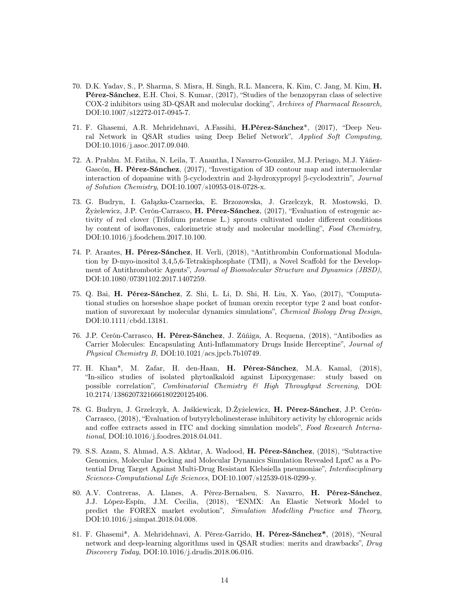- 70. D.K. Yadav, S., P. Sharma, S. Misra, H. Singh, R.L. Mancera, K. Kim, C. Jang, M. Kim, H. Pérez-Sánchez, E.H. Choi, S. Kumar, (2017), "Studies of the benzopyran class of selective COX-2 inhibitors using 3D-QSAR and molecular docking", Archives of Pharmacal Research, DOI:10.1007/s12272-017-0945-7.
- 71. F. Ghasemi, A.R. Mehridehnavi, A.Fassihi, H.Pérez-Sánchez\*, (2017), "Deep Neural Network in QSAR studies using Deep Belief Network", Applied Soft Computing, DOI:10.1016/j.asoc.2017.09.040.
- 72. A. Prabhu. M. Fatiha, N. Leila, T. Anantha, I Navarro-González, M.J. Periago, M.J. Yáñez-Gascón, H. Pérez-Sánchez, (2017), "Investigation of 3D contour map and intermolecular interaction of dopamine with β-cyclodextrin and 2-hydroxypropyl β-cyclodextrin", Journal of Solution Chemistry, DOI:10.1007/s10953-018-0728-x.
- 73. G. Budryn, I. Gałązka-Czarnecka, E. Brzozowska, J. Grzelczyk, R. Mostowski, D. Żyżelewicz, J.P. Cerón-Carrasco, H. Pérez-Sánchez, (2017), "Evaluation of estrogenic activity of red clover (Trifolium pratense L.) sprouts cultivated under different conditions by content of isoflavones, calorimetric study and molecular modelling", Food Chemistry, DOI:10.1016/j.foodchem.2017.10.100.
- 74. P. Arantes, H. Pérez-Sánchez, H. Verli, (2018), "Antithrombin Conformational Modulation by D-myo-inositol 3,4,5,6-Tetrakisphosphate (TMI), a Novel Scaffold for the Development of Antithrombotic Agents", Journal of Biomolecular Structure and Dynamics (JBSD), DOI:10.1080/07391102.2017.1407259.
- 75. Q. Bai, H. Pérez-Sánchez, Z. Shi, L. Li, D. Shi, H. Liu, X. Yao, (2017), "Computational studies on horseshoe shape pocket of human orexin receptor type 2 and boat conformation of suvorexant by molecular dynamics simulations", Chemical Biology Drug Design, DOI:10.1111/cbdd.13181.
- 76. J.P. Cerón-Carrasco, H. Pérez-Sánchez, J. Zúñiga, A. Requena, (2018), "Antibodies as Carrier Molecules: Encapsulating Anti-Inflammatory Drugs Inside Herceptine", Journal of Physical Chemistry B, DOI:10.1021/acs.jpcb.7b10749.
- 77. H. Khan\*, M. Zafar, H. den-Haan, H. Pérez-Sánchez, M.A. Kamal, (2018), "In-silico studies of isolated phytoalkaloid against Lipoxygenase: study based on possible correlation", Combinatorial Chemistry & High Throughput Screening, DOI: 10.2174/1386207321666180220125406.
- 78. G. Budryn, J. Grzelczyk, A. Jaśkiewiczk, D.Żyżelewicz, H. Pérez-Sánchez, J.P. Cerón-Carrasco, (2018), "Evaluation of butyrylcholinesterase inhibitory activity by chlorogenic acids and coffee extracts assed in ITC and docking simulation models", Food Research International, DOI:10.1016/j.foodres.2018.04.041.
- 79. S.S. Azam, S. Ahmad, A.S. Akhtar, A. Wadood, H. Pérez-Sánchez, (2018), "Subtractive Genomics, Molecular Docking and Molecular Dynamics Simulation Revealed LpxC as a Potential Drug Target Against Multi-Drug Resistant Klebsiella pneumoniae", Interdisciplinary Sciences-Computational Life Sciences, DOI:10.1007/s12539-018-0299-y.
- 80. A.V. Contreras, A. Llanes, A. Pérez-Bernabeu, S. Navarro, H. Pérez-Sánchez, J.J. López-Espín, J.M. Cecilia, (2018), "ENMX: An Elastic Network Model to predict the FOREX market evolution", Simulation Modelling Practice and Theory, DOI:10.1016/j.simpat.2018.04.008.
- 81. F. Ghasemi\*, A. Mehridehnavi, A. Pérez-Garrido, H. Pérez-Sánchez\*, (2018), "Neural network and deep-learning algorithms used in QSAR studies: merits and drawbacks", Drug Discovery Today, DOI:10.1016/j.drudis.2018.06.016.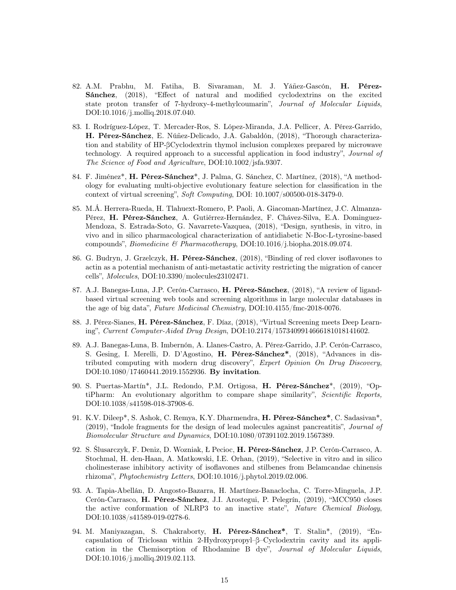- 82. A.M. Prabhu, M. Fatiha, B. Sivaraman, M. J. Yáñez-Gascón, H. Pérez-Sánchez, (2018), "Effect of natural and modified cyclodextrins on the excited state proton transfer of 7-hydroxy-4-methylcoumarin", Journal of Molecular Liquids, DOI:10.1016/j.molliq.2018.07.040.
- 83. I. Rodríguez-López, T. Mercader-Ros, S. López-Miranda, J.A. Pellicer, A. Pérez-Garrido, H. Pérez-Sánchez, E. Núñez-Delicado, J.A. Gabaldón, (2018), "Thorough characterization and stability of HP-βCyclodextrin thymol inclusion complexes prepared by microwave technology. A required approach to a successful application in food industry", Journal of The Science of Food and Agriculture, DOI:10.1002/jsfa.9307.
- 84. F. Jiménez\*, H. Pérez-Sánchez\*, J. Palma, G. Sánchez, C. Martínez, (2018), "A methodology for evaluating multi-objective evolutionary feature selection for classification in the context of virtual screening", Soft Computing, DOI: 10.1007/s00500-018-3479-0.
- 85. M.Á. Herrera-Rueda, H. Tlahuext-Romero, P. Paoli, A. Giacoman-Martínez, J.C. Almanza-Pérez, H. Pérez-Sánchez, A. Gutiérrez-Hernández, F. Chávez-Silva, E.A. Dominguez-Mendoza, S. Estrada-Soto, G. Navarrete-Vazquea, (2018), "Design, synthesis, in vitro, in vivo and in silico pharmacological characterization of antidiabetic N-Boc-L-tyrosine-based compounds", Biomedicine & Pharmacotherapy, DOI:10.1016/j.biopha.2018.09.074.
- 86. G. Budryn, J. Grzelczyk, H. Pérez-Sánchez, (2018), "Binding of red clover isoflavones to actin as a potential mechanism of anti-metastatic activity restricting the migration of cancer cells", Molecules, DOI:10.3390/molecules23102471.
- 87. A.J. Banegas-Luna, J.P. Cerón-Carrasco, H. Pérez-Sánchez, (2018), "A review of ligandbased virtual screening web tools and screening algorithms in large molecular databases in the age of big data", Future Medicinal Chemistry, DOI:10.4155/fmc-2018-0076.
- 88. J. Pérez-Sianes, H. Pérez-Sánchez, F. Díaz, (2018), "Virtual Screening meets Deep Learning", Current Computer-Aided Drug Design, DOI:10.2174/1573409914666181018141602.
- 89. A.J. Banegas-Luna, B. Imbernón, A. Llanes-Castro, A. Pérez-Garrido, J.P. Cerón-Carrasco, S. Gesing, I. Merelli, D. D'Agostino, H. Pérez-Sánchez\*, (2018), "Advances in distributed computing with modern drug discovery", Expert Opinion On Drug Discovery, DOI:10.1080/17460441.2019.1552936. By invitation.
- 90. S. Puertas-Martín\*, J.L. Redondo, P.M. Ortigosa, H. Pérez-Sánchez\*, (2019), "OptiPharm: An evolutionary algorithm to compare shape similarity", Scientific Reports, DOI:10.1038/s41598-018-37908-6.
- 91. K.V. Dileep\*, S. Ashok, C. Remya, K.Y. Dharmendra, H. Pérez-Sánchez\*, C. Sadasivan\*, (2019), "Indole fragments for the design of lead molecules against pancreatitis", Journal of Biomolecular Structure and Dynamics, DOI:10.1080/07391102.2019.1567389.
- 92. S. Ślusarczyk, F. Deniz, D. Wozniak, Ł Pecioc, H. Pérez-Sánchez, J.P. Cerón-Carrasco, A. Stochmal, H. den-Haan, A. Matkowski, I.E. Orhan, (2019), "Selective in vitro and in silico cholinesterase inhibitory activity of isoflavones and stilbenes from Belamcandae chinensis rhizoma", Phytochemistry Letters, DOI:10.1016/j.phytol.2019.02.006.
- 93. A. Tapia-Abellán, D. Angosto-Bazarra, H. Martínez-Banaclocha, C. Torre-Minguela, J.P. Cerón-Carrasco, H. Pérez-Sánchez, J.I. Arostegui, P. Pelegrín, (2019), "MCC950 closes the active conformation of NLRP3 to an inactive state", Nature Chemical Biology, DOI:10.1038/s41589-019-0278-6.
- 94. M. Maniyazagan, S. Chakraborty, H. Pérez-Sánchez\*, T. Stalin\*, (2019), "Encapsulation of Triclosan within 2-Hydroxypropyl–β–Cyclodextrin cavity and its application in the Chemisorption of Rhodamine B dye", Journal of Molecular Liquids, DOI:10.1016/j.molliq.2019.02.113.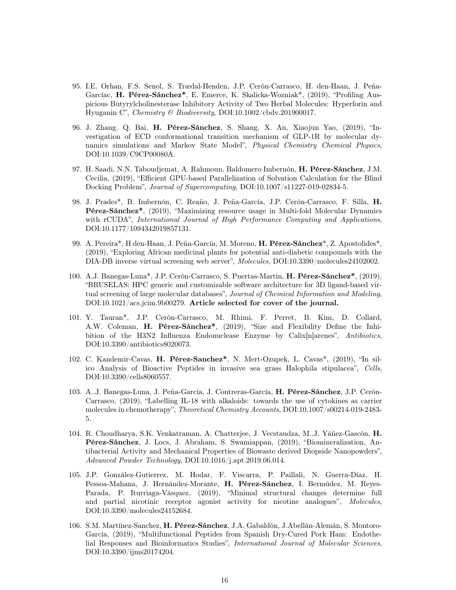- 95. I.E. Orhan, F.S. Senol, S. Trædal-Henden, J.P. Cerón-Carrasco, H. den-Haan, J. Peña-Garcíac, H. Pérez-Sánchez\*, E. Emerce, K. Skalicka-Wozniak\*, (2019), "Profiling Auspicious Butyrylcholinesterase Inhibitory Activity of Two Herbal Molecules: Hyperforin and Hyuganin C", Chemistry & Biodiversity, DOI:10.1002/cbdv.201900017.
- 96. J. Zhang, Q. Bai, H. Pérez-Sánchez, S. Shang, X. An, Xiaojun Yao, (2019), "Investigation of ECD conformational transition mechanism of GLP-1R by molecular dynamics simulations and Markov State Model", Physical Chemistry Chemical Physics, DOI:10.1039/C9CP00080A.
- 97. H. Saadi, N.N. Taboudjemat, A. Rahmoun, Baldomero Imbernón, H. Pérez-Sánchez, J.M. Cecilia, (2019), "Efficient GPU-based Parallelization of Solvation Calculation for the Blind Docking Problem", Journal of Supercomputing, DOI:10.1007/s11227-019-02834-5.
- 98. J. Prades\*, B. Imbernón, C. Reaño, J. Peña-García, J.P. Cerón-Carrasco, F. Silla, H. Pérez-Sánchez\*, (2019), "Maximizing resource usage in Multi-fold Molecular Dynamics with rCUDA", International Journal of High Performance Computing and Applications, DOI:10.1177/1094342019857131.
- 99. A. Pereira\*, H den-Haan, J. Peña-García, M. Moreno, H. Pérez-Sánchez\*, Z. Apostolides\*, (2019), "Exploring African medicinal plants for potential anti-diabetic compounds with the DIA-DB inverse virtual screening web server", Molecules, DOI:10.3390/molecules24102002.
- 100. A.J. Banegas-Luna\*, J.P. Cerón-Carrasco, S. Puertas-Martin, H. Pérez-Sánchez\*, (2019), "BRUSELAS: HPC generic and customizable software architecture for 3D ligand-based virtual screening of large molecular databases", Journal of Chemical Information and Modeling, DOI:10.1021/acs.jcim.9b00279. Article selected for cover of the journal.
- 101. Y. Tauran\*, J.P. Cerón-Carrasco, M. Rhimi, F. Perret, B. Kim, D. Collard, A.W. Coleman, H. Pérez-Sánchez\*, (2019), "Size and Flexibility Define the Inhibition of the H3N2 Influenza Endonuclease Enzyme by Calix[n]arenes", Antibiotics, DOI:10.3390/antibiotics8020073.
- 102. C. Kandemir-Cavas, H. Pérez-Sanchez\*, N. Mert-Ozupek, L. Cavas\*, (2019), "In silico Analysis of Bioactive Peptides in invasive sea grass Halophila stipulacea", Cells, DOI:10.3390/cells8060557.
- 103. A..J. Banegas-Luna, J. Peña-García, J. Contreras-García, H. Pérez-Sánchez, J.P. Cerón-Carrasco, (2019), "Labelling IL-18 with alkaloids: towards the use of cytokines as carrier molecules in chemotherapy", Theoretical Chemistry Accounts, DOI:10.1007/s00214-019-2483- 5.
- 104. R. Choudharya, S.K. Venkatraman, A. Chatterjee, J. Vecstaudza, M..J. Yáñez-Gascón, H. Pérez-Sánchez, J. Locs, J. Abraham, S. Swamiappan, (2019), "Biomineralization, Antibacterial Activity and Mechanical Properties of Biowaste derived Diopside Nanopowders", Advanced Powder Technology, DOI:10.1016/j.apt.2019.06.014.
- 105. J.P. González-Gutierrez, M. Hodar, F. Viscarra, P. Paillali, N. Guerra-Díaz, H. Pessoa-Mahana, J. Hernández-Morante, H. Pérez-Sánchez, I. Bermúdez, M. Reyes-Parada, P. Iturriaga-Vásquez, (2019), "Minimal structural changes determine full and partial nicotinic receptor agonist activity for nicotine analogues", Molecules, DOI:10.3390/molecules24152684.
- 106. S.M. Martínez-Sanchez, H. Pérez-Sánchez, J.A. Gabaldón, J.Abellán-Alemán, S. Montoro-García, (2019), "Multifunctional Peptides from Spanish Dry-Cured Pork Ham: Endothelial Responses and Bioinformatics Studies", International Journal of Molecular Sciences, DOI:10.3390/ijms20174204.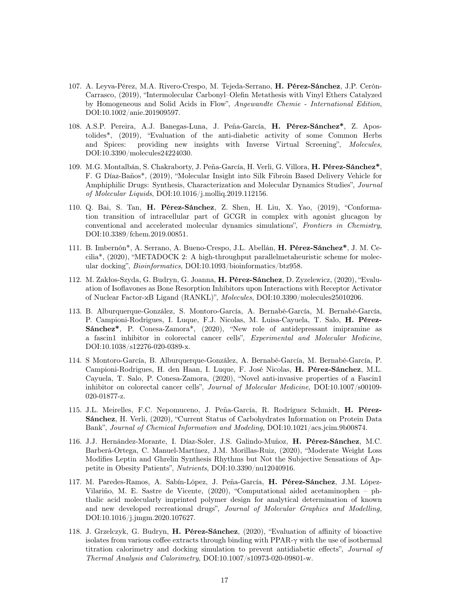- 107. A. Leyva-Pérez, M.A. Rivero-Crespo, M. Tejeda-Serrano, H. Pérez-Sánchez, J.P. Cerón-Carrasco, (2019), "Intermolecular Carbonyl–Olefin Metathesis with Vinyl Ethers Catalyzed by Homogeneous and Solid Acids in Flow", Angewandte Chemie - International Edition, DOI:10.1002/anie.201909597.
- 108. A.S.P. Pereira, A.J. Banegas-Luna, J. Peña-García, H. Pérez-Sánchez\*, Z. Apostolides\*, (2019), "Evaluation of the anti-diabetic activity of some Common Herbs and Spices: providing new insights with Inverse Virtual Screening", Molecules, DOI:10.3390/molecules24224030.
- 109. M.G. Montalbán, S. Chakraborty, J. Peña-García, H. Verli, G. Villora, H. Pérez-Sánchez\*, F. G Díaz-Baños\*, (2019), "Molecular Insight into Silk Fibroin Based Delivery Vehicle for Amphiphilic Drugs: Synthesis, Characterization and Molecular Dynamics Studies", Journal of Molecular Liquids, DOI:10.1016/j.molliq.2019.112156.
- 110. Q. Bai, S. Tan, H. Pérez-Sánchez, Z. Shen, H. Liu, X. Yao, (2019), "Conformation transition of intracellular part of GCGR in complex with agonist glucagon by conventional and accelerated molecular dynamics simulations", Frontiers in Chemistry, DOI:10.3389/fchem.2019.00851.
- 111. B. Imbernón\*, A. Serrano, A. Bueno-Crespo, J.L. Abellán, H. Pérez-Sánchez\*, J. M. Cecilia\*, (2020), "METADOCK 2: A high-throughput parallelmetaheuristic scheme for molecular docking", Bioinformatics, DOI:10.1093/bioinformatics/btz958.
- 112. M. Zakłos-Szyda, G. Budryn, G. Joanna, H. Pérez-Sánchez, D. Zyzelewicz, (2020), "Evaluation of Isoflavones as Bone Resorption Inhibitors upon Interactions with Receptor Activator of Nuclear Factor-κB Ligand (RANKL)", Molecules, DOI:10.3390/molecules25010206.
- 113. B. Alburquerque-González, S. Montoro-García, A. Bernabé-García, M. Bernabé-García, P. Campioni-Rodrigues, I. Luque, F.J. Nicolas, M. Luisa-Cayuela, T. Salo, H. Pérez-Sánchez\*, P. Conesa-Zamora\*, (2020), "New role of antidepressant imipramine as a fascin1 inhibitor in colorectal cancer cells", Experimental and Molecular Medicine, DOI:10.1038/s12276-020-0389-x.
- 114. S Montoro-García, B. Alburquerque-González, A. Bernabé-García, M. Bernabé-García, P. Campioni-Rodrigues, H. den Haan, I. Luque, F. José Nicolas, H. Pérez-Sánchez, M.L. Cayuela, T. Salo, P. Conesa-Zamora, (2020), "Novel anti-invasive properties of a Fascin1 inhibitor on colorectal cancer cells", Journal of Molecular Medicine, DOI:10.1007/s00109- 020-01877-z.
- 115. J.L. Meirelles, F.C. Nepomuceno, J. Peña-García, R. Rodríguez Schmidt, H. Pérez-Sánchez, H. Verli, (2020), "Current Status of Carbohydrates Information on Protein Data Bank", Journal of Chemical Information and Modeling, DOI:10.1021/acs.jcim.9b00874.
- 116. J.J. Hernández-Morante, I. Díaz-Soler, J.S. Galindo-Muñoz, H. Pérez-Sánchez, M.C. Barberá-Ortega, C. Manuel-Martínez, J.M. Morillas-Ruiz, (2020), "Moderate Weight Loss Modifies Leptin and Ghrelin Synthesis Rhythms but Not the Subjective Sensations of Appetite in Obesity Patients", Nutrients, DOI:10.3390/nu12040916.
- 117. M. Paredes-Ramos, A. Sabín-López, J. Peña-García, H. Pérez-Sánchez, J.M. López-Vilariño, M. E. Sastre de Vicente, (2020), "Computational aided acetaminophen – phthalic acid molecularly imprinted polymer design for analytical determination of known and new developed recreational drugs", Journal of Molecular Graphics and Modelling, DOI:10.1016/j.jmgm.2020.107627.
- 118. J. Grzelczyk, G. Budryn, H. Pérez-Sánchez, (2020), "Evaluation of affinity of bioactive isolates from various coffee extracts through binding with PPAR-γ with the use of isothermal titration calorimetry and docking simulation to prevent antidiabetic effects", Journal of Thermal Analysis and Calorimetry, DOI:10.1007/s10973-020-09801-w.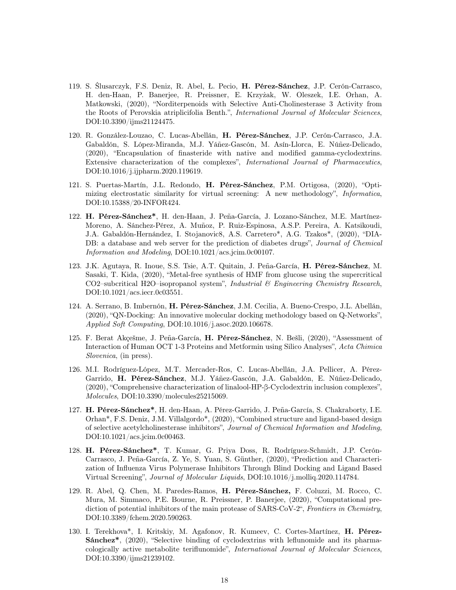- 119. S. Ślusarczyk, F.S. Deniz, R. Abel, Ł. Pecio, H. Pérez-Sánchez, J.P. Cerón-Carrasco, H. den-Haan, P. Banerjee, R. Preissner, E. Krzyżak, W. Oleszek, I.E. Orhan, A. Matkowski, (2020), "Norditerpenoids with Selective Anti-Cholinesterase 3 Activity from the Roots of Perovskia atriplicifolia Benth.", International Journal of Molecular Sciences, DOI:10.3390/ijms21124475.
- 120. R. González-Louzao, C. Lucas-Abellán, H. Pérez-Sánchez, J.P. Cerón-Carrasco, J.A. Gabaldón, S. López-Miranda, M.J. Yáñez-Gascón, M. Asín-Llorca, E. Núñez-Delicado, (2020), "Encapsulation of finasteride with native and modified gamma-cyclodextrins. Extensive characterization of the complexes", International Journal of Pharmaceutics, DOI:10.1016/j.ijpharm.2020.119619.
- 121. S. Puertas-Martín, J.L. Redondo, H. Pérez-Sánchez, P.M. Ortigosa, (2020), "Optimizing electrostatic similarity for virtual screening: A new methodology", Informatica, DOI:10.15388/20-INFOR424.
- 122. H. Pérez-Sánchez\*, H. den-Haan, J. Peña-García, J. Lozano-Sánchez, M.E. Martínez-Moreno, A. Sánchez-Pérez, A. Muñoz, P. Ruiz-Espinosa, A.S.P. Pereira, A. Katsikoudi, J.A. Gabaldón-Hernández, I. Stojanovic8, A.S. Carretero\*, A.G. Tzakos\*, (2020), "DIA-DB: a database and web server for the prediction of diabetes drugs", *Journal of Chemical* Information and Modeling, DOI:10.1021/acs.jcim.0c00107.
- 123. J.K. Agutaya, R. Inoue, S.S. Tsie, A.T. Quitain, J. Peña-García, H. Pérez-Sánchez, M. Sasaki, T. Kida, (2020), "Metal-free synthesis of HMF from glucose using the supercritical CO2–subcritical H2O–isopropanol system", Industrial & Engineering Chemistry Research, DOI:10.1021/acs.iecr.0c03551.
- 124. A. Serrano, B. Imbernón, H. Pérez-Sánchez, J.M. Cecilia, A. Bueno-Crespo, J.L. Abellán, (2020), "QN-Docking: An innovative molecular docking methodology based on Q-Networks", Applied Soft Computing, DOI:10.1016/j.asoc.2020.106678.
- 125. F. Berat Akçešme, J. Peña-García, H. Pérez-Sánchez, N. Bešli, (2020), "Assessment of Interaction of Human OCT 1-3 Proteins and Metformin using Silico Analyses", Acta Chimica Slovenica, (in press).
- 126. M.I. Rodríguez-López, M.T. Mercader-Ros, C. Lucas-Abellán, J.A. Pellicer, A. Pérez-Garrido, H. Pérez-Sánchez, M.J. Yáñez-Gascón, J.A. Gabaldón, E. Núñez-Delicado, (2020), "Comprehensive characterization of linalool-HP-β-Cyclodextrin inclusion complexes", Molecules, DOI:10.3390/molecules25215069.
- 127. H. Pérez-Sánchez\*, H. den-Haan, A. Pérez-Garrido, J. Peña-García, S. Chakraborty, I.E. Orhan\*, F.S. Deniz, J.M. Villalgordo\*, (2020), "Combined structure and ligand-based design of selective acetylcholinesterase inhibitors", Journal of Chemical Information and Modeling, DOI:10.1021/acs.jcim.0c00463.
- 128. H. Pérez-Sánchez\*, T. Kumar, G. Priya Doss, R. Rodríguez-Schmidt, J.P. Cerón-Carrasco, J. Peña-García, Z. Ye, S. Yuan, S. Günther, (2020), "Prediction and Characterization of Influenza Virus Polymerase Inhibitors Through Blind Docking and Ligand Based Virtual Screening", Journal of Molecular Liquids, DOI:10.1016/j.molliq.2020.114784.
- 129. R. Abel, Q. Chen, M. Paredes-Ramos, H. Pérez-Sánchez, F. Coluzzi, M. Rocco, C. Mura, M. Simmaco, P.E. Bourne, R. Preissner, P. Banerjee, (2020), "Computational prediction of potential inhibitors of the main protease of SARS-CoV-2", Frontiers in Chemistry, DOI:10.3389/fchem.2020.590263.
- 130. I. Terekhova\*, I. Kritskiy, M. Agafonov, R. Kumeev, C. Cortes-Martínez, H. Pérez-Sánchez\*, (2020), "Selective binding of cyclodextrins with leflunomide and its pharmacologically active metabolite teriflunomide", International Journal of Molecular Sciences, DOI:10.3390/ijms21239102.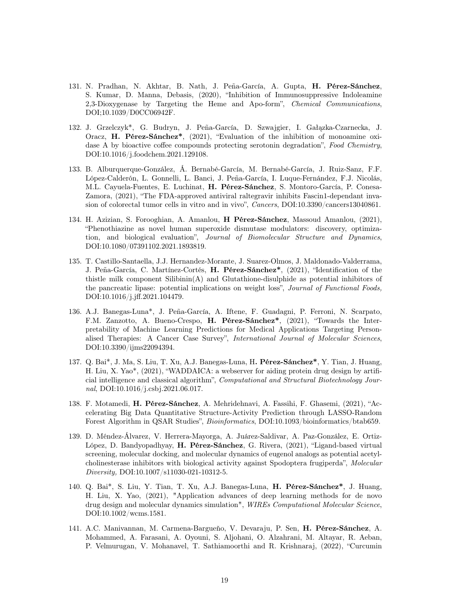- 131. N. Pradhan, N. Akhtar, B. Nath, J. Peña-García, A. Gupta, H. Pérez-Sánchez, S. Kumar, D. Manna, Debasis, (2020), "Inhibition of Immunosuppressive Indoleamine 2,3-Dioxygenase by Targeting the Heme and Apo-form", Chemical Communications, DOI;10.1039/D0CC06942F.
- 132. J. Grzelczyk\*, G. Budryn, J. Peña-García, D. Szwajgier, I. Gałązka-Czarnecka, J. Oracz, H. Pérez-Sánchez\*, (2021), "Evaluation of the inhibition of monoamine oxidase A by bioactive coffee compounds protecting serotonin degradation", Food Chemistry, DOI:10.1016/j.foodchem.2021.129108.
- 133. B. Alburquerque-González, Á. Bernabé-García, M. Bernabé-García, J. Ruiz-Sanz, F.F. López-Calderón, L. Gonnelli, L. Banci, J. Peña-García, I. Luque-Fernández, F.J. Nicolás, M.L. Cayuela-Fuentes, E. Luchinat, H. Pérez-Sánchez, S. Montoro-García, P. Conesa-Zamora, (2021), "The FDA-approved antiviral raltegravir inhibits Fascin1-dependant invasion of colorectal tumor cells in vitro and in vivo", Cancers, DOI:10.3390/cancers13040861.
- 134. H. Azizian, S. Forooghian, A. Amanlou, H Pérez-Sánchez, Massoud Amanlou, (2021), "Phenothiazine as novel human superoxide dismutase modulators: discovery, optimization, and biological evaluation", Journal of Biomolecular Structure and Dynamics, DOI:10.1080/07391102.2021.1893819.
- 135. T. Castillo-Santaella, J.J. Hernandez-Morante, J. Suarez-Olmos, J. Maldonado-Valderrama, J. Peña-García, C. Martínez-Cortés, H. Pérez-Sánchez\*, (2021), "Identification of the thistle milk component  $Silibinin(A)$  and Glutathione-disulphide as potential inhibitors of the pancreatic lipase: potential implications on weight loss", Journal of Functional Foods, DOI:10.1016/j.jff.2021.104479.
- 136. A.J. Banegas-Luna\*, J. Peña-García, A. Iftene, F. Guadagni, P. Ferroni, N. Scarpato, F.M. Zanzotto, A. Bueno-Crespo, H. Pérez-Sánchez\*, (2021), "Towards the Interpretability of Machine Learning Predictions for Medical Applications Targeting Personalised Therapies: A Cancer Case Survey", International Journal of Molecular Sciences, DOI:10.3390/ijms22094394.
- 137. Q. Bai\*, J. Ma, S. Liu, T. Xu, A.J. Banegas-Luna, H. Pérez-Sánchez\*, Y. Tian, J. Huang, H. Liu, X. Yao\*, (2021), "WADDAICA: a webserver for aiding protein drug design by artificial intelligence and classical algorithm", Computational and Structural Biotechnology Journal, DOI:10.1016/j.csbj.2021.06.017.
- 138. F. Motamedi, H. Pérez-Sánchez, A. Mehridehnavi, A. Fassihi, F. Ghasemi, (2021), "Accelerating Big Data Quantitative Structure-Activity Prediction through LASSO-Random Forest Algorithm in QSAR Studies", Bioinformatics, DOI:10.1093/bioinformatics/btab659.
- 139. D. Méndez-Álvarez, V. Herrera-Mayorga, A. Juárez-Saldivar, A. Paz-González, E. Ortiz-López, D. Bandyopadhyay, H. Pérez-Sánchez, G. Rivera, (2021), "Ligand-based virtual screening, molecular docking, and molecular dynamics of eugenol analogs as potential acetylcholinesterase inhibitors with biological activity against Spodoptera frugiperda", Molecular Diversity, DOI:10.1007/s11030-021-10312-5.
- 140. Q. Bai\*, S. Liu, Y. Tian, T. Xu, A.J. Banegas-Luna, H. Pérez-Sánchez\*, J. Huang, H. Liu, X. Yao, (2021), "Application advances of deep learning methods for de novo drug design and molecular dynamics simulation", WIREs Computational Molecular Science, DOI:10.1002/wcms.1581.
- 141. A.C. Manivannan, M. Carmena-Bargueňo, V. Devaraju, P. Sen, H. Pérez-Sánchez, A. Mohammed, A. Farasani, A. Oyouni, S. Aljohani, O. Alzahrani, M. Altayar, R. Aeban, P. Velmurugan, V. Mohanavel, T. Sathiamoorthi and R. Krishnaraj, (2022), "Curcumin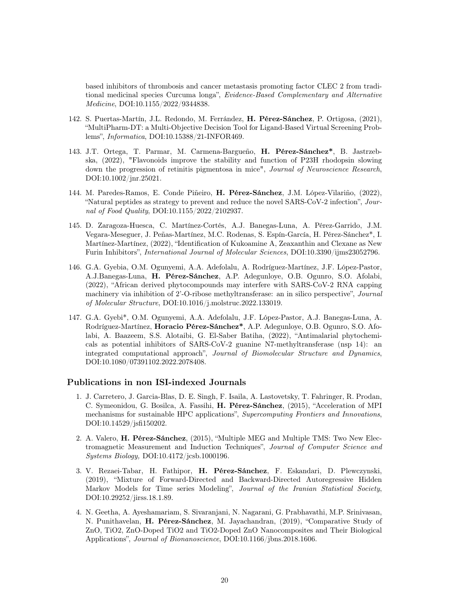based inhibitors of thrombosis and cancer metastasis promoting factor CLEC 2 from traditional medicinal species Curcuma longa", Evidence-Based Complementary and Alternative Medicine, DOI:10.1155/2022/9344838.

- 142. S. Puertas-Martín, J.L. Redondo, M. Ferrández, H. Pérez-Sánchez, P. Ortigosa, (2021), "MultiPharm-DT: a Multi-Objective Decision Tool for Ligand-Based Virtual Screening Problems", Informatica, DOI:10.15388/21-INFOR469.
- 143. J.T. Ortega, T. Parmar, M. Carmena-Bargueño, H. Pérez-Sánchez\*, B. Jastrzebska, (2022), "Flavonoids improve the stability and function of P23H rhodopsin slowing down the progression of retinitis pigmentosa in mice", Journal of Neuroscience Research, DOI:10.1002/jnr.25021.
- 144. M. Paredes-Ramos, E. Conde Piñeiro, H. Pérez-Sánchez, J.M. López-Vilariño, (2022), "Natural peptides as strategy to prevent and reduce the novel SARS-CoV-2 infection", Journal of Food Quality, DOI:10.1155/2022/2102937.
- 145. D. Zaragoza-Huesca, C. Martínez-Cortés, A.J. Banegas-Luna, A. Pérez-Garrido, J.M. Vegara-Meseguer, J. Peñas-Martínez, M.C. Rodenas, S. Espín-García, H. Pérez-Sánchez\*, I. Martínez-Martínez, (2022), "Identification of Kukoamine A, Zeaxanthin and Clexane as New Furin Inhibitors", International Journal of Molecular Sciences, DOI:10.3390/ijms23052796.
- 146. G.A. Gyebia, O.M. Ogunyemi, A.A. Adefolalu, A. Rodríguez-Martínez, J.F. López-Pastor, A.J.Banegas-Luna, H. Pérez-Sánchez, A.P. Adegunloye, O.B. Ogunro, S.O. Afolabi, (2022), "African derived phytocompounds may interfere with SARS-CoV-2 RNA capping machinery via inhibition of 2'-O-ribose methyltransferase: an in silico perspective", Journal of Molecular Structure, DOI:10.1016/j.molstruc.2022.133019.
- 147. G.A. Gyebi\*, O.M. Ogunyemi, A.A. Adefolalu, J.F. López-Pastor, A.J. Banegas-Luna, A. Rodríguez-Martínez, Horacio Pérez-Sánchez\*, A.P. Adegunloye, O.B. Ogunro, S.O. Afolabi, A. Baazeem, S.S. Alotaibi, G. El-Saber Batiha, (2022), "Antimalarial phytochemicals as potential inhibitors of SARS-CoV-2 guanine N7-methyltransferase (nsp 14): an integrated computational approach", Journal of Biomolecular Structure and Dynamics, DOI:10.1080/07391102.2022.2078408.

### Publications in non ISI-indexed Journals

- 1. J. Carretero, J. Garcia-Blas, D. E. Singh, F. Isaila, A. Lastovetsky, T. Fahringer, R. Prodan, C. Symeonidou, G. Bosilca, A. Fassihi, H. Pérez-Sánchez, (2015), "Acceleration of MPI mechanisms for sustainable HPC applications", Supercomputing Frontiers and Innovations, DOI:10.14529/jsfi150202.
- 2. A. Valero, H. Pérez-Sánchez, (2015), "Multiple MEG and Multiple TMS: Two New Electromagnetic Measurement and Induction Techniques", Journal of Computer Science and Systems Biology, DOI:10.4172/jcsb.1000196.
- 3. V. Rezaei-Tabar, H. Fathipor, H. Pérez-Sánchez, F. Eskandari, D. Plewczynski, (2019), "Mixture of Forward-Directed and Backward-Directed Autoregressive Hidden Markov Models for Time series Modeling", Journal of the Iranian Statistical Society, DOI:10.29252/jirss.18.1.89.
- 4. N. Geetha, A. Ayeshamariam, S. Sivaranjani, N. Nagarani, G. Prabhavathi, M.P. Srinivasan, N. Punithavelan, H. Pérez-Sánchez, M. Jayachandran, (2019), "Comparative Study of ZnO, TiO2, ZnO-Doped TiO2 and TiO2-Doped ZnO Nanocomposites and Their Biological Applications", Journal of Bionanoscience, DOI:10.1166/jbns.2018.1606.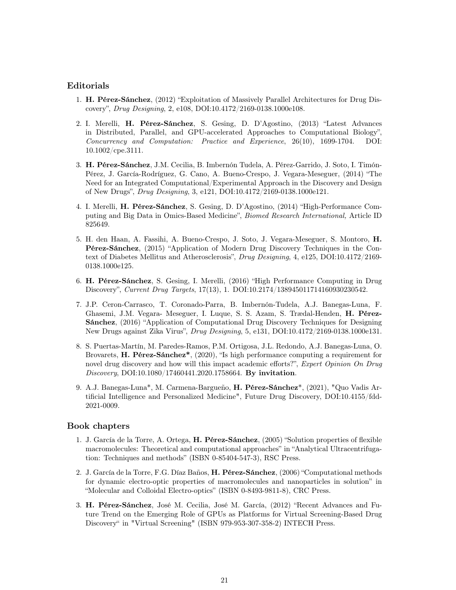## Editorials

- 1. H. Pérez-Sánchez, (2012) "Exploitation of Massively Parallel Architectures for Drug Discovery", Drug Designing, 2, e108, DOI:10.4172/2169-0138.1000e108.
- 2. I. Merelli, H. Pérez-Sánchez, S. Gesing, D. D'Agostino, (2013) "Latest Advances in Distributed, Parallel, and GPU-accelerated Approaches to Computational Biology", Concurrency and Computation: Practice and Experience, 26(10), 1699-1704. DOI: 10.1002/cpe.3111.
- 3. H. Pérez-Sánchez, J.M. Cecilia, B. Imbernón Tudela, A. Pérez-Garrido, J. Soto, I. Timón-Pérez, J. García-Rodríguez, G. Cano, A. Bueno-Crespo, J. Vegara-Meseguer, (2014) "The Need for an Integrated Computational/Experimental Approach in the Discovery and Design of New Drugs", Drug Designing, 3, e121, DOI:10.4172/2169-0138.1000e121.
- 4. I. Merelli, H. Pérez-Sánchez, S. Gesing, D. D'Agostino, (2014) "High-Performance Computing and Big Data in Omics-Based Medicine", Biomed Research International, Article ID 825649.
- 5. H. den Haan, A. Fassihi, A. Bueno-Crespo, J. Soto, J. Vegara-Meseguer, S. Montoro, H. Pérez-Sánchez, (2015) "Application of Modern Drug Discovery Techniques in the Context of Diabetes Mellitus and Atherosclerosis", Drug Designing, 4, e125, DOI:10.4172/2169- 0138.1000e125.
- 6. H. Pérez-Sánchez, S. Gesing, I. Merelli, (2016) "High Performance Computing in Drug Discovery", Current Drug Targets, 17(13), 1. DOI:10.2174/138945011714160930230542.
- 7. J.P. Ceron-Carrasco, T. Coronado-Parra, B. Imbernón-Tudela, A.J. Banegas-Luna, F. Ghasemi, J.M. Vegara- Meseguer, I. Luque, S. S. Azam, S. Trædal-Henden, H. Pérez-Sánchez, (2016) "Application of Computational Drug Discovery Techniques for Designing New Drugs against Zika Virus", Drug Designing, 5, e131, DOI:10.4172/2169-0138.1000e131.
- 8. S. Puertas-Martín, M. Paredes-Ramos, P.M. Ortigosa, J.L. Redondo, A.J. Banegas-Luna, O. Brovarets, H. Pérez-Sánchez\*, (2020), "Is high performance computing a requirement for novel drug discovery and how will this impact academic efforts?", Expert Opinion On Drug Discovery, DOI:10.1080/17460441.2020.1758664. By invitation.
- 9. A.J. Banegas-Luna\*, M. Carmena-Bargueño, H. Pérez-Sánchez\*, (2021), "Quo Vadis Artificial Intelligence and Personalized Medicine", Future Drug Discovery, DOI:10.4155/fdd-2021-0009.

### Book chapters

- 1. J. García de la Torre, A. Ortega, H. Pérez-Sánchez, (2005) "Solution properties of flexible macromolecules: Theoretical and computational approaches" in "Analytical Ultracentrifugation: Techniques and methods" (ISBN 0-85404-547-3), RSC Press.
- 2. J. García de la Torre, F.G. Díaz Baños, H. Pérez-Sánchez, (2006) "Computational methods for dynamic electro-optic properties of macromolecules and nanoparticles in solution" in "Molecular and Colloidal Electro-optics" (ISBN 0-8493-9811-8), CRC Press.
- 3. H. Pérez-Sánchez, José M. Cecilia, José M. García, (2012) "Recent Advances and Future Trend on the Emerging Role of GPUs as Platforms for Virtual Screening-Based Drug Discovery" in "Virtual Screening" (ISBN 979-953-307-358-2) INTECH Press.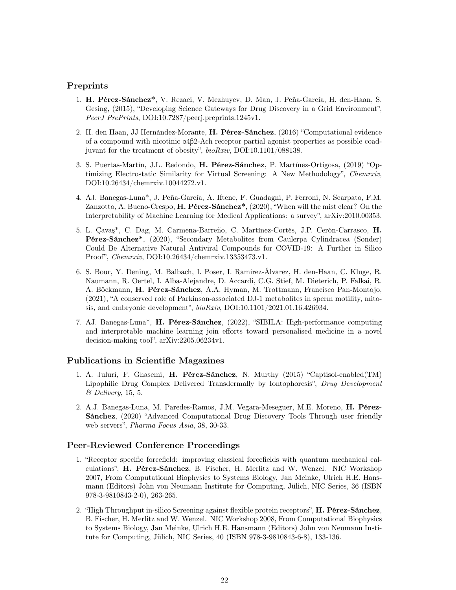## Preprints

- 1. H. Pérez-Sánchez\*, V. Rezaei, V. Mezhuyev, D. Man, J. Peña-García, H. den-Haan, S. Gesing, (2015), "Developing Science Gateways for Drug Discovery in a Grid Environment", PeerJ PrePrints, DOI:10.7287/peerj.preprints.1245v1.
- 2. H. den Haan, JJ Hernández-Morante, H. Pérez-Sánchez, (2016) "Computational evidence of a compound with nicotinic α4β2-Ach receptor partial agonist properties as possible coadjuvant for the treatment of obesity", bioRxiv, DOI:10.1101/088138.
- 3. S. Puertas-Martín, J.L. Redondo, H. Pérez-Sánchez, P. Martínez-Ortigosa, (2019) "Optimizing Electrostatic Similarity for Virtual Screening: A New Methodology", Chemrxiv, DOI:10.26434/chemrxiv.10044272.v1.
- 4. AJ. Banegas-Luna\*, J. Peña-García, A. Iftene, F. Guadagni, P. Ferroni, N. Scarpato, F.M. Zanzotto, A. Bueno-Crespo, H. Pérez-Sánchez\*, (2020), "When will the mist clear? On the Interpretability of Machine Learning for Medical Applications: a survey", arXiv:2010.00353.
- 5. L. Çavaş\*, C. Dag, M. Carmena-Barreño, C. Martínez-Cortés, J.P. Cerón-Carrasco, H. Pérez-Sánchez\*, (2020), "Secondary Metabolites from Caulerpa Cylindracea (Sonder) Could Be Alternative Natural Antiviral Compounds for COVID-19: A Further in Silico Proof", Chemrxiv, DOI:10.26434/chemrxiv.13353473.v1.
- 6. S. Bour, Y. Dening, M. Balbach, I. Poser, I. Ramírez-Álvarez, H. den-Haan, C. Kluge, R. Naumann, R. Oertel, I. Alba-Alejandre, D. Accardi, C.G. Stief, M. Dieterich, P. Falkai, R. A. Böckmann, H. Pérez-Sánchez, A.A. Hyman, M. Trottmann, Francisco Pan-Montojo, (2021), "A conserved role of Parkinson-associated DJ-1 metabolites in sperm motility, mitosis, and embryonic development", bioRxiv, DOI:10.1101/2021.01.16.426934.
- 7. AJ. Banegas-Luna\*, H. Pérez-Sánchez, (2022), "SIBILA: High-performance computing and interpretable machine learning join efforts toward personalised medicine in a novel decision-making tool", arXiv:2205.06234v1.

## Publications in Scientific Magazines

- 1. A. Juluri, F. Ghasemi, H. Pérez-Sánchez, N. Murthy (2015) "Captisol-enabled(TM) Lipophilic Drug Complex Delivered Transdermally by Iontophoresis", Drug Development & Delivery, 15, 5.
- 2. A.J. Banegas-Luna, M. Paredes-Ramos, J.M. Vegara-Meseguer, M.E. Moreno, H. Pérez-Sánchez, (2020) "Advanced Computational Drug Discovery Tools Through user friendly web servers", Pharma Focus Asia, 38, 30-33.

## Peer-Reviewed Conference Proceedings

- 1. "Receptor specific forcefield: improving classical forcefields with quantum mechanical calculations", H. Pérez-Sánchez, B. Fischer, H. Merlitz and W. Wenzel. NIC Workshop 2007, From Computational Biophysics to Systems Biology, Jan Meinke, Ulrich H.E. Hansmann (Editors) John von Neumann Institute for Computing, Jülich, NIC Series, 36 (ISBN 978-3-9810843-2-0), 263-265.
- 2. "High Throughput in-silico Screening against flexible protein receptors", **H. Pérez-Sánchez**, B. Fischer, H. Merlitz and W. Wenzel. NIC Workshop 2008, From Computational Biophysics to Systems Biology, Jan Meinke, Ulrich H.E. Hansmann (Editors) John von Neumann Institute for Computing, Jülich, NIC Series, 40 (ISBN 978-3-9810843-6-8), 133-136.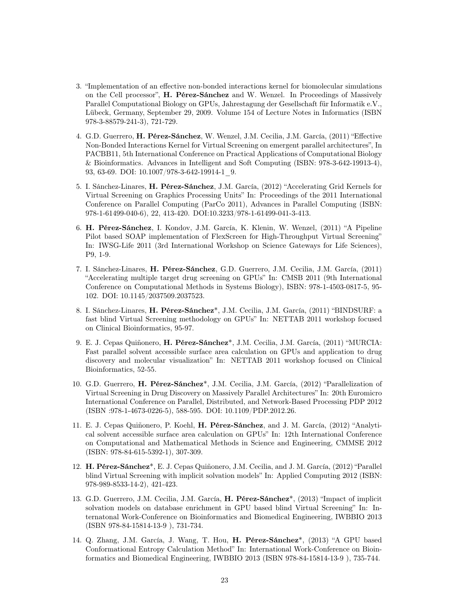- 3. "Implementation of an effective non-bonded interactions kernel for biomolecular simulations on the Cell processor", H. Pérez-Sánchez and W. Wenzel. In Proceedings of Massively Parallel Computational Biology on GPUs, Jahrestagung der Gesellschaft für Informatik e.V., Lübeck, Germany, September 29, 2009. Volume 154 of Lecture Notes in Informatics (ISBN 978-3-88579-241-3), 721-729.
- 4. G.D. Guerrero, H. Pérez-Sánchez, W. Wenzel, J.M. Cecilia, J.M. García, (2011) "Effective Non-Bonded Interactions Kernel for Virtual Screening on emergent parallel architectures", In PACBB11, 5th International Conference on Practical Applications of Computational Biology & Bioinformatics. Advances in Intelligent and Soft Computing (ISBN: 978-3-642-19913-4), 93, 63-69. DOI: 10.1007/978-3-642-19914-1\_9.
- 5. I. Sánchez-Linares, H. Pérez-Sánchez, J.M. García, (2012) "Accelerating Grid Kernels for Virtual Screening on Graphics Processing Units" In: Proceedings of the 2011 International Conference on Parallel Computing (ParCo 2011), Advances in Parallel Computing (ISBN: 978-1-61499-040-6), 22, 413-420. DOI:10.3233/978-1-61499-041-3-413.
- 6. H. Pérez-Sánchez, I. Kondov, J.M. García, K. Klenin, W. Wenzel, (2011) "A Pipeline Pilot based SOAP implementation of FlexScreen for High-Throughput Virtual Screening" In: IWSG-Life 2011 (3rd International Workshop on Science Gateways for Life Sciences), P9, 1-9.
- 7. I. Sánchez-Linares, H. Pérez-Sánchez, G.D. Guerrero, J.M. Cecilia, J.M. García, (2011) "Accelerating multiple target drug screening on GPUs" In: CMSB 2011 (9th International Conference on Computational Methods in Systems Biology), ISBN: 978-1-4503-0817-5, 95- 102. DOI: 10.1145/2037509.2037523.
- 8. I. Sánchez-Linares, H. Pérez-Sánchez\*, J.M. Cecilia, J.M. García, (2011) "BINDSURF: a fast blind Virtual Screening methodology on GPUs" In: NETTAB 2011 workshop focused on Clinical Bioinformatics, 95-97.
- 9. E. J. Cepas Quiñonero, H. Pérez-Sánchez\*, J.M. Cecilia, J.M. García, (2011) "MURCIA: Fast parallel solvent accessible surface area calculation on GPUs and application to drug discovery and molecular visualization" In: NETTAB 2011 workshop focused on Clinical Bioinformatics, 52-55.
- 10. G.D. Guerrero, H. Pérez-Sánchez\*, J.M. Cecilia, J.M. García, (2012) "Parallelization of Virtual Screening in Drug Discovery on Massively Parallel Architectures" In: 20th Euromicro International Conference on Parallel, Distributed, and Network-Based Processing PDP 2012 (ISBN :978-1-4673-0226-5), 588-595. DOI: 10.1109/PDP.2012.26.
- 11. E. J. Cepas Quiñonero, P. Koehl, H. Pérez-Sánchez, and J. M. García, (2012) "Analytical solvent accessible surface area calculation on GPUs" In: 12th International Conference on Computational and Mathematical Methods in Science and Engineering, CMMSE 2012 (ISBN: 978-84-615-5392-1), 307-309.
- 12. H. Pérez-Sánchez\*, E. J. Cepas Quiñonero, J.M. Cecilia, and J. M. García, (2012) "Parallel blind Virtual Screening with implicit solvation models" In: Applied Computing 2012 (ISBN: 978-989-8533-14-2), 421-423.
- 13. G.D. Guerrero, J.M. Cecilia, J.M. García, H. Pérez-Sánchez<sup>\*</sup>, (2013) "Impact of implicit solvation models on database enrichment in GPU based blind Virtual Screening" In: Internatonal Work-Conference on Bioinformatics and Biomedical Engineering, IWBBIO 2013 (ISBN 978-84-15814-13-9 ), 731-734.
- 14. Q. Zhang, J.M. García, J. Wang, T. Hou, H. Pérez-Sánchez\*, (2013) "A GPU based Conformational Entropy Calculation Method" In: International Work-Conference on Bioinformatics and Biomedical Engineering, IWBBIO 2013 (ISBN 978-84-15814-13-9 ), 735-744.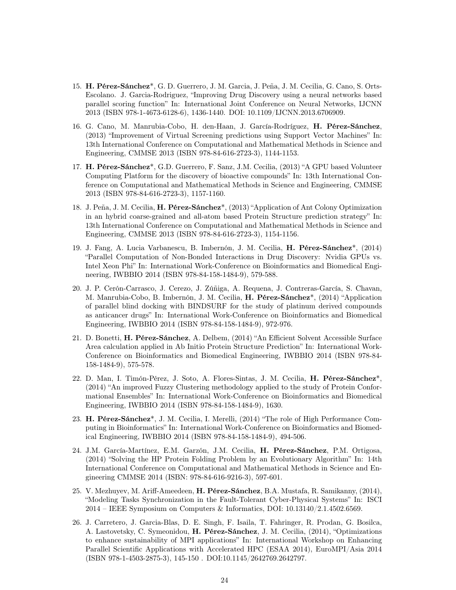- 15. H. Pérez-Sánchez\*, G. D. Guerrero, J. M. Garcia, J. Peña, J. M. Cecilia, G. Cano, S. Orts-Escolano. J. Garcia-Rodriguez, "Improving Drug Discovery using a neural networks based parallel scoring function" In: International Joint Conference on Neural Networks, IJCNN 2013 (ISBN 978-1-4673-6128-6), 1436-1440. DOI: 10.1109/IJCNN.2013.6706909.
- 16. G. Cano, M. Manrubia-Cobo, H. den-Haan, J. García-Rodríguez, H. Pérez-Sánchez, (2013) "Improvement of Virtual Screening predictions using Support Vector Machines" In: 13th International Conference on Computational and Mathematical Methods in Science and Engineering, CMMSE 2013 (ISBN 978-84-616-2723-3), 1144-1153.
- 17. H. Pérez-Sánchez\*, G.D. Guerrero, F. Sanz, J.M. Cecilia, (2013) "A GPU based Volunteer Computing Platform for the discovery of bioactive compounds" In: 13th International Conference on Computational and Mathematical Methods in Science and Engineering, CMMSE 2013 (ISBN 978-84-616-2723-3), 1157-1160.
- 18. J. Peña, J. M. Cecilia, H. Pérez-Sánchez<sup>\*</sup>, (2013) "Application of Ant Colony Optimization in an hybrid coarse-grained and all-atom based Protein Structure prediction strategy" In: 13th International Conference on Computational and Mathematical Methods in Science and Engineering, CMMSE 2013 (ISBN 978-84-616-2723-3), 1154-1156.
- 19. J. Fang, A. Lucia Varbanescu, B. Imbernón, J. M. Cecilia, H. Pérez-Sánchez\*, (2014) "Parallel Computation of Non-Bonded Interactions in Drug Discovery: Nvidia GPUs vs. Intel Xeon Phi" In: International Work-Conference on Bioinformatics and Biomedical Engineering, IWBBIO 2014 (ISBN 978-84-158-1484-9), 579-588.
- 20. J. P. Cerón-Carrasco, J. Cerezo, J. Zúñiga, A. Requena, J. Contreras-García, S. Chavan, M. Manrubia-Cobo, B. Imbernón, J. M. Cecilia, H. Pérez-Sánchez\*, (2014) "Application of parallel blind docking with BINDSURF for the study of platinum derived compounds as anticancer drugs" In: International Work-Conference on Bioinformatics and Biomedical Engineering, IWBBIO 2014 (ISBN 978-84-158-1484-9), 972-976.
- 21. D. Bonetti, H. Pérez-Sánchez, A. Delbem, (2014) "An Efficient Solvent Accessible Surface Area calculation applied in Ab Initio Protein Structure Prediction" In: International Work-Conference on Bioinformatics and Biomedical Engineering, IWBBIO 2014 (ISBN 978-84- 158-1484-9), 575-578.
- 22. D. Man, I. Timón-Pérez, J. Soto, A. Flores-Sintas, J. M. Cecilia, H. Pérez-Sánchez\*, (2014) "An improved Fuzzy Clustering methodology applied to the study of Protein Conformational Ensembles" In: International Work-Conference on Bioinformatics and Biomedical Engineering, IWBBIO 2014 (ISBN 978-84-158-1484-9), 1630.
- 23. H. Pérez-Sánchez\*, J. M. Cecilia, I. Merelli, (2014) "The role of High Performance Computing in Bioinformatics" In: International Work-Conference on Bioinformatics and Biomedical Engineering, IWBBIO 2014 (ISBN 978-84-158-1484-9), 494-506.
- 24. J.M. García-Martínez, E.M. Garzón, J.M. Cecilia, H. Pérez-Sánchez, P.M. Ortigosa, (2014) "Solving the HP Protein Folding Problem by an Evolutionary Algorithm" In: 14th International Conference on Computational and Mathematical Methods in Science and Engineering CMMSE 2014 (ISBN: 978-84-616-9216-3), 597-601.
- 25. V. Mezhuyev, M. Ariff-Ameedeen, H. Pérez-Sánchez, B.A. Mustafa, R. Samikanny, (2014), "Modeling Tasks Synchronization in the Fault-Tolerant Cyber-Physical Systems" In: ISCI 2014 – IEEE Symposium on Computers & Informatics, DOI: 10.13140/2.1.4502.6569.
- 26. J. Carretero, J. Garcia-Blas, D. E. Singh, F. Isaila, T. Fahringer, R. Prodan, G. Bosilca, A. Lastovetsky, C. Symeonidou, H. Pérez-Sánchez, J. M. Cecilia, (2014), "Optimizations to enhance sustainability of MPI applications" In: International Workshop on Enhancing Parallel Scientific Applications with Accelerated HPC (ESAA 2014), EuroMPI/Asia 2014 (ISBN 978-1-4503-2875-3), 145-150 . DOI:10.1145/2642769.2642797.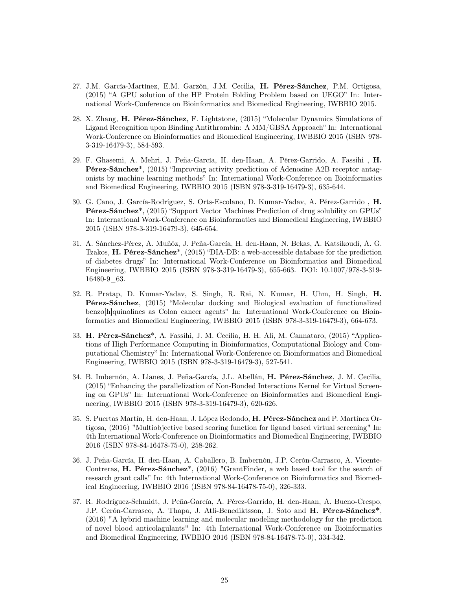- 27. J.M. García-Martínez, E.M. Garzón, J.M. Cecilia, H. Pérez-Sánchez, P.M. Ortigosa, (2015) "A GPU solution of the HP Protein Folding Problem based on UEGO" In: International Work-Conference on Bioinformatics and Biomedical Engineering, IWBBIO 2015.
- 28. X. Zhang, H. Pérez-Sánchez, F. Lightstone, (2015) "Molecular Dynamics Simulations of Ligand Recognition upon Binding Antithrombin: A MM/GBSA Approach" In: International Work-Conference on Bioinformatics and Biomedical Engineering, IWBBIO 2015 (ISBN 978- 3-319-16479-3), 584-593.
- 29. F. Ghasemi, A. Mehri, J. Peña-García, H. den-Haan, A. Pérez-Garrido, A. Fassihi , H. Pérez-Sánchez\*, (2015) "Improving activity prediction of Adenosine A2B receptor antagonists by machine learning methods" In: International Work-Conference on Bioinformatics and Biomedical Engineering, IWBBIO 2015 (ISBN 978-3-319-16479-3), 635-644.
- 30. G. Cano, J. García-Rodríguez, S. Orts-Escolano, D. Kumar-Yadav, A. Pérez-Garrido , H. Pérez-Sánchez\*, (2015) "Support Vector Machines Prediction of drug solubility on GPUs" In: International Work-Conference on Bioinformatics and Biomedical Engineering, IWBBIO 2015 (ISBN 978-3-319-16479-3), 645-654.
- 31. A. Sánchez-Pérez, A. Muñóz, J. Peña-García, H. den-Haan, N. Bekas, A. Katsikoudi, A. G. Tzakos, H. Pérez-Sánchez\*, (2015) "DIA-DB: a web-accessible database for the prediction of diabetes drugs" In: International Work-Conference on Bioinformatics and Biomedical Engineering, IWBBIO 2015 (ISBN 978-3-319-16479-3), 655-663. DOI: 10.1007/978-3-319- 16480-9\_63.
- 32. R. Pratap, D. Kumar-Yadav, S. Singh, R. Rai, N. Kumar, H. Uhm, H. Singh, H. Pérez-Sánchez, (2015) "Molecular docking and Biological evaluation of functionalized benzo[h]quinolines as Colon cancer agents" In: International Work-Conference on Bioinformatics and Biomedical Engineering, IWBBIO 2015 (ISBN 978-3-319-16479-3), 664-673.
- 33. H. Pérez-Sánchez\*, A. Fassihi, J. M. Cecilia, H. H. Ali, M. Cannataro, (2015) "Applications of High Performance Computing in Bioinformatics, Computational Biology and Computational Chemistry" In: International Work-Conference on Bioinformatics and Biomedical Engineering, IWBBIO 2015 (ISBN 978-3-319-16479-3), 527-541.
- 34. B. Imbernón, A. Llanes, J. Peña-García, J.L. Abellán, H. Pérez-Sánchez, J. M. Cecilia, (2015) "Enhancing the parallelization of Non-Bonded Interactions Kernel for Virtual Screening on GPUs" In: International Work-Conference on Bioinformatics and Biomedical Engineering, IWBBIO 2015 (ISBN 978-3-319-16479-3), 620-626.
- 35. S. Puertas Martín, H. den-Haan, J. López Redondo, H. Pérez-Sánchez and P. Martínez Ortigosa, (2016) "Multiobjective based scoring function for ligand based virtual screening" In: 4th International Work-Conference on Bioinformatics and Biomedical Engineering, IWBBIO 2016 (ISBN 978-84-16478-75-0), 258-262.
- 36. J. Peña-García, H. den-Haan, A. Caballero, B. Imbernón, J.P. Cerón-Carrasco, A. Vicente-Contreras, H. Pérez-Sánchez\*, (2016) "GrantFinder, a web based tool for the search of research grant calls" In: 4th International Work-Conference on Bioinformatics and Biomedical Engineering, IWBBIO 2016 (ISBN 978-84-16478-75-0), 326-333.
- 37. R. Rodríguez-Schmidt, J. Peña-García, A. Pérez-Garrido, H. den-Haan, A. Bueno-Crespo, J.P. Cerón-Carrasco, A. Thapa, J. Atli-Benediktsson, J. Soto and H. Pérez-Sánchez\*, (2016) "A hybrid machine learning and molecular modeling methodology for the prediction of novel blood anticolagulants" In: 4th International Work-Conference on Bioinformatics and Biomedical Engineering, IWBBIO 2016 (ISBN 978-84-16478-75-0), 334-342.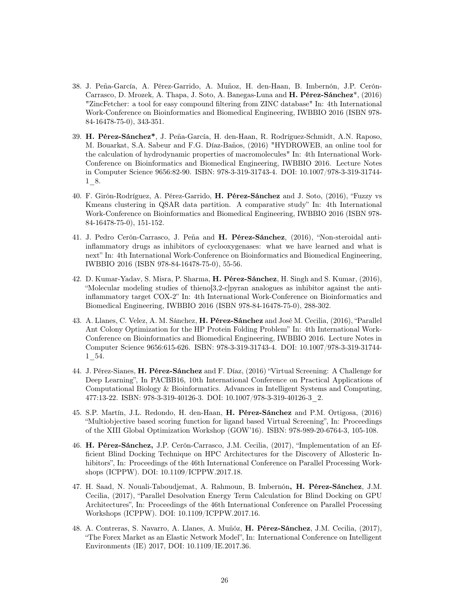- 38. J. Peña-García, A. Pérez-Garrido, A. Muñoz, H. den-Haan, B. Imbernón, J.P. Cerón-Carrasco, D. Mrozek, A. Thapa, J. Soto, A. Banegas-Luna and H. Pérez-Sánchez\*, (2016) "ZincFetcher: a tool for easy compound filtering from ZINC database" In: 4th International Work-Conference on Bioinformatics and Biomedical Engineering, IWBBIO 2016 (ISBN 978- 84-16478-75-0), 343-351.
- 39. H. Pérez-Sánchez\*, J. Peña-García, H. den-Haan, R. Rodríguez-Schmidt, A.N. Raposo, M. Bouarkat, S.A. Sabeur and F.G. Díaz-Baños, (2016) "HYDROWEB, an online tool for the calculation of hydrodynamic properties of macromolecules" In: 4th International Work-Conference on Bioinformatics and Biomedical Engineering, IWBBIO 2016. Lecture Notes in Computer Science 9656:82-90. ISBN: 978-3-319-31743-4. DOI: 10.1007/978-3-319-31744- 1\_8.
- 40. F. Girón-Rodríguez, A. Pérez-Garrido, H. Pérez-Sánchez and J. Soto, (2016), "Fuzzy vs Kmeans clustering in QSAR data partition. A comparative study" In: 4th International Work-Conference on Bioinformatics and Biomedical Engineering, IWBBIO 2016 (ISBN 978- 84-16478-75-0), 151-152.
- 41. J. Pedro Cerón-Carrasco, J. Peña and H. Pérez-Sánchez, (2016), "Non-steroidal antiinflammatory drugs as inhibitors of cyclooxygenases: what we have learned and what is next" In: 4th International Work-Conference on Bioinformatics and Biomedical Engineering, IWBBIO 2016 (ISBN 978-84-16478-75-0), 55-56.
- 42. D. Kumar-Yadav, S. Misra, P. Sharma, H. Pérez-Sánchez, H. Singh and S. Kumar, (2016), "Molecular modeling studies of thieno[3,2-c]pyran analogues as inhibitor against the antiinflammatory target COX-2" In: 4th International Work-Conference on Bioinformatics and Biomedical Engineering, IWBBIO 2016 (ISBN 978-84-16478-75-0), 288-302.
- 43. A. Llanes, C. Velez, A. M. Sánchez, H. Pérez-Sánchez and José M. Cecilia, (2016), "Parallel Ant Colony Optimization for the HP Protein Folding Problem" In: 4th International Work-Conference on Bioinformatics and Biomedical Engineering, IWBBIO 2016. Lecture Notes in Computer Science 9656:615-626. ISBN: 978-3-319-31743-4. DOI: 10.1007/978-3-319-31744- 1\_54.
- 44. J. Pérez-Sianes, H. Pérez-Sánchez and F. Díaz, (2016) "Virtual Screening: A Challenge for Deep Learning", In PACBB16, 10th International Conference on Practical Applications of Computational Biology & Bioinformatics. Advances in Intelligent Systems and Computing, 477:13-22. ISBN: 978-3-319-40126-3. DOI: 10.1007/978-3-319-40126-3\_2.
- 45. S.P. Martín, J.L. Redondo, H. den-Haan, H. Pérez-Sánchez and P.M. Ortigosa, (2016) "Multiobjective based scoring function for ligand based Virtual Screening", In: Proceedings of the XIII Global Optimization Workshop (GOW'16). ISBN: 978-989-20-6764-3, 105-108.
- 46. H. Pérez-Sánchez, J.P. Cerón-Carrasco, J.M. Cecilia, (2017), "Implementation of an Efficient Blind Docking Technique on HPC Architectures for the Discovery of Allosteric Inhibitors", In: Proceedings of the 46th International Conference on Parallel Processing Workshops (ICPPW). DOI: 10.1109/ICPPW.2017.18.
- 47. H. Saad, N. Nouali-Taboudjemat, A. Rahmoun, B. Imbernón, H. Pérez-Sánchez, J.M. Cecilia, (2017), "Parallel Desolvation Energy Term Calculation for Blind Docking on GPU Architectures", In: Proceedings of the 46th International Conference on Parallel Processing Workshops (ICPPW). DOI: 10.1109/ICPPW.2017.16.
- 48. A. Contreras, S. Navarro, A. Llanes, A. Muñóz, H. Pérez-Sánchez, J.M. Cecilia, (2017), "The Forex Market as an Elastic Network Model", In: International Conference on Intelligent Environments (IE) 2017, DOI: 10.1109/IE.2017.36.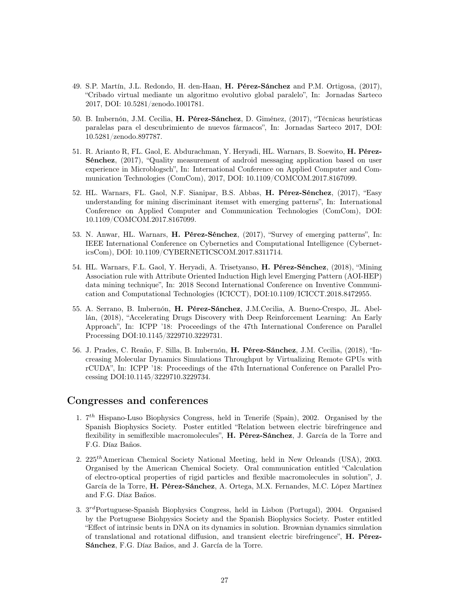- 49. S.P. Martín, J.L. Redondo, H. den-Haan, H. Pérez-Sánchez and P.M. Ortigosa, (2017), "Cribado virtual mediante un algoritmo evolutivo global paralelo", In: Jornadas Sarteco 2017, DOI: 10.5281/zenodo.1001781.
- 50. B. Imbernón, J.M. Cecilia, H. Pérez-Sánchez, D. Giménez, (2017), "Técnicas heurísticas paralelas para el descubrimiento de nuevos fármacos", In: Jornadas Sarteco 2017, DOI: 10.5281/zenodo.897787.
- 51. R. Arianto R, FL. Gaol, E. Abdurachman, Y. Heryadi, HL. Warnars, B. Soewito, H. Pérez-Sénchez, (2017), "Quality measurement of android messaging application based on user experience in Microblogsch", In: International Conference on Applied Computer and Communication Technologies (ComCom), 2017, DOI: 10.1109/COMCOM.2017.8167099.
- 52. HL. Warnars, FL. Gaol, N.F. Sianipar, B.S. Abbas, H. Pérez-Sénchez, (2017), "Easy understanding for mining discriminant itemset with emerging patterns", In: International Conference on Applied Computer and Communication Technologies (ComCom), DOI: 10.1109/COMCOM.2017.8167099.
- 53. N. Anwar, HL. Warnars, H. Pérez-Sénchez, (2017), "Survey of emerging patterns", In: IEEE International Conference on Cybernetics and Computational Intelligence (CyberneticsCom), DOI: 10.1109/CYBERNETICSCOM.2017.8311714.
- 54. HL. Warnars, F.L. Gaol, Y. Heryadi, A. Trisetyanso, H. Pérez-Sénchez, (2018), "Mining Association rule with Attribute Oriented Induction High level Emerging Pattern (AOI-HEP) data mining technique", In: 2018 Second International Conference on Inventive Communication and Computational Technologies (ICICCT), DOI:10.1109/ICICCT.2018.8472955.
- 55. A. Serrano, B. Imbernón, H. Pérez-Sánchez, J.M.Cecilia, A. Bueno-Crespo, JL. Abellán, (2018), "Accelerating Drugs Discovery with Deep Reinforcement Learning: An Early Approach", In: ICPP '18: Proceedings of the 47th International Conference on Parallel Processing DOI:10.1145/3229710.3229731.
- 56. J. Prades, C. Reaño, F. Silla, B. Imbernón, H. Pérez-Sánchez, J.M. Cecilia, (2018), "Increasing Molecular Dynamics Simulations Throughput by Virtualizing Remote GPUs with rCUDA", In: ICPP '18: Proceedings of the 47th International Conference on Parallel Processing DOI:10.1145/3229710.3229734.

## Congresses and conferences

- 1.  $7<sup>th</sup>$  Hispano-Luso Biophysics Congress, held in Tenerife (Spain), 2002. Organised by the Spanish Biophysics Society. Poster entitled "Relation between electric birefringence and flexibility in semiflexible macromolecules", H. Pérez-Sánchez, J. García de la Torre and F.G. Díaz Baños.
- 2. 225<sup>th</sup>American Chemical Society National Meeting, held in New Orleands (USA), 2003. Organised by the American Chemical Society. Oral communication entitled "Calculation of electro-optical properties of rigid particles and flexible macromolecules in solution", J. García de la Torre, H. Pérez-Sánchez, A. Ortega, M.X. Fernandes, M.C. López Martínez and F.G. Díaz Baños.
- 3. 3<sup>rd</sup>Portuguese-Spanish Biophysics Congress, held in Lisbon (Portugal), 2004. Organised by the Portuguese Biohpysics Society and the Spanish Biophysics Society. Poster entitled "Effect of intrinsic bents in DNA on its dynamics in solution. Brownian dynamics simulation of translational and rotational diffusion, and transient electric birefringence", H. Pérez-Sánchez, F.G. Díaz Baños, and J. García de la Torre.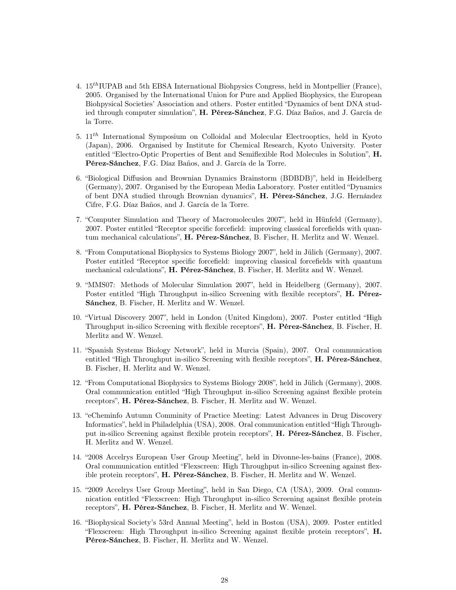- 4.  $15<sup>th</sup> IUPAB$  and 5th EBSA International Biohpysics Congress, held in Montpellier (France), 2005. Organised by the International Union for Pure and Applied Biophysics, the European Biohpysical Societies' Association and others. Poster entitled "Dynamics of bent DNA studied through computer simulation", H. Pérez-Sánchez, F.G. Díaz Baños, and J. García de la Torre.
- 5.  $11^{th}$  International Symposium on Colloidal and Molecular Electrooptics, held in Kyoto (Japan), 2006. Organised by Institute for Chemical Research, Kyoto University. Poster entitled "Electro-Optic Properties of Bent and Semiflexible Rod Molecules in Solution", H. Pérez-Sánchez, F.G. Díaz Baños, and J. García de la Torre.
- 6. "Biological Diffusion and Brownian Dynamics Brainstorm (BDBDB)", held in Heidelberg (Germany), 2007. Organised by the European Media Laboratory. Poster entitled "Dynamics of bent DNA studied through Brownian dynamics", H. Pérez-Sánchez, J.G. Hernández Cifre, F.G. Díaz Baños, and J. García de la Torre.
- 7. "Computer Simulation and Theory of Macromolecules 2007", held in Hünfeld (Germany), 2007. Poster entitled "Receptor specific forcefield: improving classical forcefields with quantum mechanical calculations", H. Pérez-Sánchez, B. Fischer, H. Merlitz and W. Wenzel.
- 8. "From Computational Biophysics to Systems Biology 2007", held in Jülich (Germany), 2007. Poster entitled "Receptor specific forcefield: improving classical forcefields with quantum mechanical calculations", H. Pérez-Sánchez, B. Fischer, H. Merlitz and W. Wenzel.
- 9. "MMS07: Methods of Molecular Simulation 2007", held in Heidelberg (Germany), 2007. Poster entitled "High Throughput in-silico Screening with flexible receptors", **H. Pérez-**Sánchez, B. Fischer, H. Merlitz and W. Wenzel.
- 10. "Virtual Discovery 2007", held in London (United Kingdom), 2007. Poster entitled "High Throughput in-silico Screening with flexible receptors", H. Pérez-Sánchez, B. Fischer, H. Merlitz and W. Wenzel.
- 11. "Spanish Systems Biology Network", held in Murcia (Spain), 2007. Oral communication entitled "High Throughput in-silico Screening with flexible receptors", H. Pérez-Sánchez, B. Fischer, H. Merlitz and W. Wenzel.
- 12. "From Computational Biophysics to Systems Biology 2008", held in Jülich (Germany), 2008. Oral communication entitled "High Throughput in-silico Screening against flexible protein receptors", H. Pérez-Sánchez, B. Fischer, H. Merlitz and W. Wenzel.
- 13. "eCheminfo Autumn Comminity of Practice Meeting: Latest Advances in Drug Discovery Informatics", held in Philadelphia (USA), 2008. Oral communication entitled "High Throughput in-silico Screening against flexible protein receptors", H. Pérez-Sánchez, B. Fischer, H. Merlitz and W. Wenzel.
- 14. "2008 Accelrys European User Group Meeting", held in Divonne-les-bains (France), 2008. Oral communication entitled "Flexscreen: High Throughput in-silico Screening against flexible protein receptors", H. Pérez-Sánchez, B. Fischer, H. Merlitz and W. Wenzel.
- 15. "2009 Accelrys User Group Meeting", held in San Diego, CA (USA), 2009. Oral communication entitled "Flexscreen: High Throughput in-silico Screening against flexible protein receptors", H. Pérez-Sánchez, B. Fischer, H. Merlitz and W. Wenzel.
- 16. "Biophysical Society's 53rd Annual Meeting", held in Boston (USA), 2009. Poster entitled "Flexscreen: High Throughput in-silico Screening against flexible protein receptors", H. Pérez-Sánchez, B. Fischer, H. Merlitz and W. Wenzel.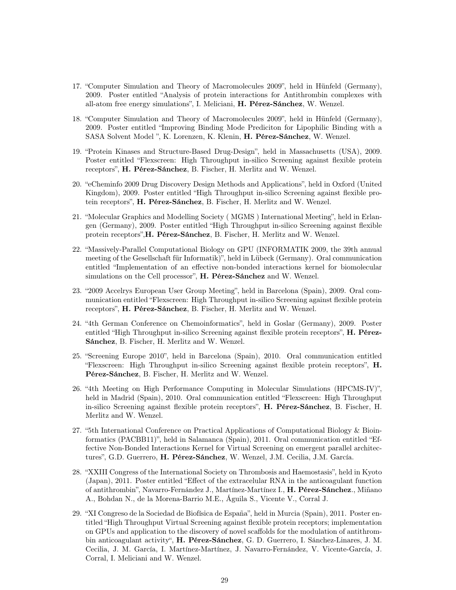- 17. "Computer Simulation and Theory of Macromolecules 2009", held in Hünfeld (Germany), 2009. Poster entitled "Analysis of protein interactions for Antithrombin complexes with all-atom free energy simulations", I. Meliciani, H. Pérez-Sánchez, W. Wenzel.
- 18. "Computer Simulation and Theory of Macromolecules 2009", held in Hünfeld (Germany), 2009. Poster entitled "Improving Binding Mode Prediciton for Lipophilic Binding with a SASA Solvent Model ", K. Lorenzen, K. Klenin, H. Pérez-Sánchez, W. Wenzel.
- 19. "Protein Kinases and Structure-Based Drug-Design", held in Massachusetts (USA), 2009. Poster entitled "Flexscreen: High Throughput in-silico Screening against flexible protein receptors", H. Pérez-Sánchez, B. Fischer, H. Merlitz and W. Wenzel.
- 20. "eCheminfo 2009 Drug Discovery Design Methods and Applications", held in Oxford (United Kingdom), 2009. Poster entitled "High Throughput in-silico Screening against flexible protein receptors", H. Pérez-Sánchez, B. Fischer, H. Merlitz and W. Wenzel.
- 21. "Molecular Graphics and Modelling Society ( MGMS ) International Meeting", held in Erlangen (Germany), 2009. Poster entitled "High Throughput in-silico Screening against flexible protein receptors",H. Pérez-Sánchez, B. Fischer, H. Merlitz and W. Wenzel.
- 22. "Massively-Parallel Computational Biology on GPU (INFORMATIK 2009, the 39th annual meeting of the Gesellschaft für Informatik)", held in Lübeck (Germany). Oral communication entitled "Implementation of an effective non-bonded interactions kernel for biomolecular simulations on the Cell processor", H. Pérez-Sánchez and W. Wenzel.
- 23. "2009 Accelrys European User Group Meeting", held in Barcelona (Spain), 2009. Oral communication entitled "Flexscreen: High Throughput in-silico Screening against flexible protein receptors", H. Pérez-Sánchez, B. Fischer, H. Merlitz and W. Wenzel.
- 24. "4th German Conference on Chemoinformatics", held in Goslar (Germany), 2009. Poster entitled "High Throughput in-silico Screening against flexible protein receptors", H. Pérez-Sánchez, B. Fischer, H. Merlitz and W. Wenzel.
- 25. "Screening Europe 2010", held in Barcelona (Spain), 2010. Oral communication entitled "Flexscreen: High Throughput in-silico Screening against flexible protein receptors", H. Pérez-Sánchez, B. Fischer, H. Merlitz and W. Wenzel.
- 26. "4th Meeting on High Performance Computing in Molecular Simulations (HPCMS-IV)", held in Madrid (Spain), 2010. Oral communication entitled "Flexscreen: High Throughput in-silico Screening against flexible protein receptors", H. Pérez-Sánchez, B. Fischer, H. Merlitz and W. Wenzel.
- 27. "5th International Conference on Practical Applications of Computational Biology & Bioinformatics (PACBB11)", held in Salamanca (Spain), 2011. Oral communication entitled "Effective Non-Bonded Interactions Kernel for Virtual Screening on emergent parallel architectures", G.D. Guerrero, H. Pérez-Sánchez, W. Wenzel, J.M. Cecilia, J.M. García.
- 28. "XXIII Congress of the International Society on Thrombosis and Haemostasis", held in Kyoto (Japan), 2011. Poster entitled "Effect of the extracelular RNA in the anticoagulant function of antithrombin", Navarro-Fernández J., Martínez-Martínez I., H. Pérez-Sánchez., Miñano A., Bohdan N., de la Morena-Barrio M.E., Águila S., Vicente V., Corral J.
- 29. "XI Congreso de la Sociedad de Biofísica de España", held in Murcia (Spain), 2011. Poster entitled "High Throughput Virtual Screening against flexible protein receptors; implementation on GPUs and application to the discovery of novel scaffolds for the modulation of antithrombin anticoagulant activity", H. Pérez-Sánchez, G. D. Guerrero, I. Sánchez-Linares, J. M. Cecilia, J. M. García, I. Martínez-Martínez, J. Navarro-Fernández, V. Vicente-García, J. Corral, I. Meliciani and W. Wenzel.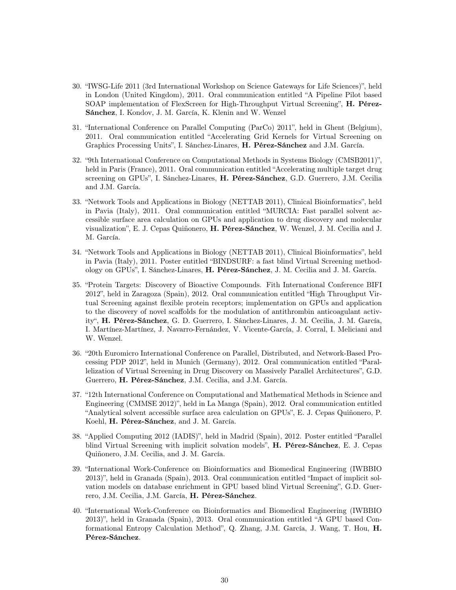- 30. "IWSG-Life 2011 (3rd International Workshop on Science Gateways for Life Sciences)", held in London (United Kingdom), 2011. Oral communication entitled "A Pipeline Pilot based SOAP implementation of FlexScreen for High-Throughput Virtual Screening", H. Pérez-Sánchez, I. Kondov, J. M. García, K. Klenin and W. Wenzel
- 31. "International Conference on Parallel Computing (ParCo) 2011", held in Ghent (Belgium), 2011. Oral communication entitled "Accelerating Grid Kernels for Virtual Screening on Graphics Processing Units", I. Sánchez-Linares, H. Pérez-Sánchez and J.M. García.
- 32. "9th International Conference on Computational Methods in Systems Biology (CMSB2011)", held in Paris (France), 2011. Oral communication entitled "Accelerating multiple target drug screening on GPUs", I. Sánchez-Linares, H. Pérez-Sánchez, G.D. Guerrero, J.M. Cecilia and J.M. García.
- 33. "Network Tools and Applications in Biology (NETTAB 2011), Clinical Bioinformatics", held in Pavia (Italy), 2011. Oral communication entitled "MURCIA: Fast parallel solvent accessible surface area calculation on GPUs and application to drug discovery and molecular visualization", E. J. Cepas Quiñonero, H. Pérez-Sánchez, W. Wenzel, J. M. Cecilia and J. M. García.
- 34. "Network Tools and Applications in Biology (NETTAB 2011), Clinical Bioinformatics", held in Pavia (Italy), 2011. Poster entitled "BINDSURF: a fast blind Virtual Screening methodology on GPUs", I. Sánchez-Linares, H. Pérez-Sánchez, J. M. Cecilia and J. M. García.
- 35. "Protein Targets: Discovery of Bioactive Compounds. Fith International Conference BIFI 2012", held in Zaragoza (Spain), 2012. Oral communication entitled "High Throughput Virtual Screening against flexible protein receptors; implementation on GPUs and application to the discovery of novel scaffolds for the modulation of antithrombin anticoagulant activity", H. Pérez-Sánchez, G. D. Guerrero, I. Sánchez-Linares, J. M. Cecilia, J. M. García, I. Martínez-Martínez, J. Navarro-Fernández, V. Vicente-García, J. Corral, I. Meliciani and W. Wenzel.
- 36. "20th Euromicro International Conference on Parallel, Distributed, and Network-Based Processing PDP 2012", held in Munich (Germany), 2012. Oral communication entitled "Parallelization of Virtual Screening in Drug Discovery on Massively Parallel Architectures", G.D. Guerrero, H. Pérez-Sánchez, J.M. Cecilia, and J.M. García.
- 37. "12th International Conference on Computational and Mathematical Methods in Science and Engineering (CMMSE 2012)", held in La Manga (Spain), 2012. Oral communication entitled "Analytical solvent accessible surface area calculation on GPUs", E. J. Cepas Quiñonero, P. Koehl, H. Pérez-Sánchez, and J. M. García.
- 38. "Applied Computing 2012 (IADIS)", held in Madrid (Spain), 2012. Poster entitled "Parallel blind Virtual Screening with implicit solvation models", H. Pérez-Sánchez, E. J. Cepas Quiñonero, J.M. Cecilia, and J. M. García.
- 39. "International Work-Conference on Bioinformatics and Biomedical Engineering (IWBBIO 2013)", held in Granada (Spain), 2013. Oral communication entitled "Impact of implicit solvation models on database enrichment in GPU based blind Virtual Screening", G.D. Guerrero, J.M. Cecilia, J.M. García, H. Pérez-Sánchez.
- 40. "International Work-Conference on Bioinformatics and Biomedical Engineering (IWBBIO 2013)", held in Granada (Spain), 2013. Oral communication entitled "A GPU based Conformational Entropy Calculation Method", Q. Zhang, J.M. García, J. Wang, T. Hou, H. Pérez-Sánchez.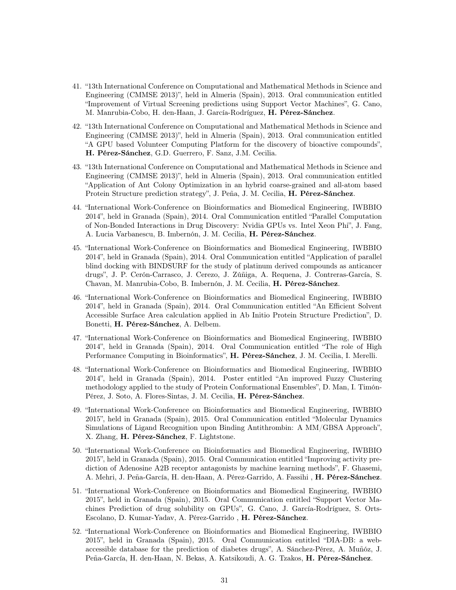- 41. "13th International Conference on Computational and Mathematical Methods in Science and Engineering (CMMSE 2013)", held in Almeria (Spain), 2013. Oral communication entitled "Improvement of Virtual Screening predictions using Support Vector Machines", G. Cano, M. Manrubia-Cobo, H. den-Haan, J. García-Rodríguez, H. Pérez-Sánchez.
- 42. "13th International Conference on Computational and Mathematical Methods in Science and Engineering (CMMSE 2013)", held in Almeria (Spain), 2013. Oral communication entitled "A GPU based Volunteer Computing Platform for the discovery of bioactive compounds", H. Pérez-Sánchez, G.D. Guerrero, F. Sanz, J.M. Cecilia.
- 43. "13th International Conference on Computational and Mathematical Methods in Science and Engineering (CMMSE 2013)", held in Almeria (Spain), 2013. Oral communication entitled "Application of Ant Colony Optimization in an hybrid coarse-grained and all-atom based Protein Structure prediction strategy", J. Peña, J. M. Cecilia, H. Pérez-Sánchez.
- 44. "International Work-Conference on Bioinformatics and Biomedical Engineering, IWBBIO 2014", held in Granada (Spain), 2014. Oral Communication entitled "Parallel Computation of Non-Bonded Interactions in Drug Discovery: Nvidia GPUs vs. Intel Xeon Phi", J. Fang, A. Lucia Varbanescu, B. Imbernón, J. M. Cecilia, H. Pérez-Sánchez.
- 45. "International Work-Conference on Bioinformatics and Biomedical Engineering, IWBBIO 2014", held in Granada (Spain), 2014. Oral Communication entitled "Application of parallel blind docking with BINDSURF for the study of platinum derived compounds as anticancer drugs", J. P. Cerón-Carrasco, J. Cerezo, J. Zúñiga, A. Requena, J. Contreras-García, S. Chavan, M. Manrubia-Cobo, B. Imbernón, J. M. Cecilia, H. Pérez-Sánchez.
- 46. "International Work-Conference on Bioinformatics and Biomedical Engineering, IWBBIO 2014", held in Granada (Spain), 2014. Oral Communication entitled "An Efficient Solvent Accessible Surface Area calculation applied in Ab Initio Protein Structure Prediction", D. Bonetti, H. Pérez-Sánchez, A. Delbem.
- 47. "International Work-Conference on Bioinformatics and Biomedical Engineering, IWBBIO 2014", held in Granada (Spain), 2014. Oral Communication entitled "The role of High Performance Computing in Bioinformatics", H. Pérez-Sánchez, J. M. Cecilia, I. Merelli.
- 48. "International Work-Conference on Bioinformatics and Biomedical Engineering, IWBBIO 2014", held in Granada (Spain), 2014. Poster entitled "An improved Fuzzy Clustering methodology applied to the study of Protein Conformational Ensembles", D. Man, I. Timón-Pérez, J. Soto, A. Flores-Sintas, J. M. Cecilia, H. Pérez-Sánchez.
- 49. "International Work-Conference on Bioinformatics and Biomedical Engineering, IWBBIO 2015", held in Granada (Spain), 2015. Oral Communication entitled "Molecular Dynamics Simulations of Ligand Recognition upon Binding Antithrombin: A MM/GBSA Approach", X. Zhang, H. Pérez-Sánchez, F. Lightstone.
- 50. "International Work-Conference on Bioinformatics and Biomedical Engineering, IWBBIO 2015", held in Granada (Spain), 2015. Oral Communication entitled "Improving activity prediction of Adenosine A2B receptor antagonists by machine learning methods", F. Ghasemi, A. Mehri, J. Peña-García, H. den-Haan, A. Pérez-Garrido, A. Fassihi , H. Pérez-Sánchez.
- 51. "International Work-Conference on Bioinformatics and Biomedical Engineering, IWBBIO 2015", held in Granada (Spain), 2015. Oral Communication entitled "Support Vector Machines Prediction of drug solubility on GPUs", G. Cano, J. García-Rodríguez, S. Orts-Escolano, D. Kumar-Yadav, A. Pérez-Garrido , H. Pérez-Sánchez.
- 52. "International Work-Conference on Bioinformatics and Biomedical Engineering, IWBBIO 2015", held in Granada (Spain), 2015. Oral Communication entitled "DIA-DB: a webaccessible database for the prediction of diabetes drugs", A. Sánchez-Pérez, A. Muñóz, J. Peña-García, H. den-Haan, N. Bekas, A. Katsikoudi, A. G. Tzakos, H. Pérez-Sánchez.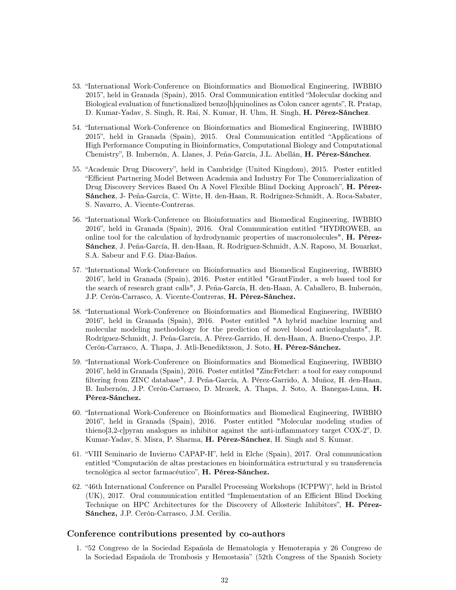- 53. "International Work-Conference on Bioinformatics and Biomedical Engineering, IWBBIO 2015", held in Granada (Spain), 2015. Oral Communication entitled "Molecular docking and Biological evaluation of functionalized benzo[h]quinolines as Colon cancer agents", R. Pratap, D. Kumar-Yadav, S. Singh, R. Rai, N. Kumar, H. Uhm, H. Singh, H. Pérez-Sánchez.
- 54. "International Work-Conference on Bioinformatics and Biomedical Engineering, IWBBIO 2015", held in Granada (Spain), 2015. Oral Communication entitled "Applications of High Performance Computing in Bioinformatics, Computational Biology and Computational Chemistry", B. Imbernón, A. Llanes, J. Peña-García, J.L. Abellán, H. Pérez-Sánchez.
- 55. "Academic Drug Discovery", held in Cambridge (United Kingdom), 2015. Poster entitled "Efficient Partnering Model Between Academia and Industry For The Commercialization of Drug Discovery Services Based On A Novel Flexible Blind Docking Approach", H. Pérez-Sánchez, J- Peña-García, C. Witte, H. den-Haan, R. Rodríguez-Schmidt, A. Roca-Sabater, S. Navarro, A. Vicente-Contreras.
- 56. "International Work-Conference on Bioinformatics and Biomedical Engineering, IWBBIO 2016", held in Granada (Spain), 2016. Oral Communication entitled "HYDROWEB, an online tool for the calculation of hydrodynamic properties of macromolecules", H. Pérez-Sánchez, J. Peña-García, H. den-Haan, R. Rodríguez-Schmidt, A.N. Raposo, M. Bouarkat, S.A. Sabeur and F.G. Díaz-Baños.
- 57. "International Work-Conference on Bioinformatics and Biomedical Engineering, IWBBIO 2016", held in Granada (Spain), 2016. Poster entitled "GrantFinder, a web based tool for the search of research grant calls", J. Peña-García, H. den-Haan, A. Caballero, B. Imbernón, J.P. Cerón-Carrasco, A. Vicente-Contreras, H. Pérez-Sánchez.
- 58. "International Work-Conference on Bioinformatics and Biomedical Engineering, IWBBIO 2016", held in Granada (Spain), 2016. Poster entitled "A hybrid machine learning and molecular modeling methodology for the prediction of novel blood anticolagulants", R. Rodríguez-Schmidt, J. Peña-García, A. Pérez-Garrido, H. den-Haan, A. Bueno-Crespo, J.P. Cerón-Carrasco, A. Thapa, J. Atli-Benediktsson, J. Soto, H. Pérez-Sánchez.
- 59. "International Work-Conference on Bioinformatics and Biomedical Engineering, IWBBIO 2016", held in Granada (Spain), 2016. Poster entitled "ZincFetcher: a tool for easy compound filtering from ZINC database", J. Peña-García, A. Pérez-Garrido, A. Muñoz, H. den-Haan, B. Imbernón, J.P. Cerón-Carrasco, D. Mrozek, A. Thapa, J. Soto, A. Banegas-Luna, H. Pérez-Sánchez.
- 60. "International Work-Conference on Bioinformatics and Biomedical Engineering, IWBBIO 2016", held in Granada (Spain), 2016. Poster entitled "Molecular modeling studies of thieno[3,2-c]pyran analogues as inhibitor against the anti-inflammatory target COX-2", D. Kumar-Yadav, S. Misra, P. Sharma, H. Pérez-Sánchez, H. Singh and S. Kumar.
- 61. "VIII Seminario de Invierno CAPAP-H", held in Elche (Spain), 2017. Oral communication entitled "Computación de altas prestaciones en bioinformática estructural y su transferencia tecnológica al sector farmacéutico", H. Pérez-Sánchez.
- 62. "46th International Conference on Parallel Processing Workshops (ICPPW)", held in Bristol (UK), 2017. Oral communication entitled "Implementation of an Efficient Blind Docking Technique on HPC Architectures for the Discovery of Allosteric Inhibitors", H. Pérez-Sánchez, J.P. Cerón-Carrasco, J.M. Cecilia.

### Conference contributions presented by co-authors

1. "52 Congreso de la Sociedad Española de Hematología y Hemoterapia y 26 Congreso de la Sociedad Española de Trombosis y Hemostasia" (52th Congress of the Spanish Society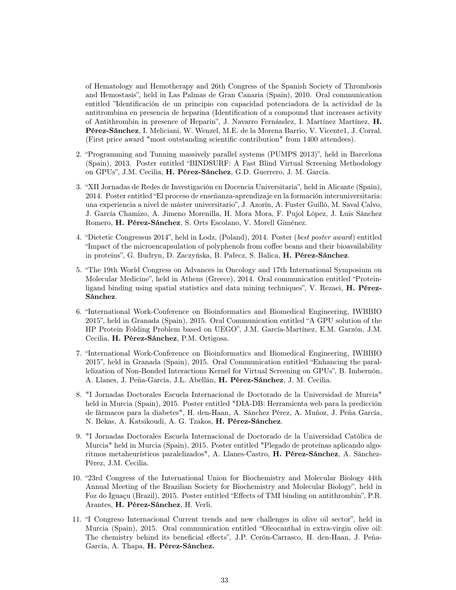of Hematology and Hemotherapy and 26th Congress of the Spanish Society of Thrombosis and Hemostasis", held in Las Palmas de Gran Canaria (Spain), 2010. Oral communication entitled "Identificación de un principio con capacidad potenciadora de la actividad de la antitrombina en presencia de heparina (Identification of a compound that increases activity of Antithrombin in presence of Heparin", J. Navarro Fernández, I. Martínez Martínez, H. Pérez-Sánchez, I. Meliciani, W. Wenzel, M.E. de la Morena Barrio, V. Vicente1, J. Corral. (First price award "most outstanding scientific contribution" from 1400 attendees).

- 2. "Programming and Tunning massively parallel systems (PUMPS 2013)", held in Barcelona (Spain), 2013. Poster entitled "BINDSURF: A Fast Blind Virtual Screening Methodology on GPUs", J.M. Cecilia, H. Pérez-Sánchez, G.D. Guerrero, J. M. García.
- 3. "XII Jornadas de Redes de Investigación en Docencia Universitaria", held in Alicante (Spain), 2014. Poster entitled "El proceso de enseñanza-aprendizaje en la formación interuniversitaria: una experiencia a nivel de máster universitario", J. Azorín, A. Fuster Guilló, M. Saval Calvo, J. García Chamizo, A. Jimeno Morenilla, H. Mora Mora, F. Pujol López, J. Luis Sánchez Romero, H. Pérez-Sánchez, S. Orts Escolano, V. Morell Giménez.
- 4. "Dietetic Congressus 2014", held in Lodz, (Poland), 2014. Poster (best poster award) entitled "Impact of the microencapsulation of polyphenols from coffee beans and their bioavailability in proteins", G. Budryn, D. Zaczyńska, B. Pałecz, S. Balica, H. Pérez-Sánchez.
- 5. "The 19th World Congress on Advances in Oncology and 17th International Symposium on Molecular Medicine", held in Athens (Greece), 2014. Oral communication entitled "Proteinligand binding using spatial statistics and data mining techniques", V. Rezaei, H. Pérez-Sánchez.
- 6. "International Work-Conference on Bioinformatics and Biomedical Engineering, IWBBIO 2015", held in Granada (Spain), 2015. Oral Communication entitled "A GPU solution of the HP Protein Folding Problem based on UEGO", J.M. García-Martínez, E.M. Garzón, J.M. Cecilia, H. Pérez-Sánchez, P.M. Ortigosa.
- 7. "International Work-Conference on Bioinformatics and Biomedical Engineering, IWBBIO 2015", held in Granada (Spain), 2015. Oral Communication entitled "Enhancing the parallelization of Non-Bonded Interactions Kernel for Virtual Screening on GPUs", B. Imbernón, A. Llanes, J. Peña-García, J.L. Abellán, H. Pérez-Sánchez, J. M. Cecilia.
- 8. "I Jornadas Doctorales Escuela Internacional de Doctorado de la Universidad de Murcia" held in Murcia (Spain), 2015. Poster entitled "DIA-DB: Herramienta web para la predicción de fármacos para la diabetes", H. den-Haan, A. Sánchez Pérez, A. Muñoz, J. Peña García, N. Bekas, A. Katsikoudi, A. G. Tzakos, H. Pérez-Sánchez.
- 9. "I Jornadas Doctorales Escuela Internacional de Doctorado de la Universidad Católica de Murcia" held in Murcia (Spain), 2015. Poster entitled "Plegado de proteínas aplicando algoritmos metaheurísticos paralelizados", A. Llanes-Castro, H. Pérez-Sánchez, A. Sánchez-Pérez, J.M. Cecilia.
- 10. "23rd Congress of the International Union for Biochemistry and Molecular Biology 44th Annual Meeting of the Brazilian Society for Biochemistry and Molecular Biology", held in Foz do Iguaçu (Brazil), 2015. Poster entitled "Effects of TMI binding on antithrombin", P.R. Arantes, H. Pérez-Sánchez, H. Verli.
- 11. "I Congreso Internacional Current trends and new challenges in olive oil sector", held in Murcia (Spain), 2015. Oral communication entitled "Oleocanthal in extra-virgin olive oil: The chemistry behind its beneficial effects", J.P. Cerón-Carrasco, H. den-Haan, J. Peña-García, A. Thapa, H. Pérez-Sánchez.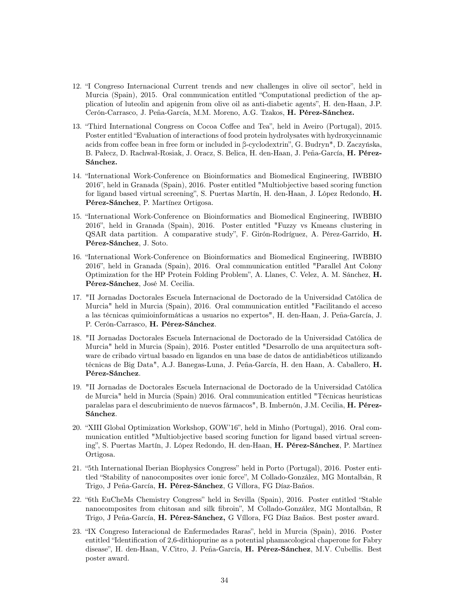- 12. "I Congreso Internacional Current trends and new challenges in olive oil sector", held in Murcia (Spain), 2015. Oral communication entitled "Computational prediction of the application of luteolin and apigenin from olive oil as anti-diabetic agents", H. den-Haan, J.P. Cerón-Carrasco, J. Peña-García, M.M. Moreno, A.G. Tzakos, H. Pérez-Sánchez.
- 13. "Third International Congress on Cocoa Coffee and Tea", held in Aveiro (Portugal), 2015. Poster entitled "Evaluation of interactions of food protein hydrolysates with hydroxycinnamic acids from coffee bean in free form or included in β-cyclodextrin", G. Budryn\*, D. Zaczyńska, B. Pałecz, D. Rachwał-Rosiak, J. Oracz, S. Belica, H. den-Haan, J. Peña-García, H. Pérez-Sánchez.
- 14. "International Work-Conference on Bioinformatics and Biomedical Engineering, IWBBIO 2016", held in Granada (Spain), 2016. Poster entitled "Multiobjective based scoring function for ligand based virtual screening", S. Puertas Martín, H. den-Haan, J. López Redondo, H. Pérez-Sánchez, P. Martínez Ortigosa.
- 15. "International Work-Conference on Bioinformatics and Biomedical Engineering, IWBBIO 2016", held in Granada (Spain), 2016. Poster entitled "Fuzzy vs Kmeans clustering in QSAR data partition. A comparative study", F. Girón-Rodríguez, A. Pérez-Garrido, H. Pérez-Sánchez, J. Soto.
- 16. "International Work-Conference on Bioinformatics and Biomedical Engineering, IWBBIO 2016", held in Granada (Spain), 2016. Oral communication entitled "Parallel Ant Colony Optimization for the HP Protein Folding Problem", A. Llanes, C. Velez, A. M. Sánchez, H. Pérez-Sánchez, José M. Cecilia.
- 17. "II Jornadas Doctorales Escuela Internacional de Doctorado de la Universidad Católica de Murcia" held in Murcia (Spain), 2016. Oral communication entitled "Facilitando el acceso a las técnicas quimioinformáticas a usuarios no expertos", H. den-Haan, J. Peña-García, J. P. Cerón-Carrasco, H. Pérez-Sánchez.
- 18. "II Jornadas Doctorales Escuela Internacional de Doctorado de la Universidad Católica de Murcia" held in Murcia (Spain), 2016. Poster entitled "Desarrollo de una arquitectura software de cribado virtual basado en ligandos en una base de datos de antidiabéticos utilizando técnicas de Big Data", A.J. Banegas-Luna, J. Peña-García, H. den Haan, A. Caballero, H. Pérez-Sánchez.
- 19. "II Jornadas de Doctorales Escuela Internacional de Doctorado de la Universidad Católica de Murcia" held in Murcia (Spain) 2016. Oral communication entitled "Técnicas heurísticas paralelas para el descubrimiento de nuevos fármacos", B. Imbernón, J.M. Cecilia, H. Pérez-Sánchez.
- 20. "XIII Global Optimization Workshop, GOW'16", held in Minho (Portugal), 2016. Oral communication entitled "Multiobjective based scoring function for ligand based virtual screening", S. Puertas Martín, J. López Redondo, H. den-Haan, H. Pérez-Sánchez, P. Martínez Ortigosa.
- 21. "5th International Iberian Biophysics Congress" held in Porto (Portugal), 2016. Poster entitled "Stability of nanocomposites over ionic force", M Collado-González, MG Montalbán, R Trigo, J Peña-García, H. Pérez-Sánchez, G Víllora, FG Díaz-Baños.
- 22. "6th EuCheMs Chemistry Congress" held in Sevilla (Spain), 2016. Poster entitled "Stable nanocomposites from chitosan and silk fibroin", M Collado-González, MG Montalbán, R Trigo, J Peña-García, H. Pérez-Sánchez, G Víllora, FG Díaz Baños. Best poster award.
- 23. "IX Congreso Interacional de Enfermedades Raras", held in Murcia (Spain), 2016. Poster entitled "Identification of 2,6-dithiopurine as a potential phamacological chaperone for Fabry disease", H. den-Haan, V.Citro, J. Peña-García, H. Pérez-Sánchez, M.V. Cubellis. Best poster award.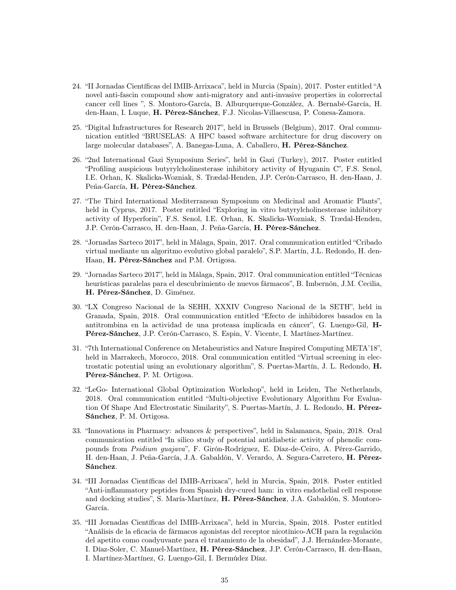- 24. "II Jornadas Científicas del IMIB-Arrixaca", held in Murcia (Spain), 2017. Poster entitled "A novel anti-fascin compound show anti-migratory and anti-invasive properties in colorrectal cancer cell lines ", S. Montoro-García, B. Alburquerque-González, A. Bernabé-García, H. den-Haan, I. Luque, H. Pérez-Sánchez, F.J. Nicolas-Villaescusa, P. Conesa-Zamora.
- 25. "Digital Infrastructures for Research 2017", held in Brussels (Belgium), 2017. Oral communication entitled "BRUSELAS: A HPC based software architecture for drug discovery on large molecular databases", A. Banegas-Luna, A. Caballero, H. Pérez-Sánchez.
- 26. "2nd International Gazi Symposium Series", held in Gazi (Turkey), 2017. Poster entitled "Profiling auspicious butyrylcholinesterase inhibitory activity of Hyuganin C", F.S. Senol, I.E. Orhan, K. Skalicka-Wozniak, S. Trædal-Henden, J.P. Cerón-Carrasco, H. den-Haan, J. Peña-García, H. Pérez-Sánchez.
- 27. "The Third International Mediterranean Symposium on Medicinal and Aromatic Plants", held in Cyprus, 2017. Poster entitled "Exploring in vitro butyrylcholinesterase inhibitory activity of Hyperforin", F.S. Senol, I.E. Orhan, K. Skalicka-Wozniak, S. Trædal-Henden, J.P. Cerón-Carrasco, H. den-Haan, J. Peña-García, H. Pérez-Sánchez.
- 28. "Jornadas Sarteco 2017", held in Málaga, Spain, 2017. Oral communication entitled "Cribado virtual mediante un algoritmo evolutivo global paralelo", S.P. Martín, J.L. Redondo, H. den-Haan, H. Pérez-Sánchez and P.M. Ortigosa.
- 29. "Jornadas Sarteco 2017", held in Málaga, Spain, 2017. Oral communication entitled "Técnicas heurísticas paralelas para el descubrimiento de nuevos fármacos", B. Imbernón, J.M. Cecilia, H. Pérez-Sánchez, D. Giménez.
- 30. "LX Congreso Nacional de la SEHH, XXXIV Congreso Nacional de la SETH", held in Granada, Spain, 2018. Oral communication entitled "Efecto de inhibidores basados en la antitrombina en la actividad de una proteasa implicada en cáncer", G. Luengo-Gil, H-Pérez-Sánchez, J.P. Cerón-Carrasco, S. Espin, V. Vicente, I. Martínez-Martínez.
- 31. "7th International Conference on Metaheuristics and Nature Inspired Computing META'18", held in Marrakech, Morocco, 2018. Oral communication entitled "Virtual screening in electrostatic potential using an evolutionary algorithm", S. Puertas-Martín, J. L. Redondo, H. Pérez-Sánchez, P. M. Ortigosa.
- 32. "LeGo- International Global Optimization Workshop", held in Leiden, The Netherlands, 2018. Oral communication entitled "Multi-objective Evolutionary Algorithm For Evaluation Of Shape And Electrostatic Similarity", S. Puertas-Martín, J. L. Redondo, H. Pérez-Sánchez, P. M. Ortigosa.
- 33. "Innovations in Pharmacy: advances & perspectives", held in Salamanca, Spain, 2018. Oral communication entitled "In silico study of potential antidiabetic activity of phenolic compounds from Psidium guajava", F. Girón-Rodríguez, E. Díaz-de-Ceiro, A. Pérez-Garrido, H. den-Haan, J. Peña-García, J.A. Gabaldón, V. Verardo, A. Segura-Carretero, H. Pérez-Sánchez.
- 34. "III Jornadas Científicas del IMIB-Arrixaca", held in Murcia, Spain, 2018. Poster entitled "Anti-inflammatory peptides from Spanish dry-cured ham: in vitro endothelial cell response and docking studies", S. María-Martínez, H. Pérez-Sánchez, J.A. Gabaldón, S. Montoro-García.
- 35. "III Jornadas Científicas del IMIB-Arrixaca", held in Murcia, Spain, 2018. Poster entitled "Análisis de la eficacia de fármacos agonistas del receptor nicotínico-ACH para la regulación del apetito como coadyuvante para el tratamiento de la obesidad", J.J. Hernández-Morante, I. Díaz-Soler, C. Manuel-Martínez, H. Pérez-Sánchez, J.P. Cerón-Carrasco, H. den-Haan, I. Martínez-Martínez, G. Luengo-Gil, I. Bermúdez Díaz.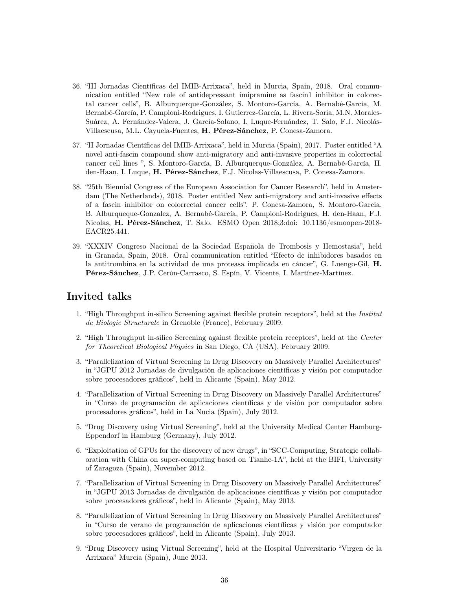- 36. "III Jornadas Científicas del IMIB-Arrixaca", held in Murcia, Spain, 2018. Oral communication entitled "New role of antidepressant imipramine as fascin1 inhibitor in colorectal cancer cells", B. Alburquerque-González, S. Montoro-García, A. Bernabé-García, M. Bernabé-García, P. Campioni-Rodrigues, I. Gutierrez-García, L. Rivera-Soria, M.N. Morales-Suárez, A. Fernández-Valera, J. García-Solano, I. Luque-Fernández, T. Salo, F.J. Nicolás-Villaescusa, M.L. Cayuela-Fuentes, H. Pérez-Sánchez, P. Conesa-Zamora.
- 37. "II Jornadas Científicas del IMIB-Arrixaca", held in Murcia (Spain), 2017. Poster entitled "A novel anti-fascin compound show anti-migratory and anti-invasive properties in colorrectal cancer cell lines ", S. Montoro-García, B. Alburquerque-González, A. Bernabé-García, H. den-Haan, I. Luque, H. Pérez-Sánchez, F.J. Nicolas-Villaescusa, P. Conesa-Zamora.
- 38. "25th Biennial Congress of the European Association for Cancer Research", held in Amsterdam (The Netherlands), 2018. Poster entitled New anti-migratory and anti-invasive effects of a fascin inhibitor on colorrectal cancer cells", P. Conesa-Zamora, S. Montoro-Garcia, B. Alburqueque-Gonzalez, A. Bernabé-García, P. Campioni-Rodrigues, H. den-Haan, F.J. Nicolas, H. Pérez-Sánchez, T. Salo. ESMO Open 2018;3:doi: 10.1136/esmoopen-2018- EACR25.441.
- 39. "XXXIV Congreso Nacional de la Sociedad Española de Trombosis y Hemostasia", held in Granada, Spain, 2018. Oral communication entitled "Efecto de inhibidores basados en la antitrombina en la actividad de una proteasa implicada en cáncer", G. Luengo-Gil, H. Pérez-Sánchez, J.P. Cerón-Carrasco, S. Espín, V. Vicente, I. Martínez-Martínez.

## Invited talks

- 1. "High Throughput in-silico Screening against flexible protein receptors", held at the Institut de Biologie Structurale in Grenoble (France), February 2009.
- 2. "High Throughput in-silico Screening against flexible protein receptors", held at the Center for Theoretical Biological Physics in San Diego, CA (USA), February 2009.
- 3. "Parallelization of Virtual Screening in Drug Discovery on Massively Parallel Architectures" in "JGPU 2012 Jornadas de divulgación de aplicaciones científicas y visión por computador sobre procesadores gráficos", held in Alicante (Spain), May 2012.
- 4. "Parallelization of Virtual Screening in Drug Discovery on Massively Parallel Architectures" in "Curso de programación de aplicaciones científicas y de visión por computador sobre procesadores gráficos", held in La Nucia (Spain), July 2012.
- 5. "Drug Discovery using Virtual Screening", held at the University Medical Center Hamburg-Eppendorf in Hamburg (Germany), July 2012.
- 6. "Exploitation of GPUs for the discovery of new drugs", in "SCC-Computing, Strategic collaboration with China on super-computing based on Tianhe-1A", held at the BIFI, University of Zaragoza (Spain), November 2012.
- 7. "Parallelization of Virtual Screening in Drug Discovery on Massively Parallel Architectures" in "JGPU 2013 Jornadas de divulgación de aplicaciones científicas y visión por computador sobre procesadores gráficos", held in Alicante (Spain), May 2013.
- 8. "Parallelization of Virtual Screening in Drug Discovery on Massively Parallel Architectures" in "Curso de verano de programación de aplicaciones científicas y visión por computador sobre procesadores gráficos", held in Alicante (Spain), July 2013.
- 9. "Drug Discovery using Virtual Screening", held at the Hospital Universitario "Virgen de la Arrixaca" Murcia (Spain), June 2013.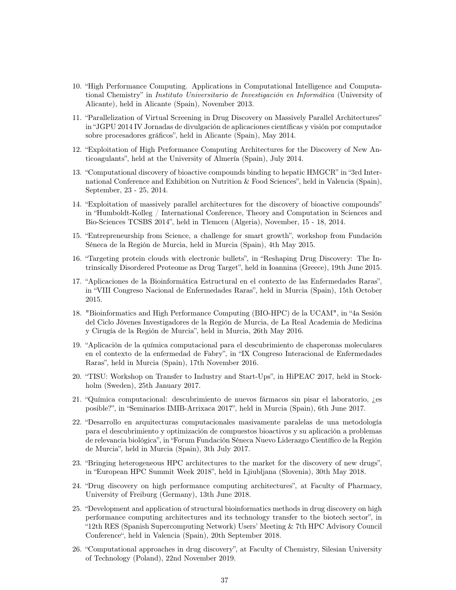- 10. "High Performance Computing. Applications in Computational Intelligence and Computational Chemistry" in Instituto Universitario de Investigación en Informática (University of Alicante), held in Alicante (Spain), November 2013.
- 11. "Parallelization of Virtual Screening in Drug Discovery on Massively Parallel Architectures" in "JGPU 2014 IV Jornadas de divulgación de aplicaciones científicas y visión por computador sobre procesadores gráficos", held in Alicante (Spain), May 2014.
- 12. "Exploitation of High Performance Computing Architectures for the Discovery of New Anticoagulants", held at the University of Almería (Spain), July 2014.
- 13. "Computational discovery of bioactive compounds binding to hepatic HMGCR" in "3rd International Conference and Exhibition on Nutrition & Food Sciences", held in Valencia (Spain), September, 23 - 25, 2014.
- 14. "Exploitation of massively parallel architectures for the discovery of bioactive compounds" in "Humboldt-Kolleg / International Conference, Theory and Computation in Sciences and Bio-Sciences TCSBS 2014", held in Tlemcen (Algeria), November, 15 - 18, 2014.
- 15. "Entrepreneurship from Science, a challenge for smart growth", workshop from Fundación Séneca de la Región de Murcia, held in Murcia (Spain), 4th May 2015.
- 16. "Targeting protein clouds with electronic bullets", in "Reshaping Drug Discovery: The Intrinsically Disordered Proteome as Drug Target", held in Ioannina (Greece), 19th June 2015.
- 17. "Aplicaciones de la Bioinformática Estructural en el contexto de las Enfermedades Raras", in "VIII Congreso Nacional de Enfermedades Raras", held in Murcia (Spain), 15th October 2015.
- 18. "Bioinformatics and High Performance Computing (BIO-HPC) de la UCAM", in "4a Sesión del Ciclo Jóvenes Investigadores de la Región de Murcia, de La Real Academia de Medicina y Cirugía de la Región de Murcia", held in Murcia, 26th May 2016.
- 19. "Aplicación de la química computacional para el descubrimiento de chaperonas moleculares en el contexto de la enfermedad de Fabry", in "IX Congreso Interacional de Enfermedades Raras", held in Murcia (Spain), 17th November 2016.
- 20. "TISU: Workshop on Transfer to Industry and Start-Ups", in HiPEAC 2017, held in Stockholm (Sweden), 25th January 2017.
- 21. "Química computacional: descubrimiento de nuevos fármacos sin pisar el laboratorio, ¿es posible?", in "Seminarios IMIB-Arrixaca 2017", held in Murcia (Spain), 6th June 2017.
- 22. "Desarrollo en arquitecturas computacionales masivamente paralelas de una metodología para el descubrimiento y optimización de compuestos bioactivos y su aplicación a problemas de relevancia biológica", in "Forum Fundación Séneca Nuevo Liderazgo Científico de la Región de Murcia", held in Murcia (Spain), 3th July 2017.
- 23. "Bringing heterogeneous HPC architectures to the market for the discovery of new drugs", in "European HPC Summit Week 2018", held in Ljiubljana (Slovenia), 30th May 2018.
- 24. "Drug discovery on high performance computing architectures", at Faculty of Pharmacy, University of Freiburg (Germany), 13th June 2018.
- 25. "Development and application of structural bioinformatics methods in drug discovery on high performance computing architectures and its technology transfer to the biotech sector", in "12th RES (Spanish Supercomputing Network) Users' Meeting & 7th HPC Advisory Council Conference", held in Valencia (Spain), 20th September 2018.
- 26. "Computational approaches in drug discovery", at Faculty of Chemistry, Silesian University of Technology (Poland), 22nd November 2019.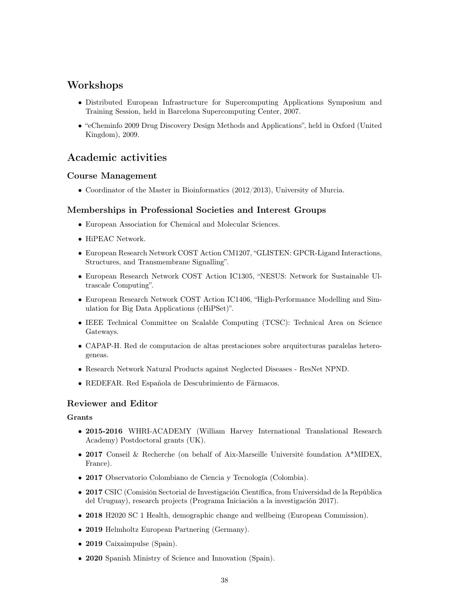## Workshops

- Distributed European Infrastructure for Supercomputing Applications Symposium and Training Session, held in Barcelona Supercomputing Center, 2007.
- "eCheminfo 2009 Drug Discovery Design Methods and Applications", held in Oxford (United Kingdom), 2009.

## Academic activities

## Course Management

• Coordinator of the Master in Bioinformatics (2012/2013), University of Murcia.

## Memberships in Professional Societies and Interest Groups

- European Association for Chemical and Molecular Sciences.
- $\bullet\,$  HiPEAC Network.
- European Research Network COST Action CM1207, "GLISTEN: GPCR-Ligand Interactions, Structures, and Transmembrane Signalling".
- European Research Network COST Action IC1305, "NESUS: Network for Sustainable Ultrascale Computing".
- European Research Network COST Action IC1406, "High-Performance Modelling and Simulation for Big Data Applications (cHiPSet)".
- IEEE Technical Committee on Scalable Computing (TCSC): Technical Area on Science Gateways.
- CAPAP-H. Red de computacion de altas prestaciones sobre arquitecturas paralelas heterogeneas.
- Research Network Natural Products against Neglected Diseases ResNet NPND.
- REDEFAR. Red Española de Descubrimiento de Färmacos.

## Reviewer and Editor

## Grants

- 2015-2016 WHRI-ACADEMY (William Harvey International Translational Research Academy) Postdoctoral grants (UK).
- 2017 Conseil & Recherche (on behalf of Aix-Marseille Université foundation A\*MIDEX, France).
- 2017 Observatorio Colombiano de Ciencia y Tecnología (Colombia).
- 2017 CSIC (Comisión Sectorial de Investigación Científica, from Universidad de la República del Uruguay), research projects (Programa Iniciación a la investigación 2017).
- 2018 H2020 SC 1 Health, demographic change and wellbeing (European Commission).
- 2019 Helmholtz European Partnering (Germany).
- 2019 Caixaimpulse (Spain).
- 2020 Spanish Ministry of Science and Innovation (Spain).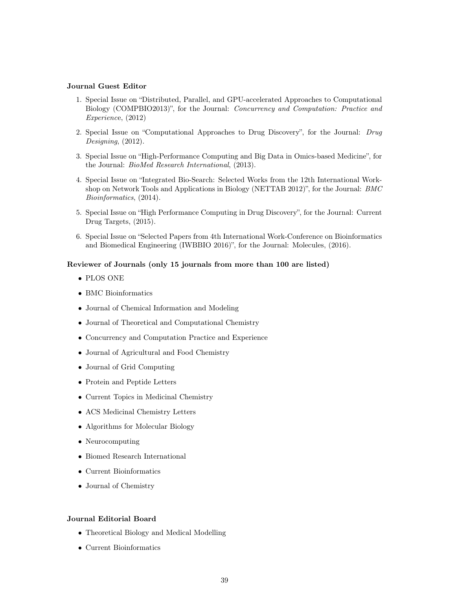### Journal Guest Editor

- 1. Special Issue on "Distributed, Parallel, and GPU-accelerated Approaches to Computational Biology (COMPBIO2013)", for the Journal: Concurrency and Computation: Practice and Experience, (2012)
- 2. Special Issue on "Computational Approaches to Drug Discovery", for the Journal: Drug Designing,  $(2012)$ .
- 3. Special Issue on "High-Performance Computing and Big Data in Omics-based Medicine", for the Journal: BioMed Research International, (2013).
- 4. Special Issue on "Integrated Bio-Search: Selected Works from the 12th International Workshop on Network Tools and Applications in Biology (NETTAB 2012)", for the Journal: BMC Bioinformatics, (2014).
- 5. Special Issue on "High Performance Computing in Drug Discovery", for the Journal: Current Drug Targets, (2015).
- 6. Special Issue on "Selected Papers from 4th International Work-Conference on Bioinformatics and Biomedical Engineering (IWBBIO 2016)", for the Journal: Molecules, (2016).

#### Reviewer of Journals (only 15 journals from more than 100 are listed)

- PLOS ONE
- BMC Bioinformatics
- Journal of Chemical Information and Modeling
- Journal of Theoretical and Computational Chemistry
- Concurrency and Computation Practice and Experience
- Journal of Agricultural and Food Chemistry
- Journal of Grid Computing
- Protein and Peptide Letters
- Current Topics in Medicinal Chemistry
- ACS Medicinal Chemistry Letters
- Algorithms for Molecular Biology
- Neurocomputing
- Biomed Research International
- Current Bioinformatics
- Journal of Chemistry

#### Journal Editorial Board

- Theoretical Biology and Medical Modelling
- Current Bioinformatics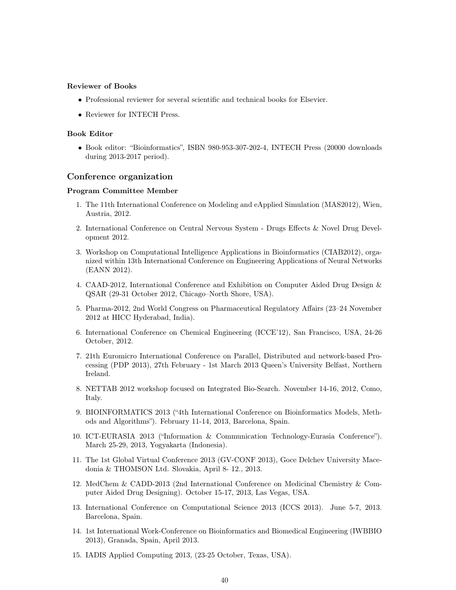#### Reviewer of Books

- Professional reviewer for several scientific and technical books for Elsevier.
- Reviewer for INTECH Press.

#### Book Editor

• Book editor: "Bioinformatics", ISBN 980-953-307-202-4, INTECH Press (20000 downloads during 2013-2017 period).

#### Conference organization

#### Program Committee Member

- 1. The 11th International Conference on Modeling and eApplied Simulation (MAS2012), Wien, Austria, 2012.
- 2. International Conference on Central Nervous System Drugs Effects & Novel Drug Development 2012.
- 3. Workshop on Computational Intelligence Applications in Bioinformatics (CIAB2012), organized within 13th International Conference on Engineering Applications of Neural Networks (EANN 2012).
- 4. CAAD-2012, International Conference and Exhibition on Computer Aided Drug Design & QSAR (29-31 October 2012, Chicago–North Shore, USA).
- 5. Pharma-2012, 2nd World Congress on Pharmaceutical Regulatory Affairs (23–24 November 2012 at HICC Hyderabad, India).
- 6. International Conference on Chemical Engineering (ICCE'12), San Francisco, USA, 24-26 October, 2012.
- 7. 21th Euromicro International Conference on Parallel, Distributed and network-based Processing (PDP 2013), 27th February - 1st March 2013 Queen's University Belfast, Northern Ireland.
- 8. NETTAB 2012 workshop focused on Integrated Bio-Search. November 14-16, 2012, Como, Italy.
- 9. BIOINFORMATICS 2013 ("4th International Conference on Bioinformatics Models, Methods and Algorithms"). February 11-14, 2013, Barcelona, Spain.
- 10. ICT-EURASIA 2013 ("Information & Communication Technology-Eurasia Conference"). March 25-29, 2013, Yogyakarta (Indonesia).
- 11. The 1st Global Virtual Conference 2013 (GV-CONF 2013), Goce Delchev University Macedonia & THOMSON Ltd. Slovakia, April 8- 12., 2013.
- 12. MedChem & CADD-2013 (2nd International Conference on Medicinal Chemistry & Computer Aided Drug Designing). October 15-17, 2013, Las Vegas, USA.
- 13. International Conference on Computational Science 2013 (ICCS 2013). June 5-7, 2013. Barcelona, Spain.
- 14. 1st International Work-Conference on Bioinformatics and Biomedical Engineering (IWBBIO 2013), Granada, Spain, April 2013.
- 15. IADIS Applied Computing 2013, (23-25 October, Texas, USA).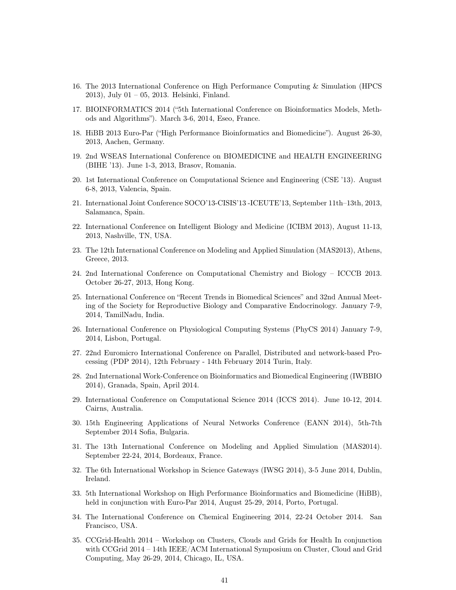- 16. The 2013 International Conference on High Performance Computing & Simulation (HPCS 2013), July 01 – 05, 2013. Helsinki, Finland.
- 17. BIOINFORMATICS 2014 ("5th International Conference on Bioinformatics Models, Methods and Algorithms"). March 3-6, 2014, Eseo, France.
- 18. HiBB 2013 Euro-Par ("High Performance Bioinformatics and Biomedicine"). August 26-30, 2013, Aachen, Germany.
- 19. 2nd WSEAS International Conference on BIOMEDICINE and HEALTH ENGINEERING (BIHE '13). June 1-3, 2013, Brasov, Romania.
- 20. 1st International Conference on Computational Science and Engineering (CSE '13). August 6-8, 2013, Valencia, Spain.
- 21. International Joint Conference SOCO'13-CISIS'13 -ICEUTE'13, September 11th–13th, 2013, Salamanca, Spain.
- 22. International Conference on Intelligent Biology and Medicine (ICIBM 2013), August 11-13, 2013, Nashville, TN, USA.
- 23. The 12th International Conference on Modeling and Applied Simulation (MAS2013), Athens, Greece, 2013.
- 24. 2nd International Conference on Computational Chemistry and Biology ICCCB 2013. October 26-27, 2013, Hong Kong.
- 25. International Conference on "Recent Trends in Biomedical Sciences" and 32nd Annual Meeting of the Society for Reproductive Biology and Comparative Endocrinology. January 7-9, 2014, TamilNadu, India.
- 26. International Conference on Physiological Computing Systems (PhyCS 2014) January 7-9, 2014, Lisbon, Portugal.
- 27. 22nd Euromicro International Conference on Parallel, Distributed and network-based Processing (PDP 2014), 12th February - 14th February 2014 Turin, Italy.
- 28. 2nd International Work-Conference on Bioinformatics and Biomedical Engineering (IWBBIO 2014), Granada, Spain, April 2014.
- 29. International Conference on Computational Science 2014 (ICCS 2014). June 10-12, 2014. Cairns, Australia.
- 30. 15th Engineering Applications of Neural Networks Conference (EANN 2014), 5th-7th September 2014 Sofia, Bulgaria.
- 31. The 13th International Conference on Modeling and Applied Simulation (MAS2014). September 22-24, 2014, Bordeaux, France.
- 32. The 6th International Workshop in Science Gateways (IWSG 2014), 3-5 June 2014, Dublin, Ireland.
- 33. 5th International Workshop on High Performance Bioinformatics and Biomedicine (HiBB), held in conjunction with Euro-Par 2014, August 25-29, 2014, Porto, Portugal.
- 34. The International Conference on Chemical Engineering 2014, 22-24 October 2014. San Francisco, USA.
- 35. CCGrid-Health 2014 Workshop on Clusters, Clouds and Grids for Health In conjunction with CCGrid 2014 – 14th IEEE/ACM International Symposium on Cluster, Cloud and Grid Computing, May 26-29, 2014, Chicago, IL, USA.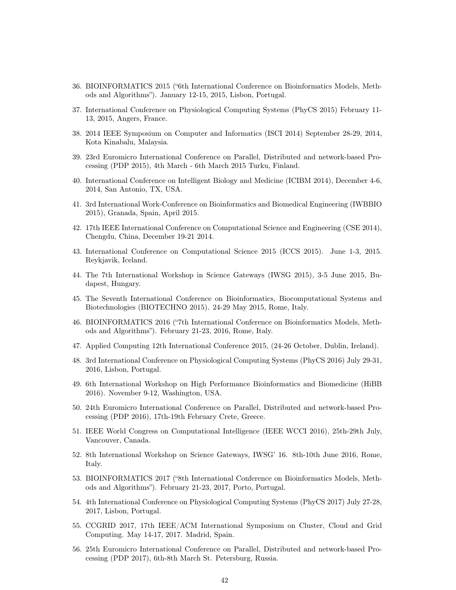- 36. BIOINFORMATICS 2015 ("6th International Conference on Bioinformatics Models, Methods and Algorithms"). January 12-15, 2015, Lisbon, Portugal.
- 37. International Conference on Physiological Computing Systems (PhyCS 2015) February 11- 13, 2015, Angers, France.
- 38. 2014 IEEE Symposium on Computer and Informatics (ISCI 2014) September 28-29, 2014, Kota Kinabalu, Malaysia.
- 39. 23rd Euromicro International Conference on Parallel, Distributed and network-based Processing (PDP 2015), 4th March - 6th March 2015 Turku, Finland.
- 40. International Conference on Intelligent Biology and Medicine (ICIBM 2014), December 4-6, 2014, San Antonio, TX, USA.
- 41. 3rd International Work-Conference on Bioinformatics and Biomedical Engineering (IWBBIO 2015), Granada, Spain, April 2015.
- 42. 17th IEEE International Conference on Computational Science and Engineering (CSE 2014), Chengdu, China, December 19-21 2014.
- 43. International Conference on Computational Science 2015 (ICCS 2015). June 1-3, 2015. Reykjavik, Iceland.
- 44. The 7th International Workshop in Science Gateways (IWSG 2015), 3-5 June 2015, Budapest, Hungary.
- 45. The Seventh International Conference on Bioinformatics, Biocomputational Systems and Biotechnologies (BIOTECHNO 2015). 24-29 May 2015, Rome, Italy.
- 46. BIOINFORMATICS 2016 ("7th International Conference on Bioinformatics Models, Methods and Algorithms"). February 21-23, 2016, Rome, Italy.
- 47. Applied Computing 12th International Conference 2015, (24-26 October, Dublin, Ireland).
- 48. 3rd International Conference on Physiological Computing Systems (PhyCS 2016) July 29-31, 2016, Lisbon, Portugal.
- 49. 6th International Workshop on High Performance Bioinformatics and Biomedicine (HiBB 2016). November 9-12, Washington, USA.
- 50. 24th Euromicro International Conference on Parallel, Distributed and network-based Processing (PDP 2016), 17th-19th February Crete, Greece.
- 51. IEEE World Congress on Computational Intelligence (IEEE WCCI 2016), 25th-29th July, Vancouver, Canada.
- 52. 8th International Workshop on Science Gateways, IWSG' 16. 8th-10th June 2016, Rome, Italy.
- 53. BIOINFORMATICS 2017 ("8th International Conference on Bioinformatics Models, Methods and Algorithms"). February 21-23, 2017, Porto, Portugal.
- 54. 4th International Conference on Physiological Computing Systems (PhyCS 2017) July 27-28, 2017, Lisbon, Portugal.
- 55. CCGRID 2017, 17th IEEE/ACM International Symposium on Cluster, Cloud and Grid Computing. May 14-17, 2017. Madrid, Spain.
- 56. 25th Euromicro International Conference on Parallel, Distributed and network-based Processing (PDP 2017), 6th-8th March St. Petersburg, Russia.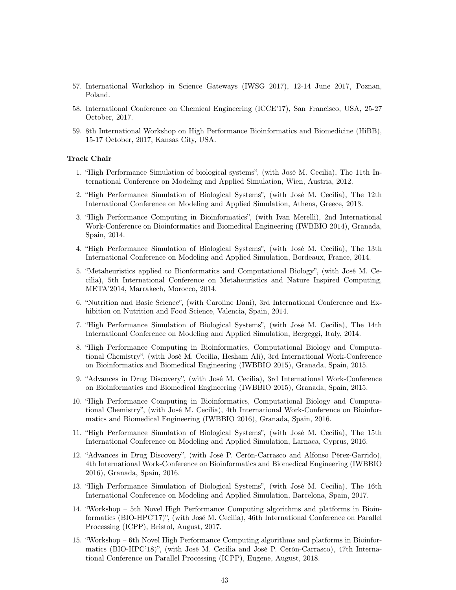- 57. International Workshop in Science Gateways (IWSG 2017), 12-14 June 2017, Poznan, Poland.
- 58. International Conference on Chemical Engineering (ICCE'17), San Francisco, USA, 25-27 October, 2017.
- 59. 8th International Workshop on High Performance Bioinformatics and Biomedicine (HiBB), 15-17 October, 2017, Kansas City, USA.

#### Track Chair

- 1. "High Performance Simulation of biological systems", (with José M. Cecilia), The 11th International Conference on Modeling and Applied Simulation, Wien, Austria, 2012.
- 2. "High Performance Simulation of Biological Systems", (with José M. Cecilia), The 12th International Conference on Modeling and Applied Simulation, Athens, Greece, 2013.
- 3. "High Performance Computing in Bioinformatics", (with Ivan Merelli), 2nd International Work-Conference on Bioinformatics and Biomedical Engineering (IWBBIO 2014), Granada, Spain, 2014.
- 4. "High Performance Simulation of Biological Systems", (with José M. Cecilia), The 13th International Conference on Modeling and Applied Simulation, Bordeaux, France, 2014.
- 5. "Metaheuristics applied to Bionformatics and Computational Biology", (with José M. Cecilia), 5th International Conference on Metaheuristics and Nature Inspired Computing, META'2014, Marrakech, Morocco, 2014.
- 6. "Nutrition and Basic Science", (with Caroline Dani), 3rd International Conference and Exhibition on Nutrition and Food Science, Valencia, Spain, 2014.
- 7. "High Performance Simulation of Biological Systems", (with José M. Cecilia), The 14th International Conference on Modeling and Applied Simulation, Bergeggi, Italy, 2014.
- 8. "High Performance Computing in Bioinformatics, Computational Biology and Computational Chemistry", (with José M. Cecilia, Hesham Ali), 3rd International Work-Conference on Bioinformatics and Biomedical Engineering (IWBBIO 2015), Granada, Spain, 2015.
- 9. "Advances in Drug Discovery", (with José M. Cecilia), 3rd International Work-Conference on Bioinformatics and Biomedical Engineering (IWBBIO 2015), Granada, Spain, 2015.
- 10. "High Performance Computing in Bioinformatics, Computational Biology and Computational Chemistry", (with José M. Cecilia), 4th International Work-Conference on Bioinformatics and Biomedical Engineering (IWBBIO 2016), Granada, Spain, 2016.
- 11. "High Performance Simulation of Biological Systems", (with José M. Cecilia), The 15th International Conference on Modeling and Applied Simulation, Larnaca, Cyprus, 2016.
- 12. "Advances in Drug Discovery", (with José P. Cerón-Carrasco and Alfonso Pérez-Garrido), 4th International Work-Conference on Bioinformatics and Biomedical Engineering (IWBBIO 2016), Granada, Spain, 2016.
- 13. "High Performance Simulation of Biological Systems", (with José M. Cecilia), The 16th International Conference on Modeling and Applied Simulation, Barcelona, Spain, 2017.
- 14. "Workshop 5th Novel High Performance Computing algorithms and platforms in Bioinformatics (BIO-HPC'17)", (with José M. Cecilia), 46th International Conference on Parallel Processing (ICPP), Bristol, August, 2017.
- 15. "Workshop 6th Novel High Performance Computing algorithms and platforms in Bioinformatics (BIO-HPC'18)", (with José M. Cecilia and José P. Cerón-Carrasco), 47th International Conference on Parallel Processing (ICPP), Eugene, August, 2018.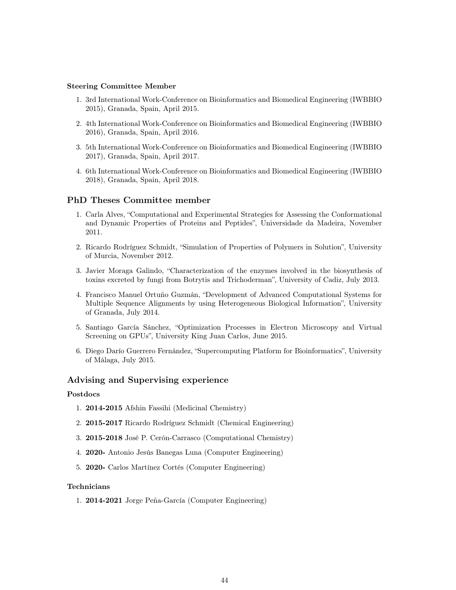#### Steering Committee Member

- 1. 3rd International Work-Conference on Bioinformatics and Biomedical Engineering (IWBBIO 2015), Granada, Spain, April 2015.
- 2. 4th International Work-Conference on Bioinformatics and Biomedical Engineering (IWBBIO 2016), Granada, Spain, April 2016.
- 3. 5th International Work-Conference on Bioinformatics and Biomedical Engineering (IWBBIO 2017), Granada, Spain, April 2017.
- 4. 6th International Work-Conference on Bioinformatics and Biomedical Engineering (IWBBIO 2018), Granada, Spain, April 2018.

## PhD Theses Committee member

- 1. Carla Alves, "Computational and Experimental Strategies for Assessing the Conformational and Dynamic Properties of Proteins and Peptides", Universidade da Madeira, November 2011.
- 2. Ricardo Rodríguez Schmidt, "Simulation of Properties of Polymers in Solution", University of Murcia, November 2012.
- 3. Javier Moraga Galindo, "Characterization of the enzymes involved in the biosynthesis of toxins excreted by fungi from Botrytis and Trichoderman", University of Cadiz, July 2013.
- 4. Francisco Manuel Ortuño Guzmán, "Development of Advanced Computational Systems for Multiple Sequence Alignments by using Heterogeneous Biological Information", University of Granada, July 2014.
- 5. Santiago García Sánchez, "Optimization Processes in Electron Microscopy and Virtual Screening on GPUs", University King Juan Carlos, June 2015.
- 6. Diego Darío Guerrero Fernández, "Supercomputing Platform for Bioinformatics", University of Málaga, July 2015.

## Advising and Supervising experience

#### Postdocs

- 1. 2014-2015 Afshin Fassihi (Medicinal Chemistry)
- 2. 2015-2017 Ricardo Rodríguez Schmidt (Chemical Engineering)
- 3. 2015-2018 José P. Cerón-Carrasco (Computational Chemistry)
- 4. 2020- Antonio Jesús Banegas Luna (Computer Engineering)
- 5. 2020- Carlos Martínez Cortés (Computer Engineering)

### Technicians

1. 2014-2021 Jorge Peña-García (Computer Engineering)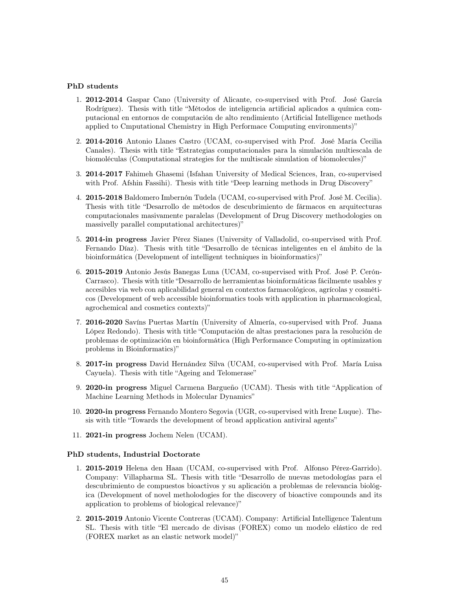#### PhD students

- 1. 2012-2014 Gaspar Cano (University of Alicante, co-supervised with Prof. José García Rodríguez). Thesis with title "Métodos de inteligencia artificial aplicados a química computacional en entornos de computación de alto rendimiento (Artificial Intelligence methods applied to Cmputational Chemistry in High Performace Computing environments)"
- 2. 2014-2016 Antonio Llanes Castro (UCAM, co-supervised with Prof. José María Cecilia Canales). Thesis with title "Estrategias computacionales para la simulación multiescala de biomoléculas (Computational strategies for the multiscale simulation of biomolecules)"
- 3. 2014-2017 Fahimeh Ghasemi (Isfahan University of Medical Sciences, Iran, co-supervised with Prof. Afshin Fassihi). Thesis with title "Deep learning methods in Drug Discovery"
- 4. 2015-2018 Baldomero Imbernón Tudela (UCAM, co-supervised with Prof. José M. Cecilia). Thesis with title "Desarrollo de métodos de descubrimiento de fármacos en arquitecturas computacionales masivamente paralelas (Development of Drug Discovery methodologies on massivelly parallel computational architectures)"
- 5. 2014-in progress Javier Pérez Sianes (University of Valladolid, co-supervised with Prof. Fernando Díaz). Thesis with title "Desarrollo de técnicas inteligentes en el ámbito de la bioinformática (Development of intelligent techniques in bioinformatics)"
- 6. 2015-2019 Antonio Jesús Banegas Luna (UCAM, co-supervised with Prof. José P. Cerón-Carrasco). Thesis with title "Desarrollo de herramientas bioinformáticas fácilmente usables y accesibles via web con aplicabilidad general en contextos farmacológicos, agrícolas y cosméticos (Development of web accessible bioinformatics tools with application in pharmacological, agrochemical and cosmetics contexts)"
- 7. 2016-2020 Savíns Puertas Martín (University of Almería, co-supervised with Prof. Juana López Redondo). Thesis with title "Computación de altas prestaciones para la resolución de problemas de optimización en bioinformática (High Performance Computing in optimization problems in Bioinformatics)"
- 8. 2017-in progress David Hernández Silva (UCAM, co-supervised with Prof. María Luisa Cayuela). Thesis with title "Ageing and Telomerase"
- 9. 2020-in progress Miguel Carmena Bargueño (UCAM). Thesis with title "Application of Machine Learning Methods in Molecular Dynamics"
- 10. 2020-in progress Fernando Montero Segovia (UGR, co-supervised with Irene Luque). Thesis with title "Towards the development of broad application antiviral agents"
- 11. 2021-in progress Jochem Nelen (UCAM).

#### PhD students, Industrial Doctorate

- 1. 2015-2019 Helena den Haan (UCAM, co-supervised with Prof. Alfonso Pérez-Garrido). Company: Villapharma SL. Thesis with title "Desarrollo de nuevas metodologías para el descubrimiento de compuestos bioactivos y su aplicación a problemas de relevancia biológica (Development of novel metholodogies for the discovery of bioactive compounds and its application to problems of biological relevance)"
- 2. 2015-2019 Antonio Vicente Contreras (UCAM). Company: Artificial Intelligence Talentum SL. Thesis with title "El mercado de divisas (FOREX) como un modelo elástico de red (FOREX market as an elastic network model)"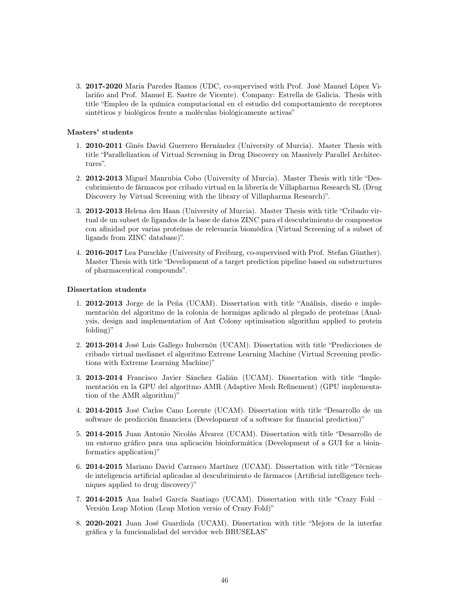3. 2017-2020 Maria Paredes Ramos (UDC, co-supervised with Prof. José Manuel López Vilariño and Prof. Manuel E. Sastre de Vicente). Company: Estrella de Galicia. Thesis with title "Empleo de la química computacional en el estudio del comportamiento de receptores sintéticos y biológicos frente a moléculas biológicamente activas"

### Masters' students

- 1. 2010-2011 Ginés David Guerrero Hernández (University of Murcia). Master Thesis with title "Parallelization of Virtual Screening in Drug Discovery on Massively Parallel Architectures".
- 2. 2012-2013 Miguel Manrubia Cobo (University of Murcia). Master Thesis with title "Descubrimiento de fármacos por cribado virtual en la librería de Villapharma Research SL (Drug Discovery by Virtual Screening with the library of Villapharma Research)".
- 3. 2012-2013 Helena den Haan (University of Murcia). Master Thesis with title "Cribado virtual de un subset de ligandos de la base de datos ZINC para el descubrimiento de compuestos con afinidad por varias proteínas de relevancia biomédica (Virtual Screening of a subset of ligands from ZINC database)".
- 4. 2016-2017 Lea Purschke (University of Freiburg, co-supervised with Prof. Stefan Günther). Master Thesis with title "Development of a target prediction pipeline based on substructures of pharmaceutical compounds".

#### Dissertation students

- 1. 2012-2013 Jorge de la Peña (UCAM). Dissertation with title "Análisis, diseño e implementación del algoritmo de la colonia de hormigas aplicado al plegado de proteínas (Analysis, design and implementation of Ant Colony optimisation algorithm applied to protein folding)"
- 2. 2013-2014 José Luis Gallego Imbernón (UCAM). Dissertation with title "Predicciones de cribado virtual medianet el algoritmo Extreme Learning Machine (Virtual Screening predictions with Extreme Learning Machine)"
- 3. 2013-2014 Francisco Javier Sánchez Galián (UCAM). Dissertation with title "Implementación en la GPU del algoritmo AMR (Adaptive Mesh Refinement) (GPU implementation of the AMR algorithm)"
- 4. 2014-2015 José Carlos Cano Lorente (UCAM). Dissertation with title "Desarrollo de un software de predicción financiera (Development of a software for financial prediction)"
- 5. 2014-2015 Juan Antonio Nicolás Álvarez (UCAM). Dissertation with title "Desarrollo de un entorno gráfico para una aplicación bioinformática (Development of a GUI for a bioinformatics application)"
- 6. 2014-2015 Mariano David Carrasco Martínez (UCAM). Dissertation with title "Técnicas de inteligencia artificial aplicadas al descubrimiento de fármacos (Artificial intelligence techniques applied to drug discovery)"
- 7. 2014-2015 Ana Isabel García Santiago (UCAM). Dissertation with title "Crazy Fold Versión Leap Motion (Leap Motion versio of Crazy Fold)"
- 8. 2020-2021 Juan José Guardiola (UCAM). Dissertation with title "Mejora de la interfaz gráfica y la funcionalidad del servidor web BRUSELAS"